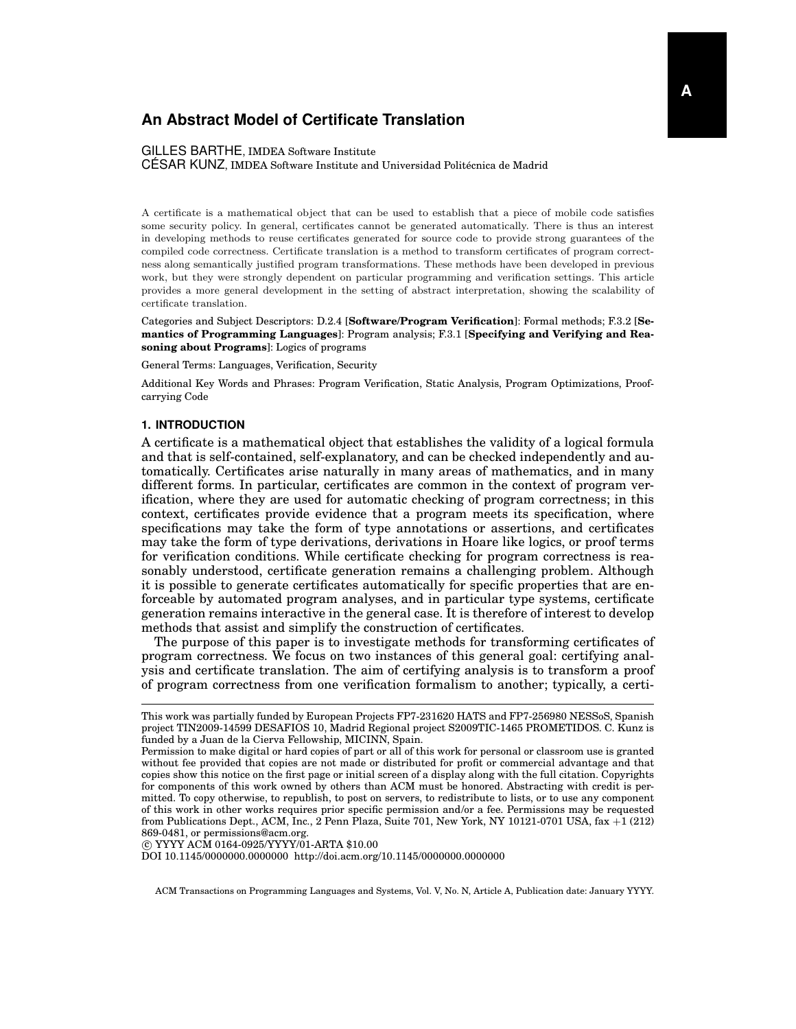#### GILLES BARTHE, IMDEA Software Institute

CESAR KUNZ, IMDEA Software Institute and Universidad Politécnica de Madrid

A certificate is a mathematical object that can be used to establish that a piece of mobile code satisfies some security policy. In general, certificates cannot be generated automatically. There is thus an interest in developing methods to reuse certificates generated for source code to provide strong guarantees of the compiled code correctness. Certificate translation is a method to transform certificates of program correctness along semantically justified program transformations. These methods have been developed in previous work, but they were strongly dependent on particular programming and verification settings. This article provides a more general development in the setting of abstract interpretation, showing the scalability of certificate translation.

Categories and Subject Descriptors: D.2.4 [**Software/Program Verification**]: Formal methods; F.3.2 [**Semantics of Programming Languages**]: Program analysis; F.3.1 [**Specifying and Verifying and Reasoning about Programs**]: Logics of programs

General Terms: Languages, Verification, Security

Additional Key Words and Phrases: Program Verification, Static Analysis, Program Optimizations, Proofcarrying Code

#### **1. INTRODUCTION**

A certificate is a mathematical object that establishes the validity of a logical formula and that is self-contained, self-explanatory, and can be checked independently and automatically. Certificates arise naturally in many areas of mathematics, and in many different forms. In particular, certificates are common in the context of program verification, where they are used for automatic checking of program correctness; in this context, certificates provide evidence that a program meets its specification, where specifications may take the form of type annotations or assertions, and certificates may take the form of type derivations, derivations in Hoare like logics, or proof terms for verification conditions. While certificate checking for program correctness is reasonably understood, certificate generation remains a challenging problem. Although it is possible to generate certificates automatically for specific properties that are enforceable by automated program analyses, and in particular type systems, certificate generation remains interactive in the general case. It is therefore of interest to develop methods that assist and simplify the construction of certificates.

The purpose of this paper is to investigate methods for transforming certificates of program correctness. We focus on two instances of this general goal: certifying analysis and certificate translation. The aim of certifying analysis is to transform a proof of program correctness from one verification formalism to another; typically, a certi-

c YYYY ACM 0164-0925/YYYY/01-ARTA \$10.00

DOI 10.1145/0000000.0000000 http://doi.acm.org/10.1145/0000000.0000000

This work was partially funded by European Projects FP7-231620 HATS and FP7-256980 NESSoS, Spanish project TIN2009-14599 DESAFIOS 10, Madrid Regional project S2009TIC-1465 PROMETIDOS. C. Kunz is funded by a Juan de la Cierva Fellowship, MICINN, Spain.

Permission to make digital or hard copies of part or all of this work for personal or classroom use is granted without fee provided that copies are not made or distributed for profit or commercial advantage and that copies show this notice on the first page or initial screen of a display along with the full citation. Copyrights for components of this work owned by others than ACM must be honored. Abstracting with credit is permitted. To copy otherwise, to republish, to post on servers, to redistribute to lists, or to use any component of this work in other works requires prior specific permission and/or a fee. Permissions may be requested from Publications Dept., ACM, Inc., 2 Penn Plaza, Suite 701, New York, NY 10121-0701 USA, fax +1 (212) 869-0481, or permissions@acm.org.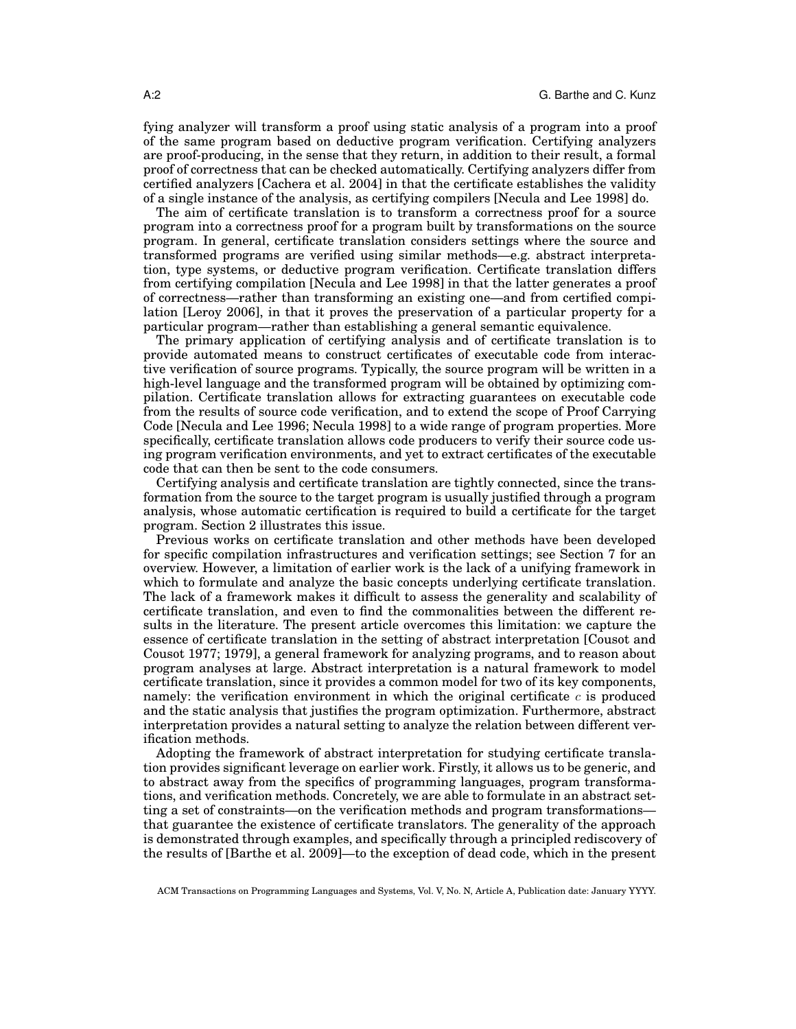fying analyzer will transform a proof using static analysis of a program into a proof of the same program based on deductive program verification. Certifying analyzers are proof-producing, in the sense that they return, in addition to their result, a formal proof of correctness that can be checked automatically. Certifying analyzers differ from certified analyzers [Cachera et al. 2004] in that the certificate establishes the validity of a single instance of the analysis, as certifying compilers [Necula and Lee 1998] do.

The aim of certificate translation is to transform a correctness proof for a source program into a correctness proof for a program built by transformations on the source program. In general, certificate translation considers settings where the source and transformed programs are verified using similar methods—e.g. abstract interpretation, type systems, or deductive program verification. Certificate translation differs from certifying compilation [Necula and Lee 1998] in that the latter generates a proof of correctness—rather than transforming an existing one—and from certified compilation [Leroy 2006], in that it proves the preservation of a particular property for a particular program—rather than establishing a general semantic equivalence.

The primary application of certifying analysis and of certificate translation is to provide automated means to construct certificates of executable code from interactive verification of source programs. Typically, the source program will be written in a high-level language and the transformed program will be obtained by optimizing compilation. Certificate translation allows for extracting guarantees on executable code from the results of source code verification, and to extend the scope of Proof Carrying Code [Necula and Lee 1996; Necula 1998] to a wide range of program properties. More specifically, certificate translation allows code producers to verify their source code using program verification environments, and yet to extract certificates of the executable code that can then be sent to the code consumers.

Certifying analysis and certificate translation are tightly connected, since the transformation from the source to the target program is usually justified through a program analysis, whose automatic certification is required to build a certificate for the target program. Section 2 illustrates this issue.

Previous works on certificate translation and other methods have been developed for specific compilation infrastructures and verification settings; see Section 7 for an overview. However, a limitation of earlier work is the lack of a unifying framework in which to formulate and analyze the basic concepts underlying certificate translation. The lack of a framework makes it difficult to assess the generality and scalability of certificate translation, and even to find the commonalities between the different results in the literature. The present article overcomes this limitation: we capture the essence of certificate translation in the setting of abstract interpretation [Cousot and Cousot 1977; 1979], a general framework for analyzing programs, and to reason about program analyses at large. Abstract interpretation is a natural framework to model certificate translation, since it provides a common model for two of its key components, namely: the verification environment in which the original certificate  $c$  is produced and the static analysis that justifies the program optimization. Furthermore, abstract interpretation provides a natural setting to analyze the relation between different verification methods.

Adopting the framework of abstract interpretation for studying certificate translation provides significant leverage on earlier work. Firstly, it allows us to be generic, and to abstract away from the specifics of programming languages, program transformations, and verification methods. Concretely, we are able to formulate in an abstract setting a set of constraints—on the verification methods and program transformations that guarantee the existence of certificate translators. The generality of the approach is demonstrated through examples, and specifically through a principled rediscovery of the results of [Barthe et al. 2009]—to the exception of dead code, which in the present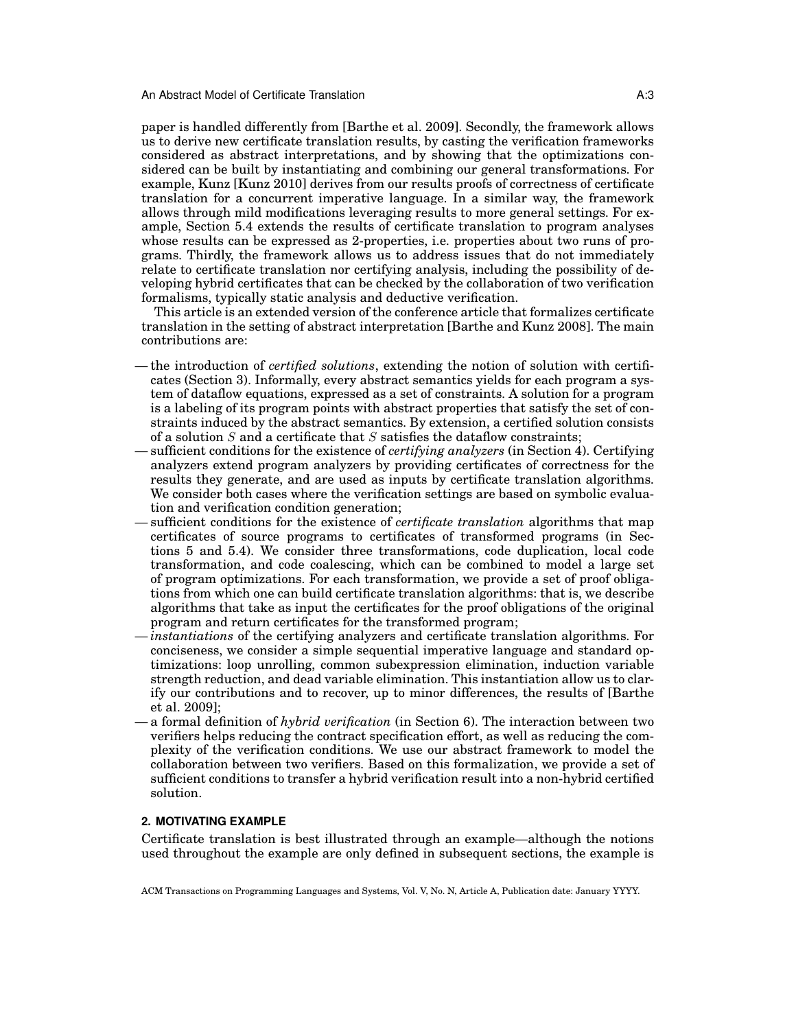paper is handled differently from [Barthe et al. 2009]. Secondly, the framework allows us to derive new certificate translation results, by casting the verification frameworks considered as abstract interpretations, and by showing that the optimizations considered can be built by instantiating and combining our general transformations. For example, Kunz [Kunz 2010] derives from our results proofs of correctness of certificate translation for a concurrent imperative language. In a similar way, the framework allows through mild modifications leveraging results to more general settings. For example, Section 5.4 extends the results of certificate translation to program analyses whose results can be expressed as 2-properties, i.e. properties about two runs of programs. Thirdly, the framework allows us to address issues that do not immediately relate to certificate translation nor certifying analysis, including the possibility of developing hybrid certificates that can be checked by the collaboration of two verification formalisms, typically static analysis and deductive verification.

This article is an extended version of the conference article that formalizes certificate translation in the setting of abstract interpretation [Barthe and Kunz 2008]. The main contributions are:

- the introduction of *certified solutions*, extending the notion of solution with certificates (Section 3). Informally, every abstract semantics yields for each program a system of dataflow equations, expressed as a set of constraints. A solution for a program is a labeling of its program points with abstract properties that satisfy the set of constraints induced by the abstract semantics. By extension, a certified solution consists of a solution  $S$  and a certificate that  $S$  satisfies the dataflow constraints;
- sufficient conditions for the existence of *certifying analyzers* (in Section 4). Certifying analyzers extend program analyzers by providing certificates of correctness for the results they generate, and are used as inputs by certificate translation algorithms. We consider both cases where the verification settings are based on symbolic evaluation and verification condition generation;
- sufficient conditions for the existence of *certificate translation* algorithms that map certificates of source programs to certificates of transformed programs (in Sections 5 and 5.4). We consider three transformations, code duplication, local code transformation, and code coalescing, which can be combined to model a large set of program optimizations. For each transformation, we provide a set of proof obligations from which one can build certificate translation algorithms: that is, we describe algorithms that take as input the certificates for the proof obligations of the original program and return certificates for the transformed program;
- *instantiations* of the certifying analyzers and certificate translation algorithms. For conciseness, we consider a simple sequential imperative language and standard optimizations: loop unrolling, common subexpression elimination, induction variable strength reduction, and dead variable elimination. This instantiation allow us to clarify our contributions and to recover, up to minor differences, the results of [Barthe et al. 2009];
- a formal definition of *hybrid verification* (in Section 6). The interaction between two verifiers helps reducing the contract specification effort, as well as reducing the complexity of the verification conditions. We use our abstract framework to model the collaboration between two verifiers. Based on this formalization, we provide a set of sufficient conditions to transfer a hybrid verification result into a non-hybrid certified solution.

## **2. MOTIVATING EXAMPLE**

Certificate translation is best illustrated through an example—although the notions used throughout the example are only defined in subsequent sections, the example is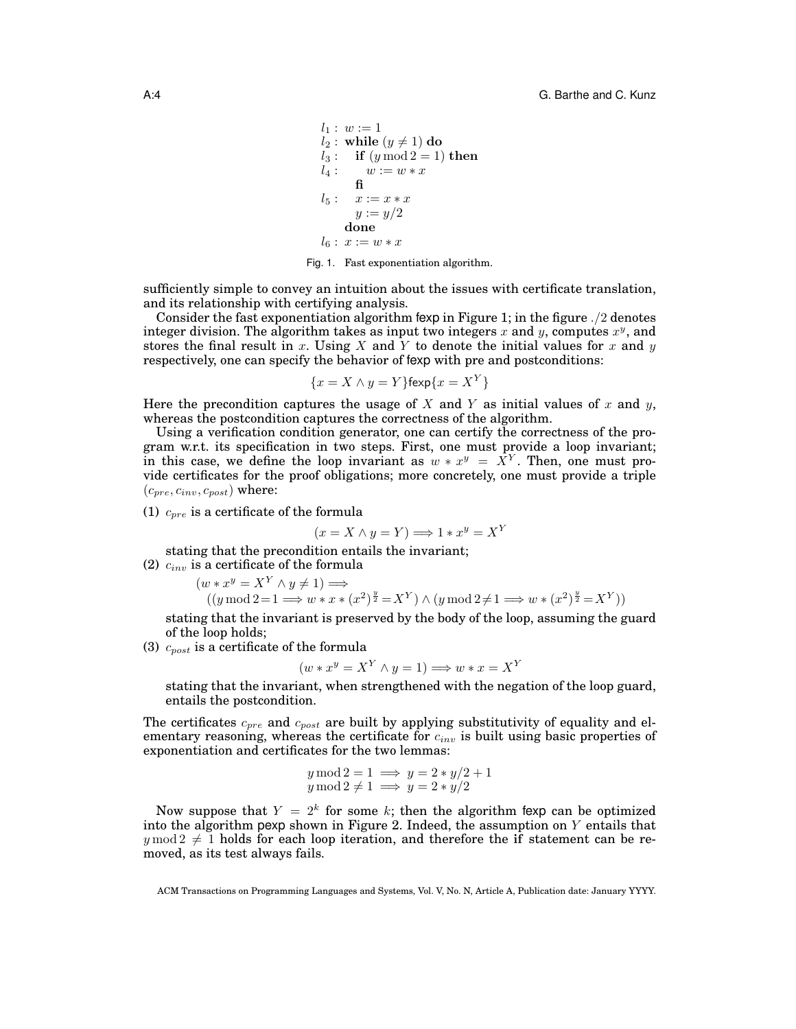```
l_1 : w := 1l_2: while (y \neq 1) do
l_3: if (y \mod 2 = 1) then<br>l_4: w := w * xw := w * xfi
l_5: x := x * xy := y/2done
l_6: x := w * x
```
Fig. 1. Fast exponentiation algorithm.

sufficiently simple to convey an intuition about the issues with certificate translation, and its relationship with certifying analysis.

Consider the fast exponentiation algorithm fexp in Figure 1; in the figure  $\frac{1}{2}$  denotes integer division. The algorithm takes as input two integers x and y, computes  $x^y$ , and stores the final result in x. Using X and Y to denote the initial values for x and  $y$ respectively, one can specify the behavior of fexp with pre and postconditions:

$$
\{x = X \land y = Y\}
$$
fexp $\{x = X^Y\}$ 

Here the precondition captures the usage of X and Y as initial values of x and  $y$ , whereas the postcondition captures the correctness of the algorithm.

Using a verification condition generator, one can certify the correctness of the program w.r.t. its specification in two steps. First, one must provide a loop invariant; in this case, we define the loop invariant as  $w * x^y = X^Y$ . Then, one must provide certificates for the proof obligations; more concretely, one must provide a triple  $(c_{pre}, c_{inv}, c_{post})$  where:

(1)  $c_{pre}$  is a certificate of the formula

$$
(x = X \land y = Y) \Longrightarrow 1 * x^y = X^Y
$$

stating that the precondition entails the invariant;

(2)  $c_{inv}$  is a certificate of the formula

$$
(w * x^y = X^Y \land y \neq 1) \Longrightarrow
$$
  

$$
((y \mod 2 = 1 \Longrightarrow w * x * (x^2)^{\frac{y}{2}} = X^Y) \land (y \mod 2 \neq 1 \Longrightarrow w * (x^2)^{\frac{y}{2}} = X^Y))
$$

stating that the invariant is preserved by the body of the loop, assuming the guard of the loop holds;

(3)  $c_{post}$  is a certificate of the formula

$$
(w * x^y = X^Y \land y = 1) \Longrightarrow w * x = X^Y
$$

stating that the invariant, when strengthened with the negation of the loop guard, entails the postcondition.

The certificates  $c_{pre}$  and  $c_{post}$  are built by applying substitutivity of equality and elementary reasoning, whereas the certificate for  $c_{inv}$  is built using basic properties of exponentiation and certificates for the two lemmas:

$$
y \mod 2 = 1 \implies y = 2 * y/2 + 1
$$
  

$$
y \mod 2 \neq 1 \implies y = 2 * y/2
$$

Now suppose that  $Y = 2^k$  for some k; then the algorithm fexp can be optimized into the algorithm pexp shown in Figure 2. Indeed, the assumption on Y entails that  $y \mod 2 \neq 1$  holds for each loop iteration, and therefore the if statement can be removed, as its test always fails.

ACM Transactions on Programming Languages and Systems, Vol. V, No. N, Article A, Publication date: January YYYY.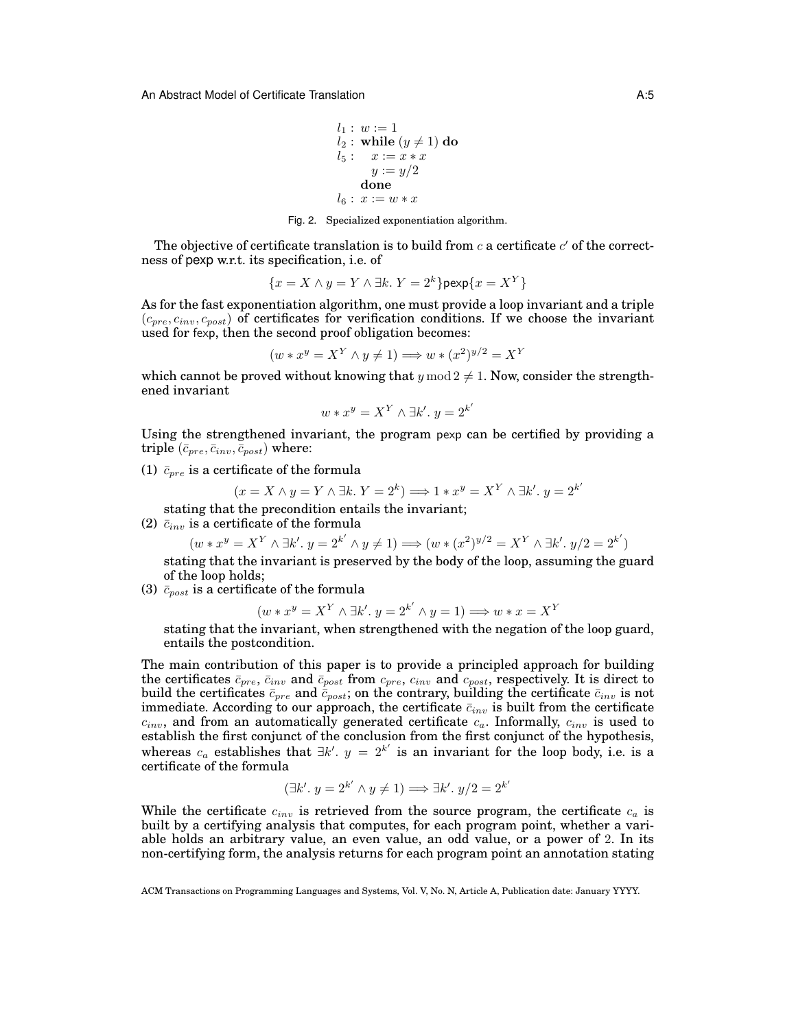$$
l_1: w := 1
$$
  
\n $l_2: \text{while } (y \neq 1) \text{ do}$   
\n $l_5: x := x * x$   
\n $y := y/2$   
\ndone  
\n $l_6: x := w * x$ 

Fig. 2. Specialized exponentiation algorithm.

The objective of certificate translation is to build from  $c$  a certificate  $c'$  of the correctness of pexp w.r.t. its specification, i.e. of

$$
\{x = X \land y = Y \land \exists k. \ Y = 2^k\} \text{pexp}\{x = X^Y\}
$$

As for the fast exponentiation algorithm, one must provide a loop invariant and a triple  $(c_{pre}, c_{inv}, c_{post})$  of certificates for verification conditions. If we choose the invariant used for fexp, then the second proof obligation becomes:

$$
(w * x^y = X^Y \land y \neq 1) \Longrightarrow w * (x^2)^{y/2} = X^Y
$$

which cannot be proved without knowing that  $y \mod 2 \neq 1$ . Now, consider the strengthened invariant

$$
w * x^y = X^Y \wedge \exists k'. y = 2^{k'}
$$

Using the strengthened invariant, the program pexp can be certified by providing a triple  $(\bar{c}_{pre}, \bar{c}_{inv}, \bar{c}_{post})$  where:

(1)  $\bar{c}_{pre}$  is a certificate of the formula

$$
(x = X \land y = Y \land \exists k. \ Y = 2^k) \Longrightarrow 1 * x^y = X^Y \land \exists k'. \ y = 2^{k'}
$$

stating that the precondition entails the invariant;

(2)  $\bar{c}_{inv}$  is a certificate of the formula

 $(w * x^y = X^Y \wedge \exists k'$ .  $y = 2^{k'} \wedge y \neq 1) \Longrightarrow (w * (x^2)^{y/2} = X^Y \wedge \exists k'$ .  $y/2 = 2^{k'}$ 

stating that the invariant is preserved by the body of the loop, assuming the guard of the loop holds;

(3)  $\bar{c}_{post}$  is a certificate of the formula

$$
(w * x^y = X^Y \land \exists k'. y = 2^{k'} \land y = 1) \Longrightarrow w * x = X^Y
$$

stating that the invariant, when strengthened with the negation of the loop guard, entails the postcondition.

The main contribution of this paper is to provide a principled approach for building the certificates  $\bar{c}_{pre}$ ,  $\bar{c}_{inv}$  and  $\bar{c}_{post}$  from  $c_{pre}$ ,  $c_{inv}$  and  $c_{post}$ , respectively. It is direct to build the certificates  $\bar{c}_{pre}$  and  $\bar{c}_{post}$ ; on the contrary, building the certificate  $\bar{c}_{inv}$  is not immediate. According to our approach, the certificate  $\bar{c}_{inv}$  is built from the certificate  $c_{inv}$ , and from an automatically generated certificate  $c_a$ . Informally,  $c_{inv}$  is used to establish the first conjunct of the conclusion from the first conjunct of the hypothesis, whereas  $c_a$  establishes that  $\exists k'. y = 2^{k'}$  is an invariant for the loop body, i.e. is a certificate of the formula

$$
(\exists k'.\ y = 2^{k'} \land y \neq 1) \Longrightarrow \exists k'.\ y/2 = 2^{k'}
$$

While the certificate  $c_{inv}$  is retrieved from the source program, the certificate  $c_a$  is built by a certifying analysis that computes, for each program point, whether a variable holds an arbitrary value, an even value, an odd value, or a power of 2. In its non-certifying form, the analysis returns for each program point an annotation stating

ACM Transactions on Programming Languages and Systems, Vol. V, No. N, Article A, Publication date: January YYYY.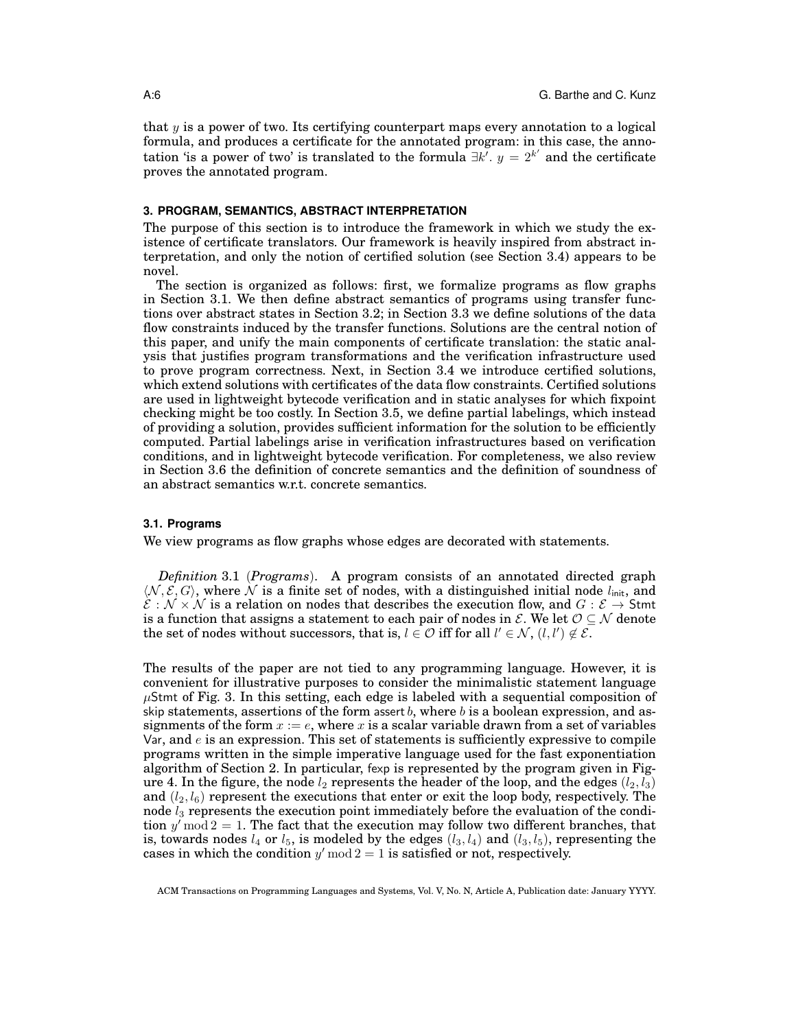that  $y$  is a power of two. Its certifying counterpart maps every annotation to a logical formula, and produces a certificate for the annotated program: in this case, the annotation 'is a power of two' is translated to the formula  $\exists k'. y = 2^{k'}$  and the certificate proves the annotated program.

#### **3. PROGRAM, SEMANTICS, ABSTRACT INTERPRETATION**

The purpose of this section is to introduce the framework in which we study the existence of certificate translators. Our framework is heavily inspired from abstract interpretation, and only the notion of certified solution (see Section 3.4) appears to be novel.

The section is organized as follows: first, we formalize programs as flow graphs in Section 3.1. We then define abstract semantics of programs using transfer functions over abstract states in Section 3.2; in Section 3.3 we define solutions of the data flow constraints induced by the transfer functions. Solutions are the central notion of this paper, and unify the main components of certificate translation: the static analysis that justifies program transformations and the verification infrastructure used to prove program correctness. Next, in Section 3.4 we introduce certified solutions, which extend solutions with certificates of the data flow constraints. Certified solutions are used in lightweight bytecode verification and in static analyses for which fixpoint checking might be too costly. In Section 3.5, we define partial labelings, which instead of providing a solution, provides sufficient information for the solution to be efficiently computed. Partial labelings arise in verification infrastructures based on verification conditions, and in lightweight bytecode verification. For completeness, we also review in Section 3.6 the definition of concrete semantics and the definition of soundness of an abstract semantics w.r.t. concrete semantics.

## **3.1. Programs**

We view programs as flow graphs whose edges are decorated with statements.

*Definition* 3.1 (*Programs*). A program consists of an annotated directed graph  $\langle \mathcal{N}, \mathcal{E}, G \rangle$ , where  $\mathcal N$  is a finite set of nodes, with a distinguished initial node  $l_{\text{init}}$ , and  $\mathcal{E}: \mathcal{N} \times \mathcal{N}$  is a relation on nodes that describes the execution flow, and  $G: \mathcal{E} \to$  Stmt is a function that assigns a statement to each pair of nodes in  $\mathcal{E}$ . We let  $\mathcal{O} \subseteq \mathcal{N}$  denote the set of nodes without successors, that is,  $l \in \mathcal{O}$  iff for all  $l' \in \mathcal{N}$ ,  $(l, l') \notin \mathcal{E}$ .

The results of the paper are not tied to any programming language. However, it is convenient for illustrative purposes to consider the minimalistic statement language  $\mu$ Stmt of Fig. 3. In this setting, each edge is labeled with a sequential composition of skip statements, assertions of the form assert b, where b is a boolean expression, and assignments of the form  $x := e$ , where x is a scalar variable drawn from a set of variables Var, and  $e$  is an expression. This set of statements is sufficiently expressive to compile programs written in the simple imperative language used for the fast exponentiation algorithm of Section 2. In particular, fexp is represented by the program given in Figure 4. In the figure, the node  $l_2$  represents the header of the loop, and the edges  $(l_2, l_3)$ and  $(l_2, l_6)$  represent the executions that enter or exit the loop body, respectively. The node  $l_3$  represents the execution point immediately before the evaluation of the condition  $y' \bmod 2 = 1$ . The fact that the execution may follow two different branches, that is, towards nodes  $l_4$  or  $l_5$ , is modeled by the edges  $(l_3, l_4)$  and  $(l_3, l_5)$ , representing the cases in which the condition  $y' \mod 2 = 1$  is satisfied or not, respectively.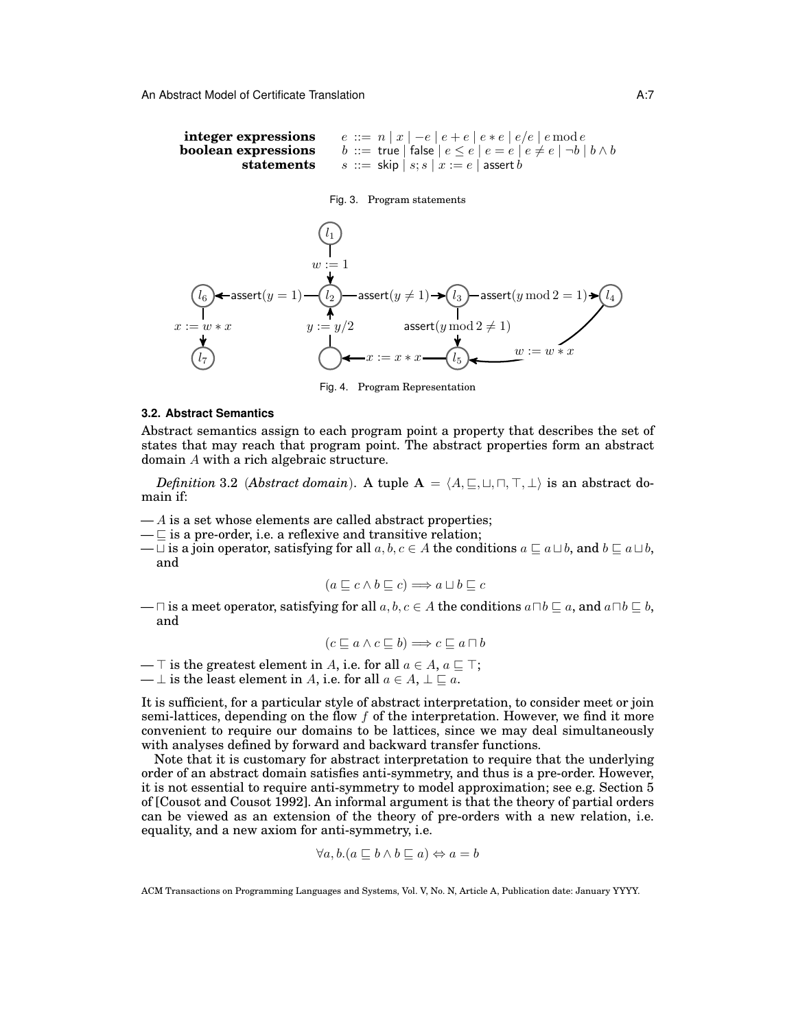```
integer expressions e ::= n | x | -e | e + e | e * e | e/e | e \mod e<br>boolean expressions b ::= \text{true} | \text{false} | e \leq e | e = e | e \neq e | \neg b |b ::= true | false |e \leq e | e = e | e \neq e | \neg b | b \wedge bstatements s ::= skip | s; s | x := e | assert b
```
## Fig. 3. Program statements



Fig. 4. Program Representation

#### **3.2. Abstract Semantics**

Abstract semantics assign to each program point a property that describes the set of states that may reach that program point. The abstract properties form an abstract domain A with a rich algebraic structure.

*Definition* 3.2 (*Abstract domain*). A tuple  $A = \langle A, \sqsubseteq, \sqcup, \sqcap, \top, \bot \rangle$  is an abstract domain if:

- $-A$  is a set whose elements are called abstract properties;
- $-\square$  is a pre-order, i.e. a reflexive and transitive relation;
- $\Box$  is a join operator, satisfying for all  $a, b, c \in A$  the conditions  $a \sqsubseteq a \sqcup b$ , and  $b \sqsubseteq a \sqcup b$ , and

$$
(a \sqsubseteq c \land b \sqsubseteq c) \Longrightarrow a \sqcup b \sqsubseteq c
$$

—  $\Box$  is a meet operator, satisfying for all  $a, b, c \in A$  the conditions  $a \Box b \sqsubseteq a$ , and  $a \Box b \sqsubseteq b$ , and

$$
(c \sqsubseteq a \land c \sqsubseteq b) \Longrightarrow c \sqsubseteq a \sqcap b
$$

—  $\top$  is the greatest element in A, i.e. for all  $a \in A$ ,  $a \sqsubseteq \top$ ;

—  $\perp$  is the least element in A, i.e. for all  $a \in A$ ,  $\perp \sqsubseteq a$ .

It is sufficient, for a particular style of abstract interpretation, to consider meet or join semi-lattices, depending on the flow  $f$  of the interpretation. However, we find it more convenient to require our domains to be lattices, since we may deal simultaneously with analyses defined by forward and backward transfer functions.

Note that it is customary for abstract interpretation to require that the underlying order of an abstract domain satisfies anti-symmetry, and thus is a pre-order. However, it is not essential to require anti-symmetry to model approximation; see e.g. Section 5 of [Cousot and Cousot 1992]. An informal argument is that the theory of partial orders can be viewed as an extension of the theory of pre-orders with a new relation, i.e. equality, and a new axiom for anti-symmetry, i.e.

$$
\forall a, b. (a \sqsubseteq b \land b \sqsubseteq a) \Leftrightarrow a = b
$$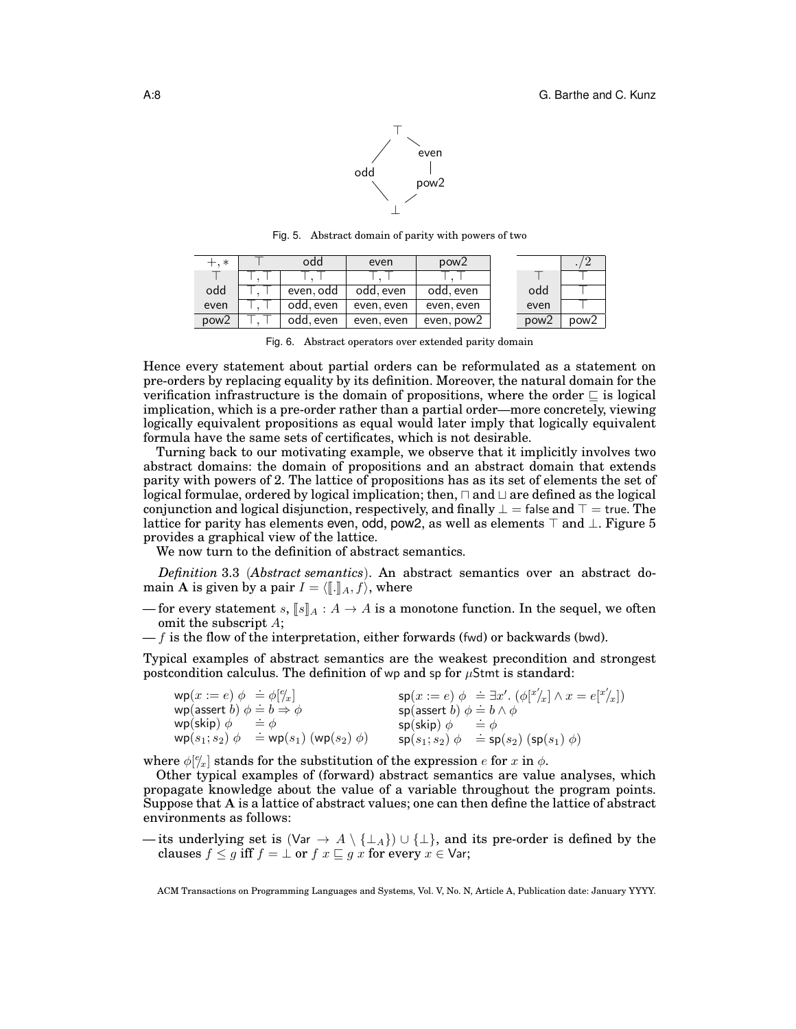

 $+, *$   $\top$   $\top$  odd  $\top$  even  $\top$  pow2 T T, T T, T T, T T, T odd  $\top, \top$  even, odd odd, even odd, even even  $\top$ ,  $\top$  odd, even even, even even, even  $pow2$   $T, T$  odd, even even, even even, pow2 ./2  $\top$   $\begin{array}{|c|c|c|c|c|}\n\hline\n\top & \multicolumn{1}{|c|}{\textbf{1}}\n\end{array}$ odd > even pow $2 \sqrt{p}$ 

Fig. 5. Abstract domain of parity with powers of two

Fig. 6. Abstract operators over extended parity domain

Hence every statement about partial orders can be reformulated as a statement on pre-orders by replacing equality by its definition. Moreover, the natural domain for the verification infrastructure is the domain of propositions, where the order  $\subseteq$  is logical implication, which is a pre-order rather than a partial order—more concretely, viewing logically equivalent propositions as equal would later imply that logically equivalent formula have the same sets of certificates, which is not desirable.

Turning back to our motivating example, we observe that it implicitly involves two abstract domains: the domain of propositions and an abstract domain that extends parity with powers of 2. The lattice of propositions has as its set of elements the set of logical formulae, ordered by logical implication; then,  $\Box$  and  $\Box$  are defined as the logical conjunction and logical disjunction, respectively, and finally  $\bot$  = false and  $\top$  = true. The lattice for parity has elements even, odd, pow2, as well as elements  $\top$  and  $\bot$ . Figure 5 provides a graphical view of the lattice.

We now turn to the definition of abstract semantics.

*Definition* 3.3 (*Abstract semantics*). An abstract semantics over an abstract domain A is given by a pair  $I = \langle \mathbb{I}, \mathbb{I}_A, f \rangle$ , where

— for every statement s,  $\llbracket s \rrbracket_A : A \to A$  is a monotone function. In the sequel, we often omit the subscript A;

 $-f$  is the flow of the interpretation, either forwards (fwd) or backwards (bwd).

Typical examples of abstract semantics are the weakest precondition and strongest postcondition calculus. The definition of wp and sp for  $\mu$ Stmt is standard:

| $wp(x := e) \phi = \phi[\mathscr{C}_x]$       | $\mathsf{sp}(x := e)$ $\phi \doteq \exists x'.$ $(\phi[x']_x] \wedge x = e[x']_x$        |
|-----------------------------------------------|------------------------------------------------------------------------------------------|
| wp(assert b) $\phi \doteq b \Rightarrow \phi$ | sp(assert b) $\phi \doteq b \wedge \phi$                                                 |
| wp(skip) $\phi$<br>$=$ $\phi$                 | $\mathsf{sp}(\mathsf{skip}) \phi \Rightarrow \phi$                                       |
| $wp(s_1; s_2) \phi = wp(s_1) (wp(s_2) \phi)$  | $\mathsf{sp}(s_1; s_2) \phi \cong \mathsf{sp}(s_2) \left( \mathsf{sp}(s_1) \phi \right)$ |

where  $\phi[\ell_x]$  stands for the substitution of the expression  $e$  for  $x$  in  $\phi$ .

Other typical examples of (forward) abstract semantics are value analyses, which propagate knowledge about the value of a variable throughout the program points. Suppose that A is a lattice of abstract values; one can then define the lattice of abstract environments as follows:

— its underlying set is (Var  $\rightarrow$  A \ { $\perp$ A})  $\cup$  { $\perp$ }, and its pre-order is defined by the clauses  $f \leq g$  iff  $f = \bot$  or  $f$   $x \sqsubseteq g$  x for every  $x \in \text{Var}$ ;

ACM Transactions on Programming Languages and Systems, Vol. V, No. N, Article A, Publication date: January YYYY.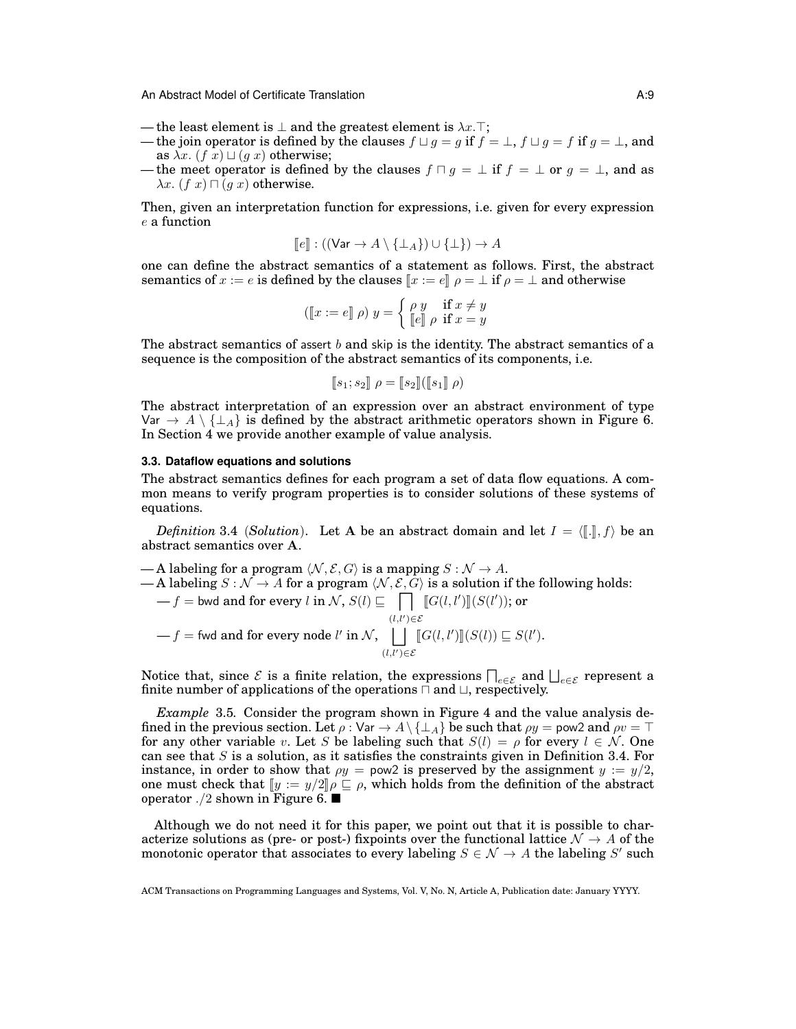- the least element is  $\perp$  and the greatest element is  $\lambda x.\top$ ;
- the join operator is defined by the clauses  $f \sqcup g = g$  if  $f = \bot$ ,  $f \sqcup g = f$  if  $g = \bot$ , and as  $\lambda x$ .  $(f \overline{x}) \sqcup (g \overline{x})$  otherwise;
- the meet operator is defined by the clauses  $f \sqcap g = \bot$  if  $f = \bot$  or  $g = \bot$ , and as  $\lambda x.$  (f x)  $\sqcap$  (g x) otherwise.

Then, given an interpretation function for expressions, i.e. given for every expression e a function

$$
[\![e]\!]:((\mathsf{Var}\to A\setminus\{\perp_A\})\cup\{\perp\})\to A
$$

one can define the abstract semantics of a statement as follows. First, the abstract semantics of  $x := e$  is defined by the clauses  $\|x := e\| \rho = \perp$  if  $\rho = \perp$  and otherwise

$$
(\llbracket x := e \rrbracket \, \rho) \, y = \begin{cases} \rho \, y & \text{if } x \neq y \\ \llbracket e \rrbracket \, \rho & \text{if } x = y \end{cases}
$$

The abstract semantics of assert b and skip is the identity. The abstract semantics of a sequence is the composition of the abstract semantics of its components, i.e.

$$
[\![s_1; s_2]\!] \; \rho = [\![s_2]\!] ([\![s_1]\!] \; \rho)
$$

The abstract interpretation of an expression over an abstract environment of type Var  $\rightarrow$  A \ { $\perp$ A} is defined by the abstract arithmetic operators shown in Figure 6. In Section 4 we provide another example of value analysis.

#### **3.3. Dataflow equations and solutions**

The abstract semantics defines for each program a set of data flow equations. A common means to verify program properties is to consider solutions of these systems of equations.

*Definition* 3.4 (*Solution*). Let A be an abstract domain and let  $I = \langle \langle \mathbf{I}, \mathbf{I} \rangle \rangle$  be an abstract semantics over A.

— A labeling for a program  $\langle N, \mathcal{E}, G \rangle$  is a mapping  $S : \mathcal{N} \to A$ . — A labeling  $S : \mathcal{N} \to A$  for a program  $\langle \mathcal{N}, \mathcal{E}, G \rangle$  is a solution if the following holds:  $-f$  = bwd and for every l in N,  $S(l) \sqsubseteq \Box$  $\prod_{(l,l') \in \mathcal{E}} \llbracket G(l,l') \rrbracket (S(l'));$  or  $-f =$  fwd and for every node l' in N, | |  $\bigcup_{(l,l')\in\mathcal{E}} [G(l,l')] [S(l)] \sqsubseteq S(l').$ 

Notice that, since  $\mathcal E$  is a finite relation, the expressions  $\bigcap_{e\in\mathcal E}$  and  $\bigsqcup_{e\in\mathcal E}$  represent a finite number of applications of the operations  $\sqcap$  and  $\sqcup$ , respectively.

*Example* 3.5*.* Consider the program shown in Figure 4 and the value analysis defined in the previous section. Let  $\rho : \text{Var} \to A \setminus \{\perp_A\}$  be such that  $\rho y = \text{pow2}$  and  $\rho v = \top$ for any other variable v. Let S be labeling such that  $S(l) = \rho$  for every  $l \in \mathcal{N}$ . One can see that  $S$  is a solution, as it satisfies the constraints given in Definition 3.4. For instance, in order to show that  $\rho y = \text{pow2}$  is preserved by the assignment  $y := y/2$ , one must check that  $[y := y/2] \rho \subseteq \rho$ , which holds from the definition of the abstract operator ./2 shown in Figure 6.

Although we do not need it for this paper, we point out that it is possible to characterize solutions as (pre- or post-) fixpoints over the functional lattice  $\mathcal{N} \to A$  of the monotonic operator that associates to every labeling  $S \in \mathcal{N} \to A$  the labeling  $S'$  such

ACM Transactions on Programming Languages and Systems, Vol. V, No. N, Article A, Publication date: January YYYY.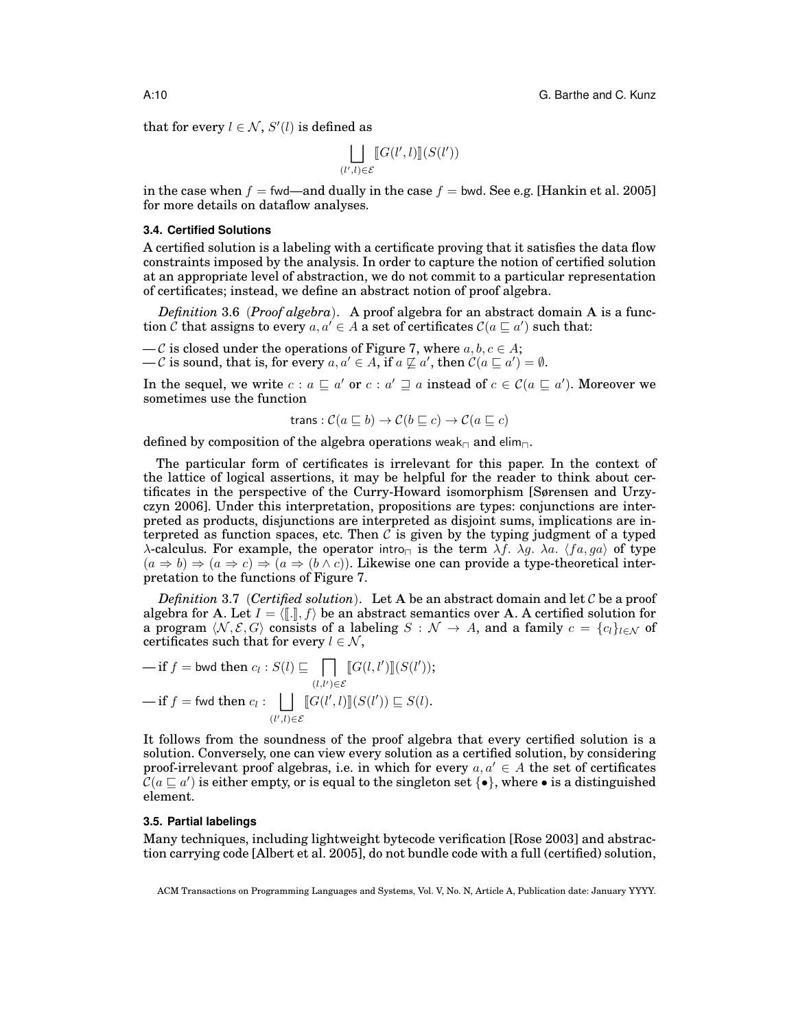that for every  $l \in \mathcal{N}$ ,  $S'(l)$  is defined as

$$
\bigsqcup_{(l',l)\in\mathcal{E}} \llbracket G(l',l) \rrbracket (S(l'))
$$

in the case when  $f =$  fwd—and dually in the case  $f =$  bwd. See e.g. [Hankin et al. 2005] for more details on dataflow analyses.

## **3.4. Certified Solutions**

A certified solution is a labeling with a certificate proving that it satisfies the data flow constraints imposed by the analysis. In order to capture the notion of certified solution at an appropriate level of abstraction, we do not commit to a particular representation of certificates; instead, we define an abstract notion of proof algebra.

*Definition* 3.6 (*Proof algebra*). A proof algebra for an abstract domain A is a function  $\mathcal C$  that assigns to every  $a, a' \in A$  a set of certificates  $\mathcal C(a \sqsubseteq a')$  such that:

- C is closed under the operations of Figure 7, where  $a, b, c \in A$ ;
- $-\mathcal{C}$  is sound, that is, for every  $a, a' \in A$ , if  $a \not\sqsubseteq a'$ , then  $\mathcal{C}(a \sqsubseteq a') = \emptyset$ .

In the sequel, we write  $c : a \sqsubseteq a'$  or  $c : a' \sqsupseteq a$  instead of  $c \in \mathcal{C}(a \sqsubseteq a')$ . Moreover we sometimes use the function

trans: 
$$
\mathcal{C}(a \sqsubseteq b) \rightarrow \mathcal{C}(b \sqsubseteq c) \rightarrow \mathcal{C}(a \sqsubseteq c)
$$

defined by composition of the algebra operations weak<sub> $\Box$ </sub> and elim $\Box$ .

The particular form of certificates is irrelevant for this paper. In the context of the lattice of logical assertions, it may be helpful for the reader to think about certificates in the perspective of the Curry-Howard isomorphism [Sørensen and Urzyczyn 2006]. Under this interpretation, propositions are types: conjunctions are interpreted as products, disjunctions are interpreted as disjoint sums, implications are interpreted as function spaces, etc. Then  $\mathcal C$  is given by the typing judgment of a typed λ-calculus. For example, the operator intro<sub>π</sub> is the term  $\lambda f$ .  $\lambda g$ . λa.  $\langle fa, ga \rangle$  of type  $(a \Rightarrow b) \Rightarrow (a \Rightarrow c) \Rightarrow (a \Rightarrow (b \land c))$ . Likewise one can provide a type-theoretical interpretation to the functions of Figure 7.

*Definition* 3.7 (*Certified solution*). Let A be an abstract domain and let C be a proof algebra for A. Let  $I = \langle \llbracket \cdot \rrbracket, f \rangle$  be an abstract semantics over A. A certified solution for a program  $\langle N, \mathcal{E}, G \rangle$  consists of a labeling  $S : \mathcal{N} \to A$ , and a family  $c = \{c_l\}_{l \in \mathcal{N}}$  of certificates such that for every  $l \in \mathcal{N}$ ,

$$
-\text{if } f = \text{bwd then } c_l : S(l) \sqsubseteq \prod_{(l,l') \in \mathcal{E}} [G(l, l')][S(l'));
$$
  

$$
-\text{if } f = \text{fwd then } c_l : \bigsqcup_{(l',l) \in \mathcal{E}} [G(l',l)][S(l')) \sqsubseteq S(l).
$$

It follows from the soundness of the proof algebra that every certified solution is a solution. Conversely, one can view every solution as a certified solution, by considering proof-irrelevant proof algebras, i.e. in which for every  $a, a' \in A$  the set of certificates  $C(a \sqsubseteq a')$  is either empty, or is equal to the singleton set  $\{\bullet\}$ , where  $\bullet$  is a distinguished element.

## **3.5. Partial labelings**

Many techniques, including lightweight bytecode verification [Rose 2003] and abstraction carrying code [Albert et al. 2005], do not bundle code with a full (certified) solution,

ACM Transactions on Programming Languages and Systems, Vol. V, No. N, Article A, Publication date: January YYYY.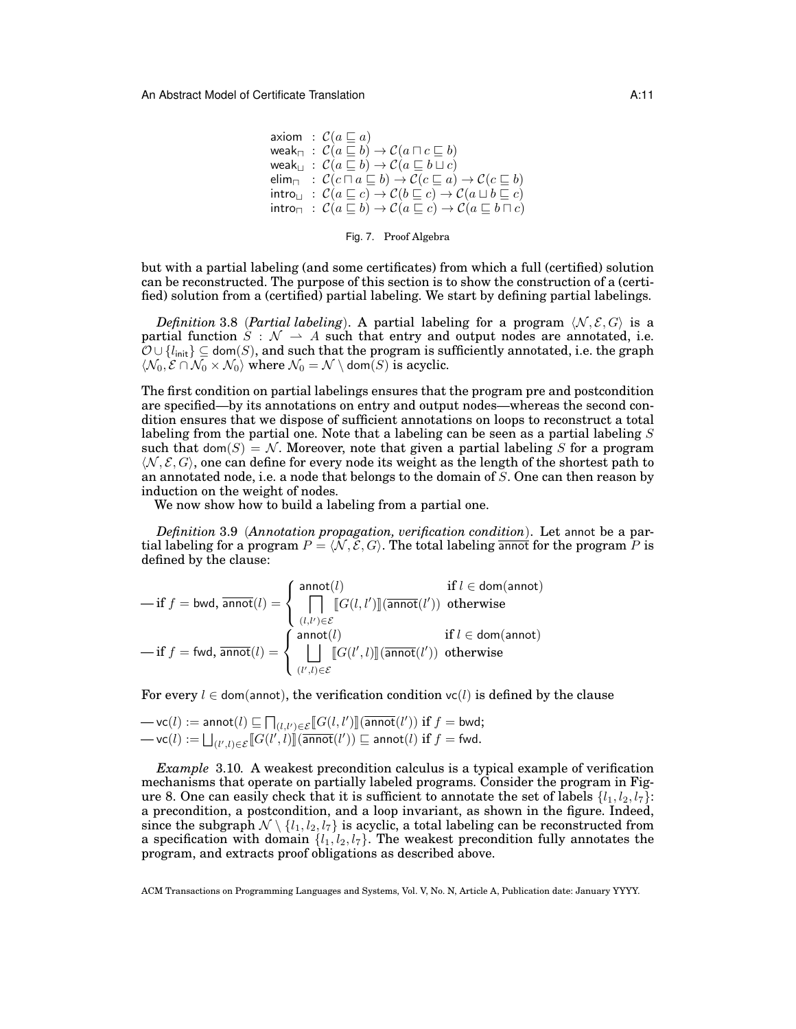axiom :  $C(a \sqsubseteq a)$ weak<sub> $\Box$ </sub> :  $\mathcal{C}(a \sqsubseteq b) \rightarrow \mathcal{C}(a \sqcap c \sqsubseteq b)$ weak $\mathsf{u} \; : \; \mathcal{C}(a \sqsubseteq b) \rightarrow \mathcal{C}(a \sqsubseteq b \sqcup c)$ elim $\Box$  :  $\mathcal{C}(c \sqcap a \sqsubseteq b) \to \mathcal{C}(c \sqsubseteq a) \to \mathcal{C}(c \sqsubseteq b)$  $\mathsf{intro}_{\sqcup}$  :  $\mathcal{C}(a \sqsubseteq c) \to \mathcal{C}(b \sqsubseteq c) \to \mathcal{C}(a \sqcup b \sqsubseteq c)$  $\text{introp} : \mathcal{C}(a \sqsubseteq b) \to \mathcal{C}(a \sqsubseteq c) \to \mathcal{C}(a \sqsubseteq b \sqcap c)$ 

Fig. 7. Proof Algebra

but with a partial labeling (and some certificates) from which a full (certified) solution can be reconstructed. The purpose of this section is to show the construction of a (certified) solution from a (certified) partial labeling. We start by defining partial labelings.

*Definition* 3.8 (*Partial labeling*). A partial labeling for a program  $\langle N, \mathcal{E}, G \rangle$  is a partial function  $S : \mathcal{N} \to A$  such that entry and output nodes are annotated, i.e.  $\mathcal{O} \cup \{l_{\mathsf{init}}\} \subseteq \textsf{dom}(S)$ , and such that the program is sufficiently annotated, i.e. the graph  $\langle \mathcal{N}_0, \mathcal{E} \cap \mathcal{N}_0 \times \mathcal{N}_0 \rangle$  where  $\mathcal{N}_0 = \mathcal{N} \setminus \text{dom}(S)$  is acyclic.

The first condition on partial labelings ensures that the program pre and postcondition are specified—by its annotations on entry and output nodes—whereas the second condition ensures that we dispose of sufficient annotations on loops to reconstruct a total labeling from the partial one. Note that a labeling can be seen as a partial labeling S such that dom(S) = N. Moreover, note that given a partial labeling S for a program  $\langle N, \mathcal{E}, G \rangle$ , one can define for every node its weight as the length of the shortest path to an annotated node, i.e. a node that belongs to the domain of S. One can then reason by induction on the weight of nodes.

We now show how to build a labeling from a partial one.

*Definition* 3.9 (*Annotation propagation, verification condition*). Let annot be a partial labeling for a program  $P = \langle N, \mathcal{E}, G \rangle$ . The total labeling annot for the program P is defined by the clause:

$$
-\text{if } f = \text{bwd, } \overline{\text{annot}}(l) = \begin{cases} \text{annot}(l) & \text{if } l \in \text{dom}(\text{annot}) \\ \prod_{(l,l') \in \mathcal{E}} \llbracket G(l,l') \rrbracket(\overline{\text{annot}}(l')) & \text{otherwise} \end{cases}
$$

$$
-\text{if } f = \text{fwd, } \overline{\text{annot}}(l) = \begin{cases} \text{annot}(l) & \text{if } l \in \text{dom}(\text{annot}) \\ \prod_{(l',l') \in \mathcal{E}} \llbracket G(l',l) \rrbracket(\overline{\text{annot}}(l')) & \text{otherwise} \end{cases}
$$

For every  $l \in$  dom(annot), the verification condition  $vc(l)$  is defined by the clause

$$
-vc(l) := \text{annot}(l) \sqsubseteq \prod_{(l,l')\in \mathcal{E}} [G(l,l')] (\overline{\text{annot}}(l')) \text{ if } f = \text{bwd};
$$
  

$$
-vc(l) := \bigsqcup_{(l',l)\in \mathcal{E}} [G(l',l)] (\overline{\text{annot}}(l')) \sqsubseteq \text{annot}(l) \text{ if } f = \text{fwd}.
$$

*Example* 3.10*.* A weakest precondition calculus is a typical example of verification mechanisms that operate on partially labeled programs. Consider the program in Figure 8. One can easily check that it is sufficient to annotate the set of labels  $\{l_1, l_2, l_7\}$ : a precondition, a postcondition, and a loop invariant, as shown in the figure. Indeed, since the subgraph  $\mathcal{N} \setminus \{l_1, l_2, l_7\}$  is acyclic, a total labeling can be reconstructed from a specification with domain  $\{l_1, l_2, l_7\}$ . The weakest precondition fully annotates the program, and extracts proof obligations as described above.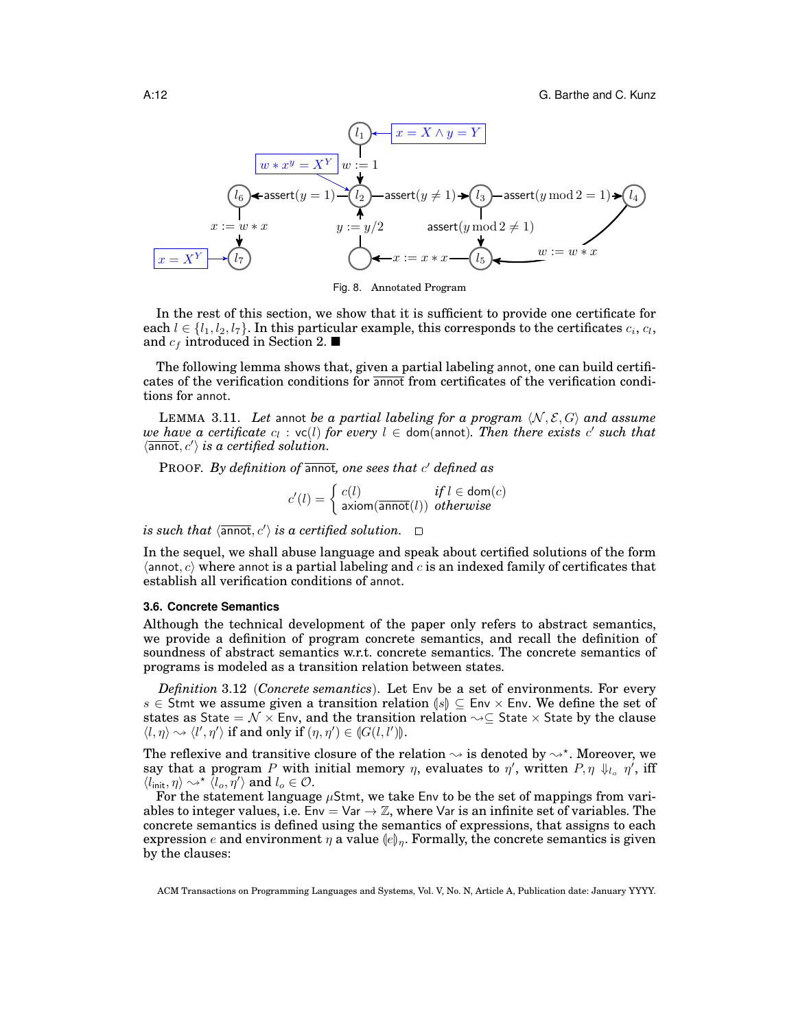

Fig. 8. Annotated Program

In the rest of this section, we show that it is sufficient to provide one certificate for each  $l \in \{l_1, l_2, l_7\}$ . In this particular example, this corresponds to the certificates  $c_i, c_l,$ and  $c_f$  introduced in Section 2.

The following lemma shows that, given a partial labeling annot, one can build certificates of the verification conditions for annot from certificates of the verification conditions for annot.

LEMMA 3.11. Let annot be a partial labeling for a program  $\langle N, \mathcal{E}, G \rangle$  and assume  $we$  have a certificate  $c_l$  :  $\mathsf{vc}(l)$  for every  $l \in$  dom(annot). Then there exists  $c'$  such that  $\langle \overline{\text{annot}}, c' \rangle$  is a certified solution.

PROOF. By definition of annot, one sees that c' defined as

$$
c'(l) = \begin{cases} c(l) & \text{if } l \in \text{dom}(c) \\ \text{axiom}(\overline{\text{annot}}(l)) & \text{otherwise} \end{cases}
$$

*is such that*  $\langle \overline{\mathsf{annot}}, c' \rangle$  *is a certified solution.* 

In the sequel, we shall abuse language and speak about certified solutions of the form  $\langle$  annot, c) where annot is a partial labeling and c is an indexed family of certificates that establish all verification conditions of annot.

### **3.6. Concrete Semantics**

Although the technical development of the paper only refers to abstract semantics, we provide a definition of program concrete semantics, and recall the definition of soundness of abstract semantics w.r.t. concrete semantics. The concrete semantics of programs is modeled as a transition relation between states.

*Definition* 3.12 (*Concrete semantics*). Let Env be a set of environments. For every s ∈ Stmt we assume given a transition relation  $|\mathcal{S}|$  ⊆ Env × Env. We define the set of states as State =  $\mathcal{N} \times$  Env, and the transition relation  $\sim \subseteq$  State  $\times$  State by the clause  $\langle l, \eta \rangle \rightsquigarrow \langle l', \eta' \rangle$  if and only if  $(\eta, \eta') \in (G(l, l'))$ .

The reflexive and transitive closure of the relation  $\rightsquigarrow$  is denoted by  $\rightsquigarrow^{\star}$ . Moreover, we say that a program P with initial memory  $\eta$ , evaluates to  $\eta'$ , written  $P$ ,  $\eta \downarrow_{l_o} \eta'$ , iff  $\langle l_{\mathsf{init}}, \eta \rangle \leadsto^{\star} \langle l_o, \eta' \rangle$  and  $l_o \in \mathcal{O}$ .

For the statement language  $\mu$ Stmt, we take Env to be the set of mappings from variables to integer values, i.e.  $Env = Var \rightarrow \mathbb{Z}$ , where Var is an infinite set of variables. The concrete semantics is defined using the semantics of expressions, that assigns to each expression e and environment  $\eta$  a value  $\langle e \rangle_{\eta}$ . Formally, the concrete semantics is given by the clauses:

ACM Transactions on Programming Languages and Systems, Vol. V, No. N, Article A, Publication date: January YYYY.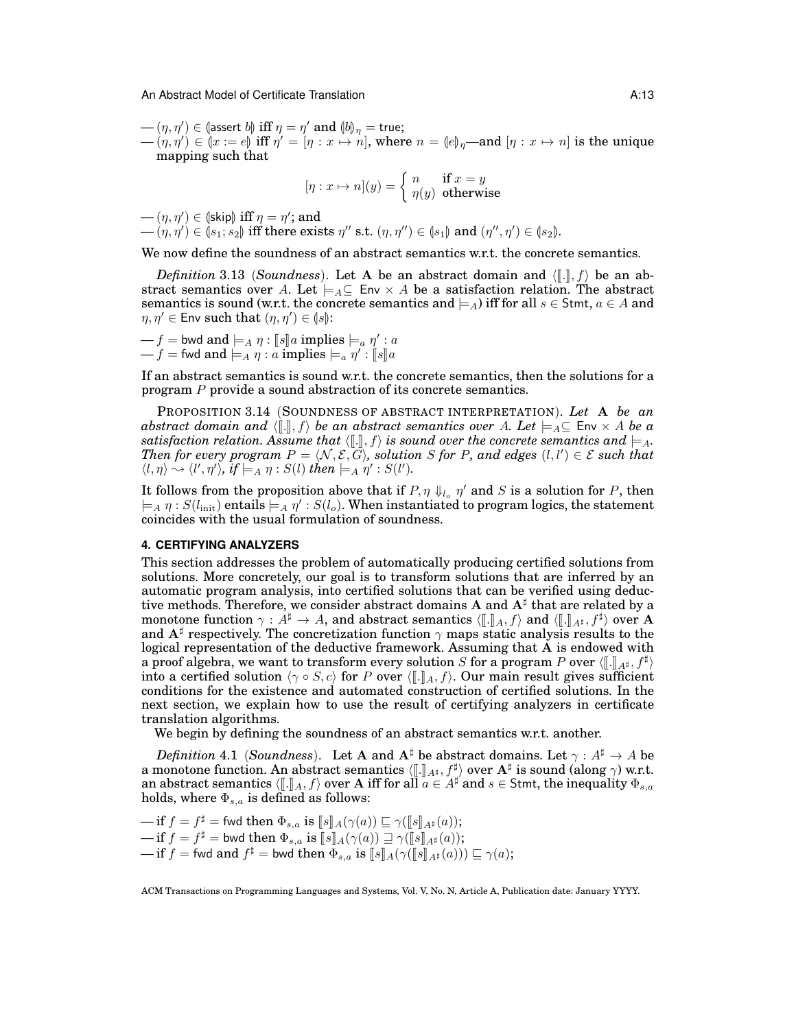$(- (n, \eta') \in (\text{assert } b]) \text{ iff } \eta = \eta' \text{ and } (b)_{\eta} = \text{true};$ <br>  $(- (n, \eta') \in (x - e]) \text{ iff } \eta' = [n, x \mapsto n] \text{ when }$ 

 $-(\eta, \eta') \in (x := e)$  iff  $\eta' = [\eta : x \mapsto n]$ , where  $n = (e)_{\eta}$ —and  $[\eta : x \mapsto n]$  is the unique manning such that mapping such that

$$
[\eta : x \mapsto n](y) = \begin{cases} n & \text{if } x = y \\ \eta(y) & \text{otherwise} \end{cases}
$$

 $-(\eta, \eta') \in (\text{skip}) \text{ iff } \eta = \eta'$ ; and<br>  $-(\eta, \eta') \in (\text{else}, \text{else}) \text{ iff there exists}$ 

 $-(\eta, \eta') \in (s_1; s_2)$  iff there exists  $\eta''$  s.t.  $(\eta, \eta'') \in (s_1)$  and  $(\eta'', \eta') \in (s_2)$ .

We now define the soundness of an abstract semantics w.r.t. the concrete semantics.

*Definition* 3.13 (*Soundness*). Let A be an abstract domain and  $\langle [\![ . ]\!]$ ,  $f \rangle$  be an abstract semantics over A. Let  $\models_A \subseteq \text{Env} \times A$  be a satisfaction relation. The abstract semantics is sound (w.r.t. the concrete semantics and  $\models_A$ ) iff for all  $s \in$  Stmt,  $a \in A$  and  $\eta, \eta' \in \mathsf{Env} \text{ such that } (\eta, \eta') \in (\mathsf{ls}):\$ 

 $-f =$  bwd and  $\models A \eta : \llbracket s \rrbracket a$  implies  $\models a \eta' : a$ <br> $\bot$  f  $\vdash$  fwd and  $\models a \eta' : a$  implies  $\models \eta' : \llbracket s \rrbracket a$  $-f = \text{fwd} \text{ and } \models_A \eta : a \text{ implies } \models_a \eta' : \llbracket s \rrbracket a$ 

If an abstract semantics is sound w.r.t. the concrete semantics, then the solutions for a program P provide a sound abstraction of its concrete semantics.

PROPOSITION 3.14 (SOUNDNESS OF ABSTRACT INTERPRETATION). *Let* A *be an abstract domain and*  $\langle [\cdot] , f \rangle$  *be an abstract semantics over* A. Let  $\models_A \subseteq \text{Env} \times A$  *be a satisfaction relation. Assume that*  $\langle \lbrack \cdot \rbrack \rbrack$ ,  $f \rangle$  *is sound over the concrete semantics and*  $\models A$ *. Then for every program*  $P = \langle N, \mathcal{E}, \mathcal{G} \rangle$ , solution S for P, and edges  $(l, l') \in \mathcal{E}$  such that  $\langle l, \eta \rangle \rightsquigarrow \langle l', \eta' \rangle$ , if  $\models_A \eta : S(l)$  then  $\models_A \eta' : S(l').$ 

It follows from the proposition above that if  $P, \eta \downarrow_{l_o} \eta'$  and S is a solution for P, then  $\models_A \eta : S(l_\text{init})$  entails  $\models_A \eta' : S(l_o).$  When instantiated to program logics, the statement coincides with the usual formulation of soundness.

## **4. CERTIFYING ANALYZERS**

This section addresses the problem of automatically producing certified solutions from solutions. More concretely, our goal is to transform solutions that are inferred by an automatic program analysis, into certified solutions that can be verified using deductive methods. Therefore, we consider abstract domains A and  $A^{\sharp}$  that are related by a monotone function  $\gamma : A^{\sharp} \to A$ , and abstract semantics  $\langle [\![ . ] ]_A, f \rangle$  and  $\langle [\![ . ] ]_{A^{\sharp}}, f^{\sharp} \rangle$  over A and  $A^{\sharp}$  respectively. The concretization function  $\alpha$  mans static analysis results to the and  $A^{\sharp}$  respectively. The concretization function  $\gamma$  maps static analysis results to the logical representation of the deductive framework. Assuming that A is endowed with a proof algebra, we want to transform every solution S for a program P over  $(\llbracket . \rrbracket_{4^{\sharp}}, f^{\sharp})$  into a certified solution  $(\gamma \circ S \circ)$  for P over  $(\llbracket . \rrbracket_{+}, f)$  Our main result gives sufficient into a certified solution  $\langle \gamma \circ S, c \rangle$  for P over  $\langle [\![ . ]\!]_A, f \rangle$ . Our main result gives sufficient conditions for the existence and automated construction of certified solutions. In the next section, we explain how to use the result of certifying analyzers in certificate translation algorithms.

We begin by defining the soundness of an abstract semantics w.r.t. another.

*Definition* 4.1 (*Soundness*). Let A and  $A^{\sharp}$  be abstract domains. Let  $\gamma : A^{\sharp} \to A$  be a monotone function. An abstract semantics  $\langle [\![ \cdot ]\!]_{A^{\sharp}}, f^{\sharp} \rangle$  over  $A^{\sharp}$  is sound (along  $\gamma$ ) w.r.t.<br>an abstract semantics  $\langle [\![ \cdot ]\!]_{A^{\sharp}} f \rangle$  over A iff for all  $a \in A^{\sharp}$  and  $s \in$  Stmt, the inequality  $\Phi$ an abstract semantics  $\langle [\![ . ]\!]_A, f \rangle$  over A iff for all  $a \in A^{\sharp}$  and  $s \in$  Stmt, the inequality  $\Phi_{s,a}$  holds, where  $\Phi_{s,a}$  is defined as follows:

 $-\text{if } f = f^{\sharp} = \text{fwd} \text{ then } \Phi_{s,a} \text{ is } [\![s]\!]_A(\gamma(a)) \sqsubseteq \gamma([\![s]\!]_{A^{\sharp}}(a));$ <br>
if  $f = f^{\sharp} = \text{hwd} \text{ then } \Phi_{s,a} \text{ is } [\![s]\!]_A(\gamma(a)) \sqsupset \gamma([\![s]\!]_{A^{\sharp}}(a));$  $\begin{aligned} \mathbf{u} = \mathbf{f}^{\sharp} &= \mathsf{bwd} \ \mathbf{t} \mathbf{h}\mathbf{e} \ \Phi_{s,a} \ \mathbf{i}\mathbf{s} \ [\![s]\!]_A(\gamma(a)) \sqsupseteq \gamma([\![s]\!]_A \mathbf{f}(a)); \ \mathbf{v} = \mathbf{f}\mathbf{f} \end{aligned}$  if  $f = \mathsf{fwd} \ \mathbf{and} \ f^{\sharp} = \mathsf{bwd} \ \mathbf{t} \mathbf{h}\mathbf{e} \mathbf{n} \ \Phi_{s,a} \ \mathbf{i}\mathbf{s} \ [\![s]\!]_A(\gamma([\![s]\!]_A$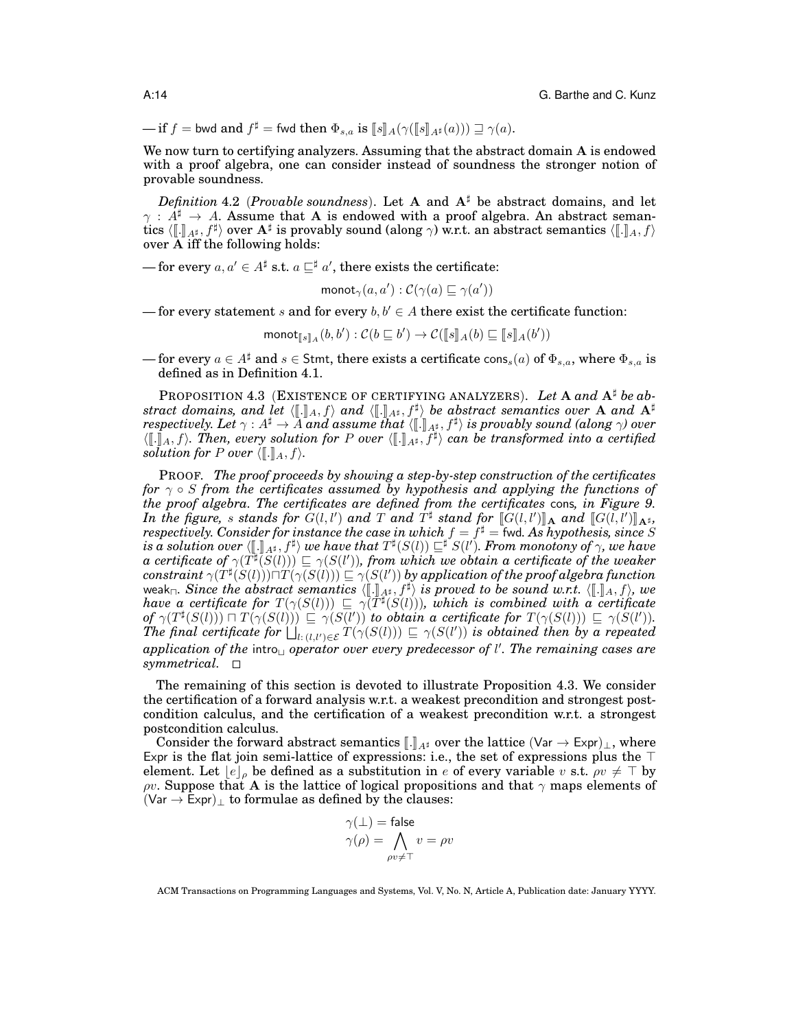$\text{inf } f = \text{bwd} \text{ and } f^{\sharp} = \text{fwd} \text{ then } \Phi_{s,a} \text{ is } \llbracket s \rrbracket_A(\gamma(\llbracket s \rrbracket_{A^{\sharp}}(a))) \sqsupseteq \gamma(a).$ 

We now turn to certifying analyzers. Assuming that the abstract domain A is endowed with a proof algebra, one can consider instead of soundness the stronger notion of provable soundness.

*Definition* 4.2 (*Provable soundness*). Let A and  $A^{\sharp}$  be abstract domains, and let  $\gamma : A^{\sharp} \to A$ . Assume that A is endowed with a proof algebra. An abstract semantics  $\langle [\![ . ] ]\!]_{A^{\sharp}}, f^{\sharp} \rangle$  over  $\mathbf{A}^{\sharp}$  is provably sound (along  $\gamma$ ) w.r.t. an abstract semantics  $\langle [\![ . ]\!]_A, f \rangle$ <br>over A iff the following holds: over A iff the following holds:

— for every  $a, a' \in A^{\sharp}$  s.t.  $a \sqsubseteq^{\sharp} a'$ , there exists the certificate:

$$
\mathsf{monot}_{\gamma}(a, a') : \mathcal{C}(\gamma(a) \sqsubseteq \gamma(a'))
$$

— for every statement s and for every  $b, b' \in A$  there exist the certificate function:

$$
\mathsf{monot}_{[\![s]\!]_A}(b,b'): \mathcal{C}(b \sqsubseteq b') \to \mathcal{C}([\![s]\!]_A(b) \sqsubseteq [\![s]\!]_A(b'))
$$

— for every  $a \in A^{\sharp}$  and  $s \in S$ tmt, there exists a certificate cons<sub>s</sub>(a) of  $\Phi_{s,a}$ , where  $\Phi_{s,a}$  is defined as in Definition 4.1.

PROPOSITION 4.3 (EXISTENCE OF CERTIFYING ANALYZERS). Let A and  $A^{\sharp}$  be ab*stract domains, and let*  $\langle [\![ . ]\!]_A, f \rangle$  *and*  $\langle [\![ . ]\!]_{A^{\sharp}}, f^{\sharp} \rangle$  *be abstract semantics over* **A** *and*  $A^{\sharp}$ <br>respectively Let  $\alpha \cdot A^{\sharp} \to A$  and assume that  $\langle [\![ . ]\!]_{A^{\sharp}} f^{\sharp} \rangle$  is provably sound (along  $\alpha$ *respectively. Let*  $\gamma : A^{\sharp} \to \tilde{A}$  and assume that  $\langle [\cdot]]_{A^{\sharp}}, f^{\sharp} \rangle$  is provably sound (along  $\gamma$ ) over  $\langle \mathbb{I} \rangle$ ,  $f$ ,  $\langle \mathbb{I} \rangle$  and the provably sound into a certified  $\langle [\![ \cdot ]\!]_A, f \rangle$ . Then, every solution for P over  $\langle [\![ \cdot ]\!]_{A^\sharp}, f^\sharp \rangle$  can be transformed into a certified solution for P over  $(\lceil \cdot \rceil)_A, f \rangle$ *solution for* P *over*  $\langle \llbracket . \rrbracket_A, f \rangle$ .

PROOF. *The proof proceeds by showing a step-by-step construction of the certificates for* γ ◦ S *from the certificates assumed by hypothesis and applying the functions of the proof algebra. The certificates are defined from the certificates* cons*, in Figure 9. In the figure,* s stands for  $G(l, l')$  and  $T$  and  $T^{\sharp}$  stand for  $[[G(l, l')]_A$  and  $[[G(l, l')]_A$ <sup>\*</sup>,<br>respectively Consider for instance the case in which  $f - f^{\sharp}$  – fwd. As hypothesis, since S  $respectively.$  Consider for instance the case in which  $f=\dot{f}^{\sharp}=\dot{f}$ wd. As hypothesis, since  $S$  $i\mathbf{s}$  *a* solution over  $\langle [\![ . ]\!]_{A^{\sharp}}, f^{\sharp} \rangle$  we have that  $T^{\sharp}(S(l)) \sqsubseteq^{\sharp} S(l')$ . From monotony of  $\gamma$ , we have  $\alpha$  certificate of  $\gamma(T^{\sharp}(S(l))) \sqsubset \gamma(S(l'))$  from which we obtain a certificate of the weaker  $a$  certificate of  $\gamma(T^{\sharp}(\overline{S}(l)))\sqsubseteq \gamma(S(l'))$ , from which we obtain a certificate of the weaker  $\textit{constraint}\ \gamma(T^\sharp(S(l)))\Box T(\gamma(S(l)))\sqsubseteq \gamma(S(l'))$  by application of the proof algebra function  $\text{weak}_{\Box}$ . Since the abstract semantics  $\langle [\![ . ]\!]_{A^{\sharp}}, f^{\sharp} \rangle$  is proved to be sound w.r.t.  $\langle [\![ . ]\!]_{A}, f \rangle$ , we have a certificate for  $T(\gamma(S(l))) \sqsubseteq \gamma(T^{\sharp}(S(l)))$ , which is combined with a certificate  $\sigma f \gamma(T^{\sharp}(S(l))) \sqcap T(\gamma(S(l))) \sqsubseteq \gamma(S(l'))$  *to obtain a certificate for*  $T(\gamma(S(l))) \sqsubseteq \gamma(S(l'))$ .<br>The final certificate for  $l \perp$   $T(\gamma(S(l))) \sqsubset \gamma(S(l'))$  is obtained than by a repeated The final certificate for  $\bigsqcup_{l:\ (l,l')\in\mathcal{E}} T(\gamma(S(l)))\sqsubseteq \gamma(S(l'))$  is obtained then by a repeated application of the intro<sub> $\cup$ </sub> operator over every predecessor of l'. The remaining cases are *symmetrical.*

The remaining of this section is devoted to illustrate Proposition 4.3. We consider the certification of a forward analysis w.r.t. a weakest precondition and strongest postcondition calculus, and the certification of a weakest precondition w.r.t. a strongest postcondition calculus.

Consider the forward abstract semantics  $\llbracket . \rrbracket_{A^\sharp}$  over the lattice (Var  $\to \text{Expr})_\perp$ , where Expr is the flat join semi-lattice of expressions: i.e., the set of expressions plus the  $\top$ element. Let  $\|e\|_{\rho}$  be defined as a substitution in e of every variable v s.t.  $\rho v \neq \perp$  by ρv. Suppose that A is the lattice of logical propositions and that  $γ$  maps elements of  $(Var \rightarrow Expr)$ <sub>⊥</sub> to formulae as defined by the clauses:

$$
\begin{array}{l} \gamma(\bot) = \mathsf{false} \\ \gamma(\rho) = \bigwedge_{\rho v \neq \top} v = \rho v \end{array}
$$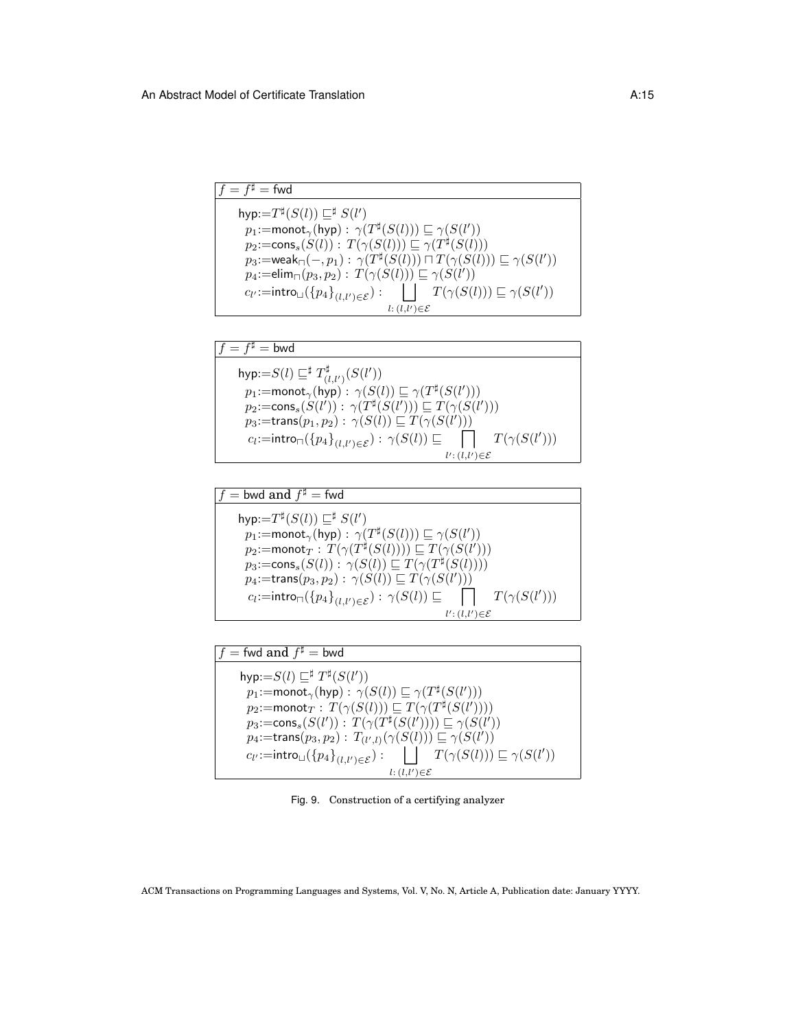| $f = f^{\sharp} = \text{fwd}$                                                                                                 |
|-------------------------------------------------------------------------------------------------------------------------------|
| hyp: $=T^{\sharp}(S(l)) \sqsubseteq^{\sharp} S(l')$                                                                           |
| $p_1$ :=monot <sub><math>\gamma</math></sub> (hyp) : $\gamma(T^{\sharp}(S(l))) \sqsubseteq \gamma(S(l'))$                     |
| $p_2:=\text{cons}_s(S(l)): T(\gamma(S(l))) \sqsubseteq \gamma(T^{\sharp}(S(l)))$                                              |
| $p_3$ :=weak <sub><math>\sqcap(-,p_1): \gamma(T^{\sharp}(S(l))) \sqcap T(\gamma(S(l))) \sqsubseteq \gamma(S(l'))</math></sub> |
| $p_4$ :=elim <sub><math>\sqcap</math></sub> $(p_3, p_2)$ : $T(\gamma(S(l))) \sqsubseteq \gamma(S(l'))$                        |
| $\Box$ $T(\gamma(S(l))) \sqsubseteq \gamma(S(l'))$<br>$c_{l'}{:=}\mathsf{intro}_{\sqcup}(\{p_4\}_{(l,l')\in\mathcal{E}}):$    |
| $l: (l, l') \in \mathcal{E}$                                                                                                  |

| $f = f^{\sharp} =$ bwd                                                                                                                                                                                                                                                                                                                                                                                                                                      |
|-------------------------------------------------------------------------------------------------------------------------------------------------------------------------------------------------------------------------------------------------------------------------------------------------------------------------------------------------------------------------------------------------------------------------------------------------------------|
| hyp:= $S(l) \sqsubseteq^{\sharp} T^{\sharp}_{(l,l')}(S(l'))$<br>$p_1$ :=monot <sub><math>\gamma</math></sub> (hyp) : $\gamma(S(l)) \sqsubseteq \gamma(T^{\sharp}(S(l')))$<br>$p_2:=\text{cons}_s(S(l')): \gamma(T^{\sharp}(S(l'))) \sqsubseteq T(\gamma(S(l')))$<br>$p_3$ :=trans $(p_1, p_2)$ : $\gamma(S(l)) \sqsubseteq T(\gamma(S(l')))$<br>$T(\gamma(S(l')))$<br>$c_l:=\text{intro}_{\sqcap}(\{p_4\}_{(l,l')\in\mathcal{E}}): \gamma(S(l))\sqsubseteq$ |
| $l': (l, l') \in \mathcal{E}$                                                                                                                                                                                                                                                                                                                                                                                                                               |

| $f =$ bwd and $f^{\sharp} =$ fwd                                                                          |
|-----------------------------------------------------------------------------------------------------------|
| hyp: $=T^{\sharp}(S(l)) \sqsubseteq^{\sharp} S(l')$                                                       |
| $p_1$ :=monot <sub><math>\gamma</math></sub> (hyp) : $\gamma(T^{\sharp}(S(l))) \sqsubseteq \gamma(S(l'))$ |
| $p_2$ :=monot $_T: T(\gamma(T^{\sharp}(S(l)))) \sqsubseteq T(\gamma(S(l')))$                              |
| $p_3:=\text{cons}_s(S(l)): \gamma(S(l))\sqsubseteq T(\gamma(T^{\sharp}(S(l))))$                           |
| $p_4$ :=trans $(p_3, p_2)$ : $\gamma(S(l)) \sqsubseteq T(\gamma(S(l')))$                                  |
| $T(\gamma(S(l')))$<br>$c_l:=$ intro $\Box(\{p_4\}_{(l,l')\in\mathcal{E}}): \gamma(S(l))\sqsubseteq$       |
| $l': (l, l') \in \mathcal{E}$                                                                             |

| $f=$ fwd and $f^\sharp=$ bwd                                                                                                                                                                                                                                                                                                                                                                                                                                                                                                                            |
|---------------------------------------------------------------------------------------------------------------------------------------------------------------------------------------------------------------------------------------------------------------------------------------------------------------------------------------------------------------------------------------------------------------------------------------------------------------------------------------------------------------------------------------------------------|
| hyp:= $S(l) \sqsubseteq^{\sharp} T^{\sharp}(S(l'))$<br>$p_1$ :=monot <sub><math>\gamma</math></sub> (hyp) : $\gamma(S(l)) \sqsubseteq \gamma(T^{\sharp}(S(l')))$<br>$p_2$ :=monot $_T: T(\gamma(S(l))) \sqsubseteq T(\gamma(T^{\sharp}(\hat{S(l)})))$<br>$p_3:=\text{cons}_s(S(l')): T(\gamma(T^{\sharp}(S(l')))) \sqsubseteq \gamma(S(l'))$<br>$p_4$ :=trans $(p_3, p_2)$ : $T_{(l', l)}(\gamma(S(l))) \subseteq \gamma(S(l'))$<br>$\Box$ $T(\gamma(S(l))) \sqsubseteq \gamma(S(l'))$<br>$c_{l'} :=$ intro $\cup (\{p_4\}_{(l,l') \in \mathcal{E}})$ : |
| $l: (l, l') \in \mathcal{E}$                                                                                                                                                                                                                                                                                                                                                                                                                                                                                                                            |

Fig. 9. Construction of a certifying analyzer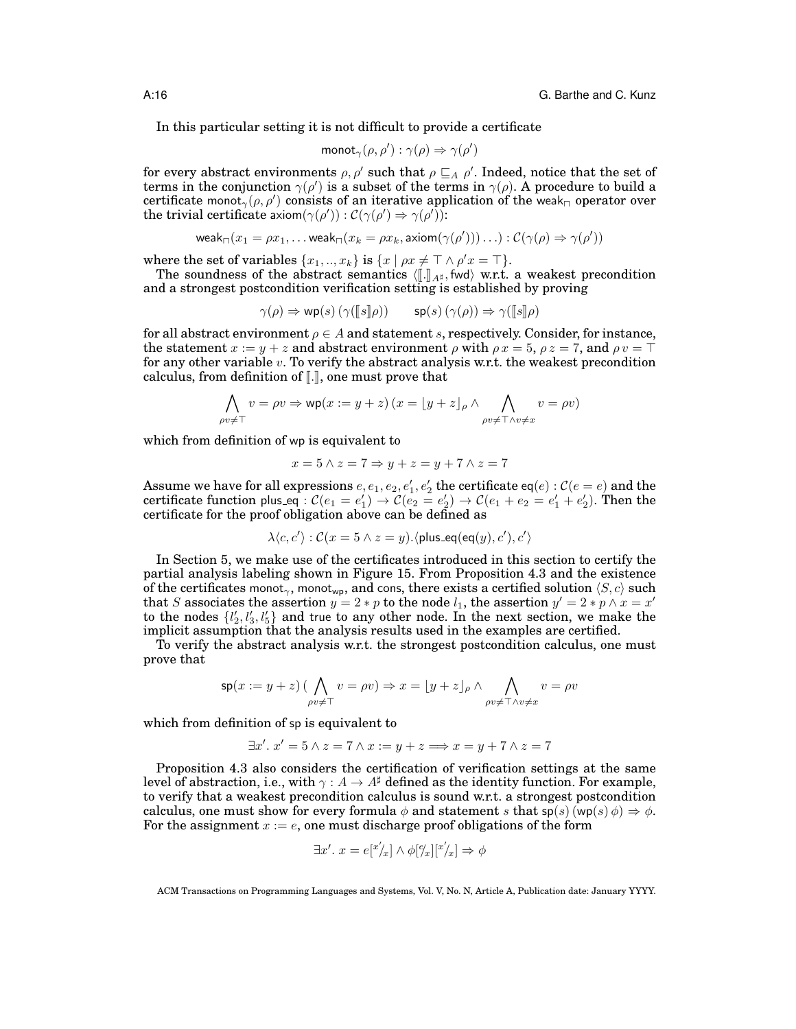In this particular setting it is not difficult to provide a certificate

$$
\mathsf{monot}_\gamma(\rho,\rho'):\gamma(\rho)\Rightarrow\gamma(\rho')
$$

for every abstract environments  $\rho, \rho'$  such that  $\rho \sqsubseteq_A \rho'$ . Indeed, notice that the set of terms in the conjunction  $\gamma(\rho')$  is a subset of the terms in  $\gamma(\rho)$ . A procedure to build a certificate monot $\gamma(\rho, \rho')$  consists of an iterative application of the weak<sub>n</sub> operator over the trivial certificate axiom $(\gamma(\rho')) : \mathcal{C}(\gamma(\rho') \Rightarrow \gamma(\rho'))$ :

$$
\mathsf{weak}_{\square}(x_1=\rho x_1,\ldots \mathsf{weak}_{\square}(x_k=\rho x_k,\mathsf{axiom}(\gamma(\rho')))\ldots):\mathcal{C}(\gamma(\rho)\Rightarrow \gamma(\rho'))
$$

where the set of variables  $\{x_1, ..., x_k\}$  is  $\{x \mid \rho x \neq \top \land \rho' x = \top\}.$ 

The soundness of the abstract semantics  $\langle [\![ . ]\!]_{A^{\sharp}},$  fwd $\rangle$  w.r.t. a weakest precondition and a strongest postcondition verification setting is established by proving

$$
\gamma(\rho) \Rightarrow \mathsf{wp}(s) \left( \gamma([\![s]\!]) \right) \qquad \mathsf{sp}(s) \left( \gamma(\rho) \right) \Rightarrow \gamma([\![s]\!]) \rho
$$

for all abstract environment  $\rho \in A$  and statement s, respectively. Consider, for instance, the statement  $x := y + z$  and abstract environment  $\rho$  with  $\rho x = 5$ ,  $\rho z = 7$ , and  $\rho v = \top$ for any other variable  $v$ . To verify the abstract analysis w.r.t. the weakest precondition calculus, from definition of  $\llbracket . \rrbracket$ , one must prove that

$$
\bigwedge_{\rho v \neq \top} v = \rho v \Rightarrow \text{wp}(x := y + z) \left( x = \lfloor y + z \rfloor_{\rho} \land \bigwedge_{\rho v \neq \top \land v \neq x} v = \rho v \right)
$$

which from definition of wp is equivalent to

$$
x = 5 \land z = 7 \Rightarrow y + z = y + 7 \land z = 7
$$

Assume we have for all expressions  $e, e_1, e_2, e'_1, e'_2$  the certificate eq $(e): \mathcal{C}(e=e)$  and the certificate function plus eq :  $\mathcal{C}(e_1=e_1')\to\mathcal{C}(e_2=e_2')\to\mathcal{C}(e_1+e_2=e_1'+e_2').$  Then the certificate for the proof obligation above can be defined as

$$
\lambda \langle c, c' \rangle : C(x = 5 \land z = y). \langle \mathsf{plus\_eq}(\mathsf{eq}(y), c'), c' \rangle
$$

In Section 5, we make use of the certificates introduced in this section to certify the partial analysis labeling shown in Figure 15. From Proposition 4.3 and the existence of the certificates monot<sub>γ</sub>, monot<sub>γρ</sub>, and cons, there exists a certified solution  $\langle S, c \rangle$  such that S associates the assertion  $y = 2 * p$  to the node  $l_1$ , the assertion  $y' = 2 * p \wedge x = x'$ to the nodes  $\{l'_2, l'_3, l'_5\}$  and true to any other node. In the next section, we make the implicit assumption that the analysis results used in the examples are certified.

To verify the abstract analysis w.r.t. the strongest postcondition calculus, one must prove that

$$
\mathsf{sp}(x := y + z) \left( \bigwedge_{\rho v \neq \top} v = \rho v \right) \Rightarrow x = \lfloor y + z \rfloor_{\rho} \land \bigwedge_{\rho v \neq \top \land v \neq x} v = \rho v
$$

which from definition of sp is equivalent to

$$
\exists x'. x' = 5 \land z = 7 \land x := y + z \Longrightarrow x = y + 7 \land z = 7
$$

Proposition 4.3 also considers the certification of verification settings at the same level of abstraction, i.e., with  $\gamma: A \to A^{\sharp}$  defined as the identity function. For example, to verify that a weakest precondition calculus is sound w.r.t. a strongest postcondition calculus, one must show for every formula  $\phi$  and statement s that  $\mathsf{sp}(s)(\mathsf{wp}(s) \phi) \Rightarrow \phi$ . For the assignment  $x := e$ , one must discharge proof obligations of the form

$$
\exists x'. x = e[^{x'}\!/x] \land \phi[^{\rho}\!/x][^{x'}\!/x] \Rightarrow \phi
$$

ACM Transactions on Programming Languages and Systems, Vol. V, No. N, Article A, Publication date: January YYYY.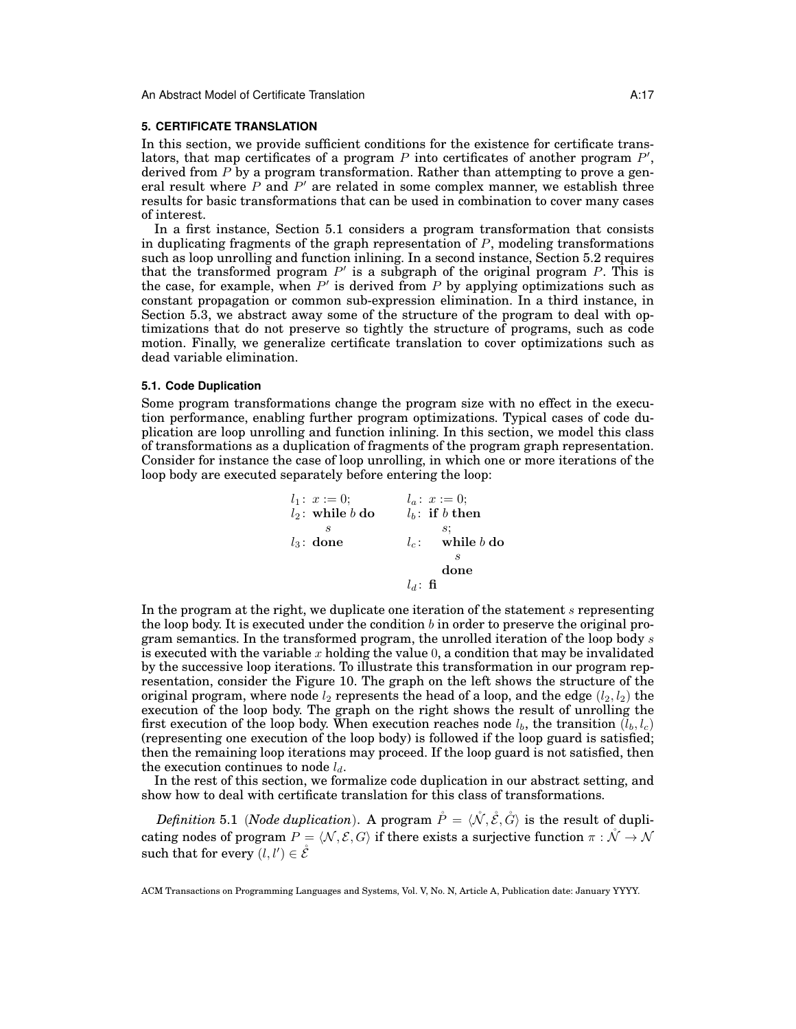#### **5. CERTIFICATE TRANSLATION**

In this section, we provide sufficient conditions for the existence for certificate translators, that map certificates of a program  $P$  into certificates of another program  $P'$ , derived from  $P$  by a program transformation. Rather than attempting to prove a general result where  $P$  and  $P'$  are related in some complex manner, we establish three results for basic transformations that can be used in combination to cover many cases of interest.

In a first instance, Section 5.1 considers a program transformation that consists in duplicating fragments of the graph representation of  $P$ , modeling transformations such as loop unrolling and function inlining. In a second instance, Section 5.2 requires that the transformed program  $P'$  is a subgraph of the original program P. This is the case, for example, when  $P'$  is derived from  $P$  by applying optimizations such as constant propagation or common sub-expression elimination. In a third instance, in Section 5.3, we abstract away some of the structure of the program to deal with optimizations that do not preserve so tightly the structure of programs, such as code motion. Finally, we generalize certificate translation to cover optimizations such as dead variable elimination.

# **5.1. Code Duplication**

Some program transformations change the program size with no effect in the execution performance, enabling further program optimizations. Typical cases of code duplication are loop unrolling and function inlining. In this section, we model this class of transformations as a duplication of fragments of the program graph representation. Consider for instance the case of loop unrolling, in which one or more iterations of the loop body are executed separately before entering the loop:

| $l_1: x := 0;$                    | $l_a: x := 0;$                     |
|-----------------------------------|------------------------------------|
| $l_2: \text{while } b \text{ do}$ | $l_b: \text{ if } b \text{ then}$  |
| $s$                               | $s;$                               |
| $l_3: \text{ done}$               | $l_c: \text{ while } b \text{ do}$ |
| $s$                               | done                               |
| $l_d: \text{ fi}$                 |                                    |

In the program at the right, we duplicate one iteration of the statement  $s$  representing the loop body. It is executed under the condition  $b$  in order to preserve the original program semantics. In the transformed program, the unrolled iteration of the loop body s is executed with the variable x holding the value  $0$ , a condition that may be invalidated by the successive loop iterations. To illustrate this transformation in our program representation, consider the Figure 10. The graph on the left shows the structure of the original program, where node  $l_2$  represents the head of a loop, and the edge  $(l_2, l_2)$  the execution of the loop body. The graph on the right shows the result of unrolling the first execution of the loop body. When execution reaches node  $l_b$ , the transition  $(l_b, l_c)$ (representing one execution of the loop body) is followed if the loop guard is satisfied; then the remaining loop iterations may proceed. If the loop guard is not satisfied, then the execution continues to node  $l_d$ .

In the rest of this section, we formalize code duplication in our abstract setting, and show how to deal with certificate translation for this class of transformations.

*Definition* 5.1 (*Node duplication*). A program  $\tilde{P} = \langle \tilde{\mathcal{N}}, \tilde{\mathcal{E}}, \tilde{\mathcal{G}} \rangle$  is the result of duplicating nodes of program  $P = \langle N, \mathcal{E}, G \rangle$  if there exists a surjective function  $\pi : \mathring{\mathcal{N}} \to \mathcal{N}$ such that for every  $(l, l') \in \mathring{\mathcal{E}}$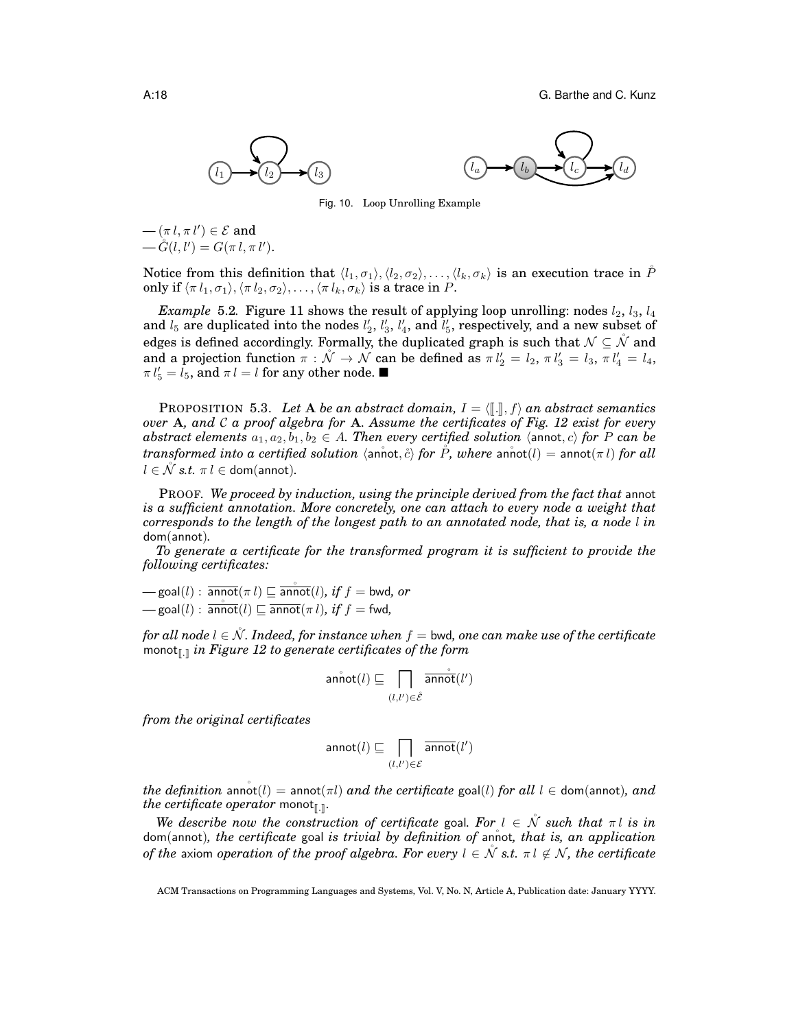



Fig. 10. Loop Unrolling Example

 $-(\pi l, \pi l') \in \mathcal{E}$  and  $-\mathring{G}(l, l') = G(\pi l, \pi l').$ 

Notice from this definition that  $\langle l_1, \sigma_1 \rangle, \langle l_2, \sigma_2 \rangle, \ldots, \langle l_k, \sigma_k \rangle$  is an execution trace in P only if  $\langle \pi l_1, \sigma_1 \rangle$ ,  $\langle \pi l_2, \sigma_2 \rangle$ , ...,  $\langle \pi l_k, \sigma_k \rangle$  is a trace in P.

*Example* 5.2. Figure 11 shows the result of applying loop unrolling: nodes  $l_2$ ,  $l_3$ ,  $l_4$ and  $l_5$  are duplicated into the nodes  $l'_2$ ,  $l'_3$ ,  $l'_4$ , and  $l'_5$ , respectively, and a new subset of edges is defined accordingly. Formally, the duplicated graph is such that  $\mathcal{N} \subseteq \mathcal{N}$  and and a projection function  $\pi : \mathcal{N} \to \mathcal{N}$  can be defined as  $\pi l_2' = l_2$ ,  $\pi l_3' = l_3$ ,  $\pi l_4' = l_4$ ,  $\pi l_5' = \tilde{l}_5$ , and  $\pi l = l$  for any other node.

**PROPOSITION 5.3.** Let A be an abstract domain,  $I = \langle \lceil \cdot \rceil \rangle$ , f) an abstract semantics *over* A*, and* C *a proof algebra for* A*. Assume the certificates of Fig. 12 exist for every abstract elements*  $a_1, a_2, b_1, b_2 \in A$ . Then every certified solution  $\langle$  annot, c $\rangle$  for P can be *transformed into a certified solution*  $\langle$  annot,  $\partial \rangle$  *for*  $\tilde{P}$ *, where* annot $(l) =$  annot $(\pi l)$  *for all*  $l \in \mathcal{N}$  *s.t.*  $\pi l \in$  dom(annot).

PROOF. *We proceed by induction, using the principle derived from the fact that* annot *is a sufficient annotation. More concretely, one can attach to every node a weight that corresponds to the length of the longest path to an annotated node, that is, a node* l *in* dom(annot)*.*

*To generate a certificate for the transformed program it is sufficient to provide the following certificates:*

 $\mathcal{L} = \text{goal}(l) : \overline{\text{annot}}(\pi l) \sqsubseteq \overline{\text{annot}}(l), \text{ if } f = \text{bwd}, \text{ or }$  $-\text{goal}(l)$  :  $\overline{\text{annot}}(l) \sqsubseteq \overline{\text{annot}}(\pi l)$ *, if*  $f = \text{fwd}$ *,* 

*for all node*  $l \in \mathcal{N}$ *. Indeed, for instance when*  $f =$  bwd, one can make use of the certificate monot<sub>[.]</sub> *in Figure 12 to generate certificates of the form* 

$$
\mathsf{annot}(l) \sqsubseteq \prod_{(l,l') \in \hat{\mathcal{E}}} \overline{\mathsf{annot}}(l')
$$

*from the original certificates*

$$
\mathsf{annot}(l) \sqsubseteq \bigcap_{(l,l') \in \mathcal{E}} \overline{\mathsf{annot}}(l')
$$

*the definition* annot  $(l)$  = annot  $(\pi l)$  *and the certificate* goal(*l*) *for all*  $l \in$  dom(annot)*, and the certificate operator* monot<sub>[[.]</sub>.

*We describe now the construction of certificate* goal. For  $l \in \mathcal{N}$  *such that*  $\pi l$  *is in* dom(annot), the certificate goal is trivial by definition of annot, that is, an application *of the* axiom *operation of the proof algebra. For every*  $l \in \mathcal{N}$  *s.t.*  $\pi l \notin \mathcal{N}$ *, the certificate* 

ACM Transactions on Programming Languages and Systems, Vol. V, No. N, Article A, Publication date: January YYYY.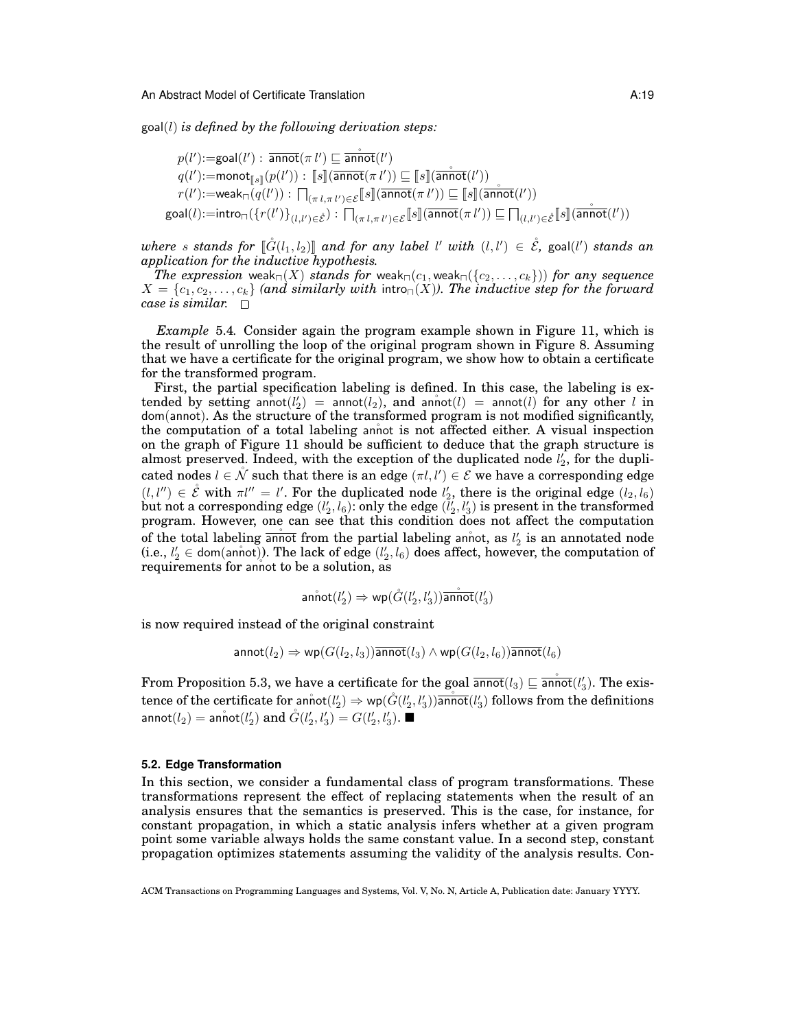goal(l) *is defined by the following derivation steps:*

$$
p(l')\text{:=goal}(l'):\overline{\text{annot}}(\pi\ l')\sqsubseteq \overline{\text{annot}}(l')
$$

$$
q(l')\text{:=monot}_{[\![s]\!]}(p(l')):\,[\![s]\!](\overline{\text{annot}}(\pi\ l'))\sqsubseteq [\![s]\!](\overline{\text{annot}}(l'))\top
$$

$$
r(l')\text{:=weak}_{\sqcap}(q(l')):\,\textstyle\prod_{(\pi\ l,\pi\ l')\in\mathcal{E}}\textstyle[\![s]\!](\overline{\text{annot}}(\pi\ l'))\sqsubseteq [\![s]\!](\overline{\text{annot}}(l'))
$$

$$
\text{goal}(l)\text{:=intro}_{\sqcap}(\{r(l')\}_{(l,l')\in\mathcal{E}}):\,\textstyle\prod_{(\pi\ l,\pi\ l')\in\mathcal{E}}\textstyle[\![s]\!](\overline{\text{annot}}(\pi\ l'))\sqsubseteq\textstyle\prod_{(l,l')\in\mathcal{E}}\textstyle[\![s]\!](\overline{\text{annot}}(l'))
$$

 $where s$  *stands for*  $[\mathring{G}(l_1, l_2)]$  *and for any label*  $l'$  *with*  $(l, l') \in \mathring{\mathscr{E}}$ , goal( $l'$ ) *stands an*<br>anniscation for the inductive hypothesis *application for the inductive hypothesis.*

*The expression* weak<sub> $\sqcap$ </sub>(*X*) *stands for* weak<sub> $\sqcap$ </sub>(*c*<sub>1</sub>, weak<sub> $\sqcap$ </sub>({*c*<sub>2</sub>, . . . , *c*<sub>k</sub>})) *for any sequence*  $X = \{c_1, c_2, \ldots, c_k\}$  *(and similarly with intro<sub>n</sub>(X)). The inductive step for the forward case is similar.*

*Example* 5.4*.* Consider again the program example shown in Figure 11, which is the result of unrolling the loop of the original program shown in Figure 8. Assuming that we have a certificate for the original program, we show how to obtain a certificate for the transformed program.

First, the partial specification labeling is defined. In this case, the labeling is extended by setting annot  $(l'_2)$  = annot  $(l_2)$ , and annot  $(l)$  = annot  $(l)$  for any other  $l$  in dom(annot). As the structure of the transformed program is not modified significantly, the computation of a total labeling annot is not affected either. A visual inspection on the graph of Figure 11 should be sufficient to deduce that the graph structure is almost preserved. Indeed, with the exception of the duplicated node  $l_2'$ , for the duplicated nodes  $l \in \mathring{\mathcal{N}}$  such that there is an edge  $(\pi l, l') \in \mathcal{E}$  we have a corresponding edge  $(l, l'') \in \mathring{\mathcal{E}}$  with  $\pi l'' = l'$ . For the duplicated node  $l'_2$ , there is the original edge  $(l_2, l_6)$  ${\rm but} \ {\rm not} \ {\rm a} \ {\rm corresponding} \ {\rm edge} \ (l'_2,l_6) \ {\rm only} \ {\rm the} \ {\rm edge} \ (\bar l'_2,l'_3) \ {\rm is} \ {\rm present} \ {\rm in} \ {\rm the} \ {\rm transformed}$ program. However, one can see that this condition does not affect the computation of the total labeling  $\frac{1}{\text{annot}}$  from the partial labeling annot, as  $l'_2$  is an annotated node (i.e.,  $l'_2 \in \text{dom}(\text{annot})$ ). The lack of edge  $(l'_2, l_6)$  does affect, however, the computation of requirements for annot to be a solution, as

$$
\mathop{\mathrm{annot}}(l'_2)\Rightarrow \mathop{\mathrm{wp}}(\mathring{G}(l'_2,l'_3))\overline{\mathop{\mathrm{annot}}}(l'_3)
$$

is now required instead of the original constraint

 $\text{annot}(l_2) \Rightarrow \text{wp}(G(l_2, l_3))$ annot $(l_3) \wedge \text{wp}(G(l_2, l_6))$ annot $(l_6)$ 

From Proposition 5.3, we have a certificate for the goal  $\overline{\mathsf{annot}}(l_3) \sqsubseteq \overline{\mathsf{annot}}(l'_3)$ . The existence of the certificate for annot $(l'_2)\Rightarrow$  wp $(\mathring{G}(l'_2,l'_3))$ annot $(l'_3)$  follows from the definitions annot $(l_2) =$  annot $(l_2')$  and  $\r{G}(l_2', l_3') = G(l_2', l_3')$ .  $\blacksquare$ 

#### **5.2. Edge Transformation**

In this section, we consider a fundamental class of program transformations. These transformations represent the effect of replacing statements when the result of an analysis ensures that the semantics is preserved. This is the case, for instance, for constant propagation, in which a static analysis infers whether at a given program point some variable always holds the same constant value. In a second step, constant propagation optimizes statements assuming the validity of the analysis results. Con-

ACM Transactions on Programming Languages and Systems, Vol. V, No. N, Article A, Publication date: January YYYY.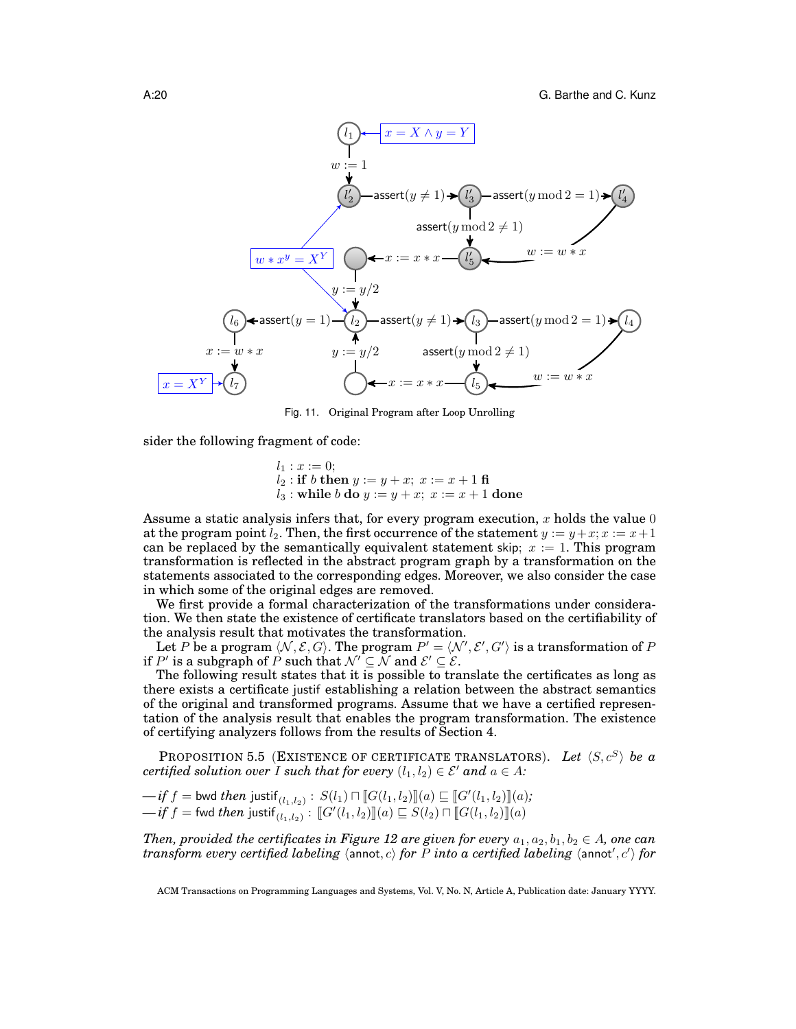

Fig. 11. Original Program after Loop Unrolling

sider the following fragment of code:

 $l_1 : x := 0;$  $l_2: \mathbf{if}\; b \;\mathbf{then}\; y := y + x;\; x := x + 1 \;\mathbf{fi}$  $l_3:$  while  $b$  do  $y := y + x; x := x + 1$  done

Assume a static analysis infers that, for every program execution,  $x$  holds the value  $0$ at the program point  $l_2$ . Then, the first occurrence of the statement  $y := y + x; x := x + 1$ can be replaced by the semantically equivalent statement skip;  $x := 1$ . This program transformation is reflected in the abstract program graph by a transformation on the statements associated to the corresponding edges. Moreover, we also consider the case in which some of the original edges are removed.

We first provide a formal characterization of the transformations under consideration. We then state the existence of certificate translators based on the certifiability of the analysis result that motivates the transformation.

Let P be a program  $\langle N, \mathcal{E}, G \rangle$ . The program  $P' = \langle \mathcal{N}', \mathcal{E}', G' \rangle$  is a transformation of P if P' is a subgraph of P such that  $\mathcal{N}' \subseteq \mathcal{N}$  and  $\mathcal{E}' \subseteq \mathcal{E}$ .

The following result states that it is possible to translate the certificates as long as there exists a certificate justif establishing a relation between the abstract semantics of the original and transformed programs. Assume that we have a certified representation of the analysis result that enables the program transformation. The existence of certifying analyzers follows from the results of Section 4.

PROPOSITION 5.5 (EXISTENCE OF CERTIFICATE TRANSLATORS). Let  $\langle S, c^S \rangle$  be a *certified solution over I such that for every*  $(l_1, l_2) \in \mathcal{E}'$  *and*  $a \in A$ *:* 

 $-\text{if } f = \text{bwd } \text{ then } \text{ justif}_{(l_1, l_2)} : S(l_1) \sqcap [G(l_1, l_2)] \subseteq [G'(l_1, l_2)] \subseteq [G'(l_1, l_2)]$  $\longrightarrow$ *if*  $f =$  fwd *then* justif<sub>(l<sub>1,l2)</sub>):  $[\![G'(l_1, l_2)]\!] (a) \sqsubseteq S(l_2) \sqcap [\![G(l_1, l_2)]\!] (a)$ </sub>

*Then, provided the certificates in Figure 12 are given for every*  $a_1, a_2, b_1, b_2 \in A$ , one can  $transform$   $every$   $centified$   $labeling$   $\langle$   $\!$   $\rangle$   $for$   $P$   $into$   $a$   $certified$   $labeling$   $\langle$   $\rangle$   $for$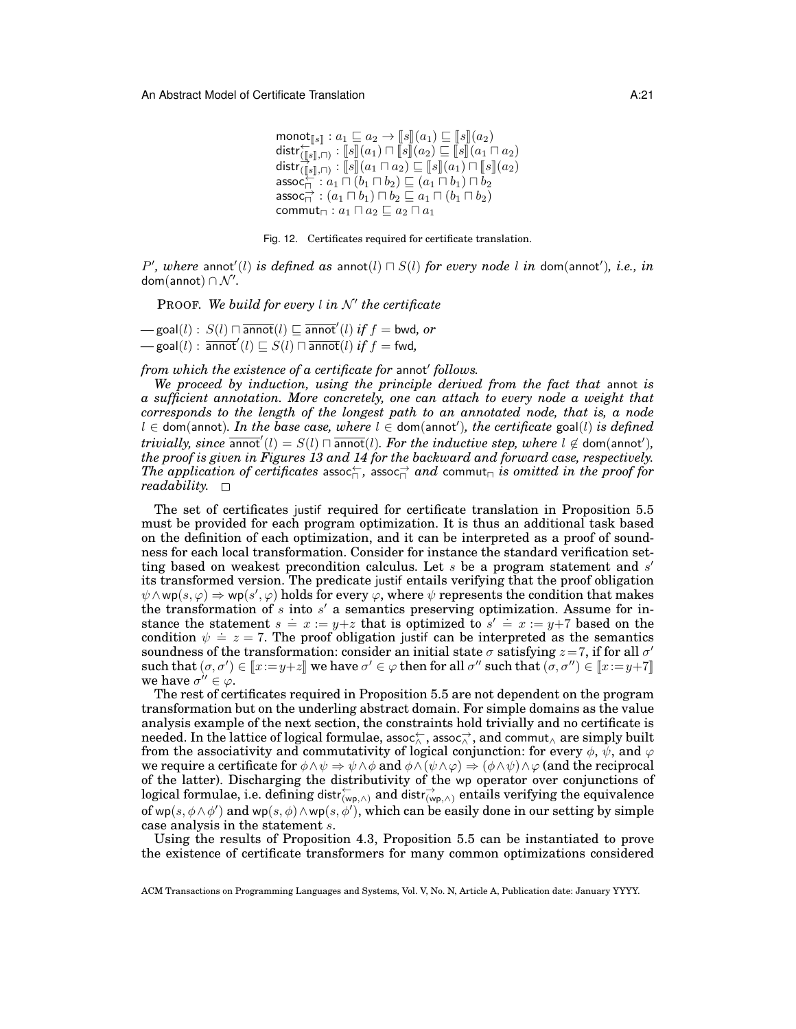$\begin{array}{l} \mathsf{mono} \mathsf{t}_{\llbracket s \rrbracket} : a_1 \sqsubseteq a_2 \to \llbracket s \rrbracket(a_1) \sqsubseteq \llbracket s \rrbracket(a_2) \ \mathsf{distr}^{\leftarrow}_{\llbracket s \rrbracket, \sqcap} : \llbracket s \rrbracket(a_1) \sqcap \llbracket s \rrbracket(a_2) \sqsubseteq \llbracket s \rrbracket(a_1 \sqcap a_2) \ \mathsf{distr}^{\leftarrow}_{\llbracket s \rrbracket}(a_1 \sqcap a_2) \ \vdots \ \mathsf{distr}^{\leftarrow}_{\llbracket s \rrbracket}(a_1 \sqcap a_2) \$  $\begin{split} & \text{dist}(\textbf{f}_s |_{, \Box}) : \|s\|(a_1) \cap \|s\|(a_2) \sqsubseteq \|s\|(a_1 \sqcap a_2) \ & \text{dist}(\textbf{f}_s |_{, \Box}) : \|s\|(a_1 \sqcap a_2) \sqsubseteq \|s\|(a_1) \sqcap \|s\|(a_2) \ & \text{assoc}_{\Box} : a_1 \sqcap (b_1 \sqcap b_2) \sqsubseteq (a_1 \sqcap b_1) \sqcap b_2 \end{split}$ assoc $\overrightarrow{\cap}:(a_1\sqcap b_1)\sqcap b_2\sqsubseteq a_1\sqcap(b_1\sqcap b_2)$ commut<sub> $\sqcap$ </sub> :  $a_1 \sqcap a_2 \sqsubseteq a_2 \sqcap a_1$ 



 $P'$ , where annot'(l) is defined as annot(l)  $\Box$  *S*(l) for every node l in dom(annot'), i.e., in  $\mathsf{dom}(\mathsf{annot}) \cap \mathcal{N}'.$ 

PROOF. We build for every *l* in N' the certificate  ${\bf -}$  goal $(l):S(l)\sqcap \overline{{\sf annot}}(l)\sqsubseteq \overline{{\sf annot}}'(l)$  *if*  $f={\sf bwd},$  *or* 

 $\rule{1em}{0.15mm}$  goal $(l)$  :  $\overline{\mathsf{annot}}'(l) \sqsubseteq S(l) \sqcap \overline{\mathsf{annot}}(l)$  *if*  $f =$  fwd,

from which the existence of a certificate for annot' follows.

*We proceed by induction, using the principle derived from the fact that* annot *is a sufficient annotation. More concretely, one can attach to every node a weight that corresponds to the length of the longest path to an annotated node, that is, a node*  $l \in$  dom(annot). In the base case, where  $l \in$  dom(annot'), the certificate goal(l) is defined  $trivially, since$   $\overline{\text{annot}}'(l) = S(l) \sqcap \overline{\text{annot}}(l)$ *. For the inductive step, where*  $l \notin \text{dom}(\text{annot}'),$ *the proof is given in Figures 13 and 14 for the backward and forward case, respectively.*  $The \ application \ of \ certificates \ associated \$  , assoc $\rightleftharpoons$  and commut $\lnot$  *is omitted in the proof for readability.*

The set of certificates justif required for certificate translation in Proposition 5.5 must be provided for each program optimization. It is thus an additional task based on the definition of each optimization, and it can be interpreted as a proof of soundness for each local transformation. Consider for instance the standard verification setting based on weakest precondition calculus. Let  $s$  be a program statement and  $s'$ its transformed version. The predicate justif entails verifying that the proof obligation  $\psi \wedge wp(s,\varphi) \Rightarrow wp(s',\varphi)$  holds for every  $\varphi$ , where  $\psi$  represents the condition that makes the transformation of  $s$  into  $s'$  a semantics preserving optimization. Assume for instance the statement  $s = x := y+z$  that is optimized to  $s' = x := y+7$  based on the stance the statement  $s = x - y + z$  that is optimized to  $s = x - y + i$  based on the condition  $\psi = z = 7$ . The proof obligation justif can be interpreted as the semantics soundness of the transformation: consider an initial state  $\sigma$  satisfying  $z=7$ , if for all  $\sigma'$ such that  $(\sigma, \sigma') \in [x := y + z]$  we have  $\sigma' \in \varphi$  then for all  $\sigma''$  such that  $(\sigma, \sigma'') \in [x := y + 7]$ <br>we have  $\sigma'' \in \varphi$ we have  $\sigma'' \in \varphi$ .

The rest of certificates required in Proposition 5.5 are not dependent on the program transformation but on the underling abstract domain. For simple domains as the value analysis example of the next section, the constraints hold trivially and no certificate is needed. In the lattice of logical formulae, assoc $\leftrightarrow\atop{\wedge}$  , assoc $\rightarrow\atop{\wedge}$  , and commut $_{\wedge}$  are simply built from the associativity and commutativity of logical conjunction: for every  $\phi$ ,  $\psi$ , and  $\varphi$ we require a certificate for  $\phi \land \psi \Rightarrow \psi \land \phi$  and  $\phi \land (\psi \land \varphi) \Rightarrow (\phi \land \psi) \land \varphi$  (and the reciprocal of the latter). Discharging the distributivity of the wp operator over conjunctions of logical formulae, i.e. defining distr $\overleftarrow{w_{p,\wedge}}$  and distr $\overrightarrow{w_{p,\wedge}}$  entails verifying the equivalence of wp $(s, \phi \wedge \phi')$  and wp $(s, \phi) \wedge$ wp $(s, \phi')$ , which can be easily done in our setting by simple case analysis in the statement s.

Using the results of Proposition 4.3, Proposition 5.5 can be instantiated to prove the existence of certificate transformers for many common optimizations considered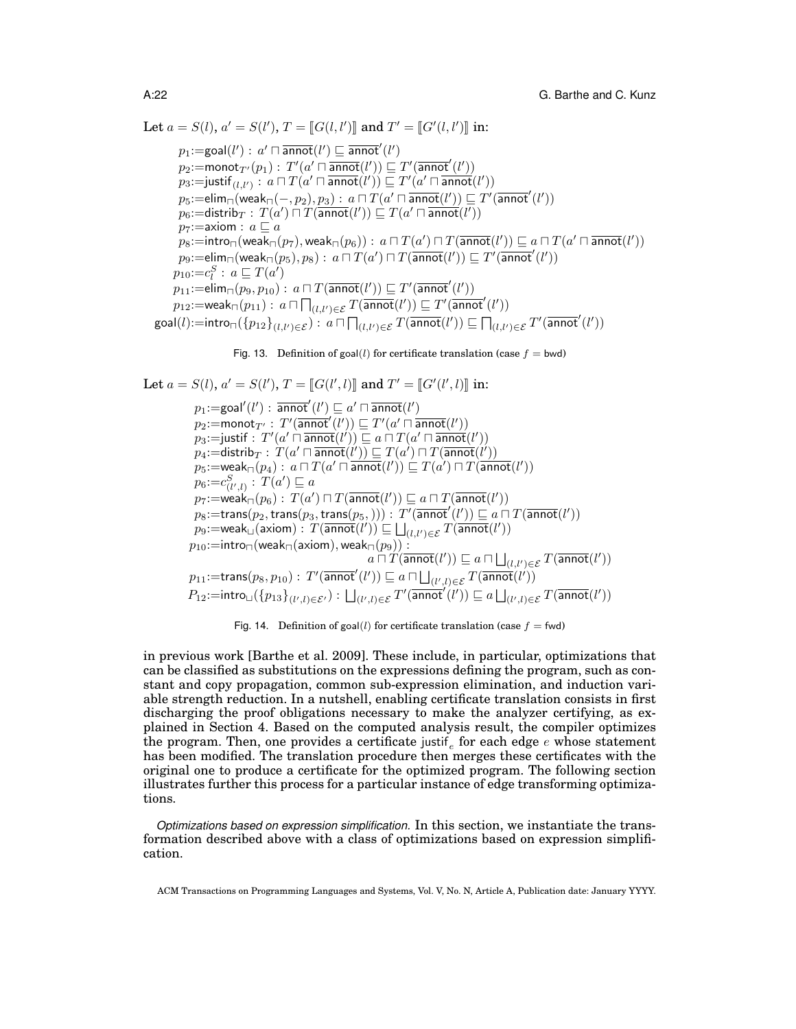Let  $a = S(l), a' = S(l'), T = [[G(l, l')]]$  and  $T' = [[G'(l, l')]]$  in:

 $p_1\!:=\!\mathsf{goal}(l'):\, a'\sqcap \overline{\mathsf{annot}}(l')\sqsubseteq \overline{\mathsf{annot}}'(l')$  $p_2$ :=monot $_{T'}(p_1)$  :  $T'(a'\sqcap \overline{\mathsf{annot}}(l')) \sqsubseteq T'(\overline{\mathsf{annot}}'(l'))$  $p_3\!:=\!\!\mathsf{justif}_{(l,l')}\,:\, a\sqcap T(a'\sqcap \overline{\mathsf{annot}}(l'))\sqsubseteq T'(a'\sqcap \overline{\mathsf{annot}}(l'))$  $p_5\text{:}=\!\mathsf{elim}_{\sqcap}(\mathsf{weak}_{\sqcap}(-,p_2),p_3):\, a\sqcap T(a'\sqcap \overline{\mathsf{annot}}(\mathcal{l}'))\sqsubseteq T'(\overline{\mathsf{annot}}'(\mathcal{l}'))$  $p_6\text{:=}$ distrib $_T: \, T(a') \, \overline{\sqcap}\, \widetilde{T(\mathsf{annot}(l'))} \sqsubseteq T(a' \sqcap \overline{\mathsf{annot}}(l'))$  $p_7:=$ axiom :  $a \sqsubseteq a$  $p_8\text{:=}\mathsf{intro}_\sqcap(\mathsf{weak}_\sqcap(p_7),\mathsf{weak}_\sqcap(p_6)):\ a\sqcap T(a')\sqcap T(\overline{\mathsf{annot}}({l'}))\sqsubseteq a\sqcap T(a'\sqcap\overline{\mathsf{annot}}({l'}))$  $p_9\text{:=elim}_\sqcap(\textsf{weak}_\sqcap(p_5), p_8) : \ a \sqcap T(a') \sqcap T(\overline{\mathsf{annot}}(\mathcal{l}')) \sqsubseteq T'(\overline{\mathsf{annot}}'(\mathcal{l}'))$  $p_{10}:=c_l^S: a \sqsubseteq T(a')$  $p_{11}:=$ elim<sub> $\sqcap$ </sub> $(p_9, p_{10})$ :  $a \sqcap T(\overline{\mathsf{annot}}(l')) \sqsubseteq T'(\overline{\mathsf{annot}}'(l'))$  $p_{12}:=$ weak $\Box(p_{11}): a \Box \prod_{(l,l') \in \mathcal{E}} T(\overline{\mathsf{annot}}(l')) \sqsubseteq T'(\overline{\mathsf{annot}}'(l'))$  $\mathsf{goal}(l) := \mathsf{intro}_{\sqcap}(\{p_{12}\}_{(l,l') \in \mathcal{E}}) : a \sqcap \bigcap_{(l,l') \in \mathcal{E}} T(\overline{\mathsf{annot}}(l')) \sqsubseteq \bigcap_{(l,l') \in \mathcal{E}} T'(\overline{\mathsf{annot}}'(l'))$ 

Fig. 13. Definition of 
$$
goal(l)
$$
 for certificate translation (case  $f = bwd$ )

Let  $a = S(l), a' = S(l'), T = [[G(l', l)]]$  and  $T' = [[G'(l', l)]]$  in:  $p_1\!:=\!\mathsf{goal}'(l'):\ \overline{\mathsf{annot}}'(l')\sqsubseteq a'\sqcap\overline{\mathsf{annot}}(l')$  $p_2$ :=monot $_{T'}$ :  $T'(\overline{\mathsf{annot}}^{t'}(l')) \sqsubseteq T'(a'\sqcap \overline{\mathsf{annot}}(l'))$  $p_3\text{:=}$ justif  $\colon T'(a'\mathbin{\bar{\sqcap}} \overline{\mathsf{annot}}(l')) \sqsubseteq a \mathbin{\bar{\sqcap}} T(a' \mathbin{\bar{\sqcap}} \overline{\mathsf{annot}}(l'))$  $p_4\text{:=} \textsf{distrib}_T :\, T(a'\sqcap \overline{\mathsf{annot}}(l'))\sqsubseteq T(a')\sqcap T(\overline{\mathsf{annot}}(l'))$  $p_5\!:=\!\textsf{weak}_{\sqcap}(p_4) : \, a \sqcap T(a' \sqcap \overline{\mathsf{annot}}(l')) \sqsubseteq T(a') \sqcap T(\overline{\mathsf{annot}}(l'))$  $p_6 = c^S_{(l',l)}$ :  $T(a') \sqsubseteq a$  $p_7\text{:=}$ wea $\mathsf{k}_\sqcap(p_6) : \, T(a') \sqcap T(\overline{\mathsf{annot}}(l')) \sqsubseteq a \sqcap T(\overline{\mathsf{annot}}(l'))$  $p_8\text{:=trans}(p_2,\text{trans}(p_3,\text{trans}(p_5,))) : T'(\overline{\mathsf{annot}}'(l')) \sqsubseteq a \sqcap T(\overline{\mathsf{annot}}(l'))$  $p_9\text{:=weak}_{\square}(\textsf{axiom}):\ \overline{T(\overline{\textsf{annot}}(l'))}\sqsubseteq \bigsqcup_{(l,l')\in\mathcal{E}}T(\overline{\overline{\textsf{annot}}(l')})$  $p_{10}{:}{=}\mathsf{intro}_{\sqcap}(\mathsf{weak}_{\sqcap}(\mathsf{axiom}),\mathsf{weak}_{\sqcap}(p_9))$  :  $a \sqcap \widetilde{T}(\overline{\mathsf{annot}}(l')) \sqsubseteq a \sqcap \bigsqcup_{(l,l') \in \mathcal{E}} \widetilde{T}(\overline{\mathsf{annot}}(l'))$  $p_{11}{:=}\mathsf{trans}(p_8,p_{10}):\, T'(\overline{\mathsf{annot}}'(l'))\sqsubseteq a\sqcap \bigsqcup_{(l',l)\in\mathcal{E}} T(\overline{\mathsf{annot}}(l'))$  $P_{12}:=\mathsf{intro}_{\Box}(\{p_{13}\}_{(l',l)\in\mathcal{E}'}) : \bigsqcup_{(l',l)\in\mathcal{E}} T'\overline{(\mathsf{annot}'(l'))} \sqsubseteq a\bigsqcup_{(l',l)\in\mathcal{E}} T(\overline{\mathsf{annot}}(l'))$ 

Fig. 14. Definition of goal(l) for certificate translation (case  $f = fwd$ )

in previous work [Barthe et al. 2009]. These include, in particular, optimizations that can be classified as substitutions on the expressions defining the program, such as constant and copy propagation, common sub-expression elimination, and induction variable strength reduction. In a nutshell, enabling certificate translation consists in first discharging the proof obligations necessary to make the analyzer certifying, as explained in Section 4. Based on the computed analysis result, the compiler optimizes the program. Then, one provides a certificate justif<sub>e</sub> for each edge  $e$  whose statement has been modified. The translation procedure then merges these certificates with the original one to produce a certificate for the optimized program. The following section illustrates further this process for a particular instance of edge transforming optimizations.

*Optimizations based on expression simplification.* In this section, we instantiate the transformation described above with a class of optimizations based on expression simplification.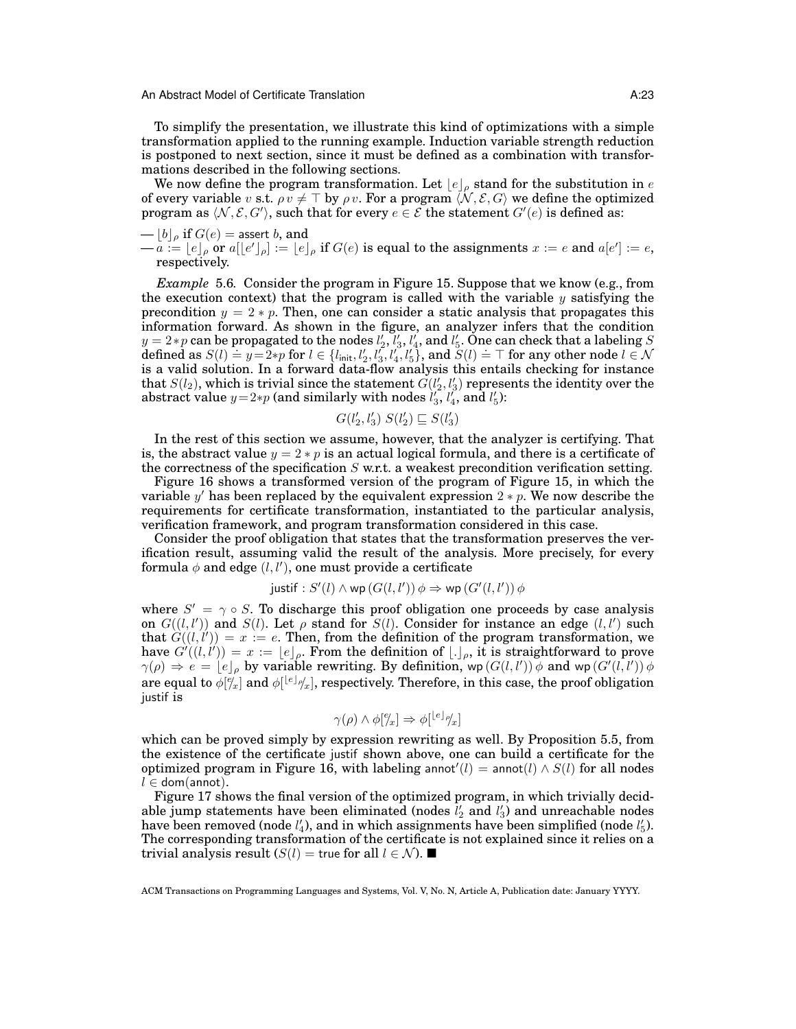To simplify the presentation, we illustrate this kind of optimizations with a simple transformation applied to the running example. Induction variable strength reduction is postponed to next section, since it must be defined as a combination with transformations described in the following sections.

We now define the program transformation. Let  $\lfloor e \rfloor_\rho$  stand for the substitution in  $e$ of every variable  $v$  s.t.  $\rho v \neq \top$  by  $\rho v$ . For a program  $\langle \mathcal{N}, \mathcal{E}, G \rangle$  we define the optimized program as  $\langle N, \mathcal{E}, G' \rangle$ , such that for every  $e \in \mathcal{E}$  the statement  $G'(e)$  is defined as:

$$
-\lfloor b \rfloor_{\rho}
$$
 if  $G(e) =$  assert *b*, and

 $-\tilde{a} := [e]_\rho$  or  $a[[e']_\rho] := [e]_\rho$  if  $G(e)$  is equal to the assignments  $x := e$  and  $a[e'] := e$ , respectively.

*Example* 5.6*.* Consider the program in Figure 15. Suppose that we know (e.g., from the execution context) that the program is called with the variable  $y$  satisfying the precondition  $y = 2 * p$ . Then, one can consider a static analysis that propagates this information forward. As shown in the figure, an analyzer infers that the condition  $y = 2*p$  can be propagated to the nodes  $l'_2, l'_3, l'_4,$  and  $l'_5$ . One can check that a labeling  $S$  $g = 2 * p$  can be propagated to the hodes  $i_2, i_3, i_4$ , and  $i_5$ . One can check that a rabelling  $S$  defined as  $S(l) \doteq y = 2 * p$  for  $l \in \{l_{\text{init}}, l'_2, l'_3, l'_4, l'_5\}$ , and  $S(l) \doteq \top$  for any other node  $l \in \mathcal{N}$ is a valid solution. In a forward data-flow analysis this entails checking for instance that  $S(l_2)$ , which is trivial since the statement  $G(l'_2, l'_3)$  represents the identity over the abstract value  $y=2*p$  (and similarly with nodes  $l'_3$ ,  $l'_4$ , and  $l'_5$ ):

$$
G(l'_2, l'_3) \ S(l'_2) \sqsubseteq S(l'_3)
$$

In the rest of this section we assume, however, that the analyzer is certifying. That is, the abstract value  $y = 2 * p$  is an actual logical formula, and there is a certificate of the correctness of the specification  $S$  w.r.t. a weakest precondition verification setting.

Figure 16 shows a transformed version of the program of Figure 15, in which the variable y' has been replaced by the equivalent expression  $2 * p$ . We now describe the requirements for certificate transformation, instantiated to the particular analysis, verification framework, and program transformation considered in this case.

Consider the proof obligation that states that the transformation preserves the verification result, assuming valid the result of the analysis. More precisely, for every formula  $\phi$  and edge  $(l, l')$ , one must provide a certificate

$$
justif : S'(l) \land wp(G(l, l')) \phi \Rightarrow wp(G'(l, l')) \phi
$$

where  $S' = \gamma \circ S$ . To discharge this proof obligation one proceeds by case analysis on  $G((l, l'))$  and  $S(l)$ . Let  $\rho$  stand for  $S(l)$ . Consider for instance an edge  $(l, l')$  such that  $G((l, l')) = x := e$ . Then, from the definition of the program transformation, we have  $G'((l, l')) = x := \lfloor e \rfloor_\rho$ . From the definition of  $\lfloor e \rfloor_\rho$ , it is straightforward to prove  $\gamma(\rho) \Rightarrow e = [e]_{\rho}$  by variable rewriting. By definition, wp  $(G(l, l')) \phi$  and wp  $(G'(l, l')) \phi$ are equal to  $\phi[^e]_x$  and  $\phi[^{\lfloor e\rfloor_\rho}\!/_{x}]$ , respectively. Therefore, in this case, the proof obligation justif is

$$
\gamma(\rho) \wedge \phi[^{e'}_x] \Rightarrow \phi[^{\lfloor e \rfloor}^{\rho'}_x]
$$

which can be proved simply by expression rewriting as well. By Proposition 5.5, from the existence of the certificate justif shown above, one can build a certificate for the optimized program in Figure 16, with labeling annot'(l) = annot(l)  $\land$   $S(l)$  for all nodes  $l \in$  dom(annot).

Figure 17 shows the final version of the optimized program, in which trivially decidable jump statements have been eliminated (nodes  $l'_2$  and  $l'_3$ ) and unreachable nodes have been removed (node  $l_4'$ ), and in which assignments have been simplified (node  $l_5'$ ). The corresponding transformation of the certificate is not explained since it relies on a trivial analysis result  $(S(l) = \text{true} \text{ for all } l \in \mathcal{N}$ ). ■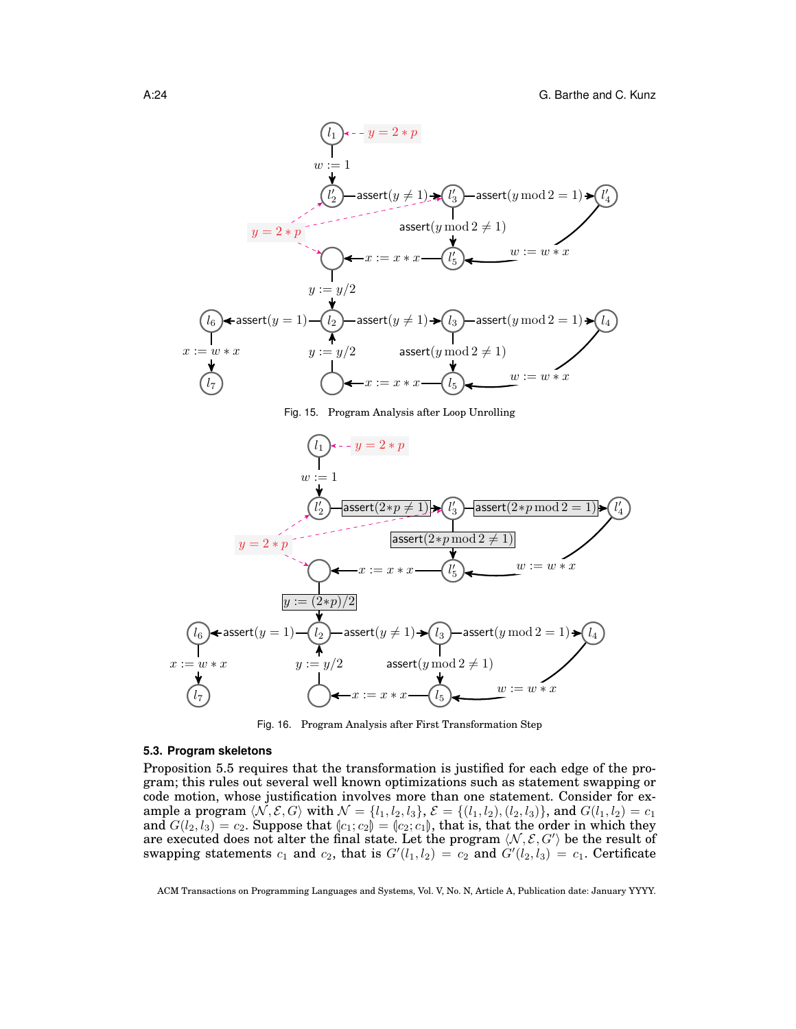

Fig. 15. Program Analysis after Loop Unrolling



Fig. 16. Program Analysis after First Transformation Step

## **5.3. Program skeletons**

Proposition 5.5 requires that the transformation is justified for each edge of the program; this rules out several well known optimizations such as statement swapping or code motion, whose justification involves more than one statement. Consider for example a program  $\langle N, \mathcal{E}, G \rangle$  with  $\mathcal{N} = \{l_1, l_2, l_3\}, \mathcal{E} = \{(l_1, l_2), (l_2, l_3)\},$  and  $G(l_1, l_2) = c_1$ and  $G(l_2, l_3) = c_2$ . Suppose that  $\langle c_1, c_2 \rangle = \langle c_2, c_1 \rangle$ , that is, that the order in which they are executed does not alter the final state. Let the program  $\langle \mathcal{N}, \mathcal{E}, G' \rangle$  be the result of swapping statements  $c_1$  and  $c_2$ , that is  $G'(l_1, l_2) = c_2$  and  $G'(l_2, l_3) = c_1$ . Certificate

ACM Transactions on Programming Languages and Systems, Vol. V, No. N, Article A, Publication date: January YYYY.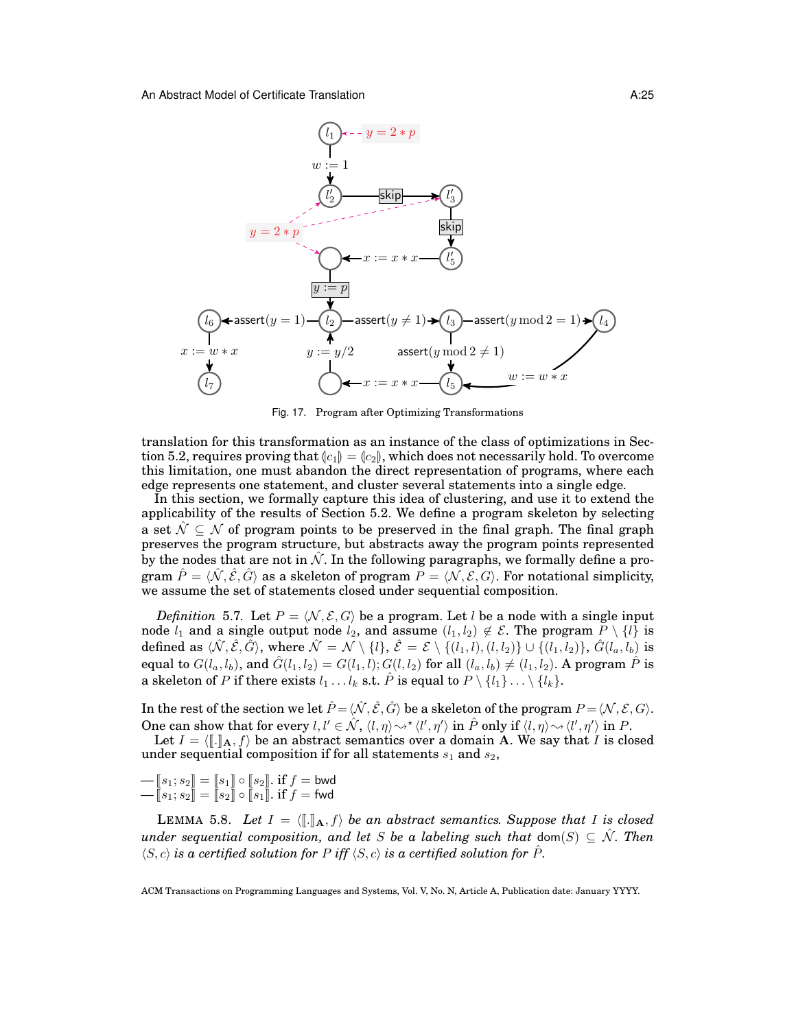

Fig. 17. Program after Optimizing Transformations

translation for this transformation as an instance of the class of optimizations in Section 5.2, requires proving that  $\lbrack c_1\rbrack = \lbrack c_2\rbrack$ , which does not necessarily hold. To overcome this limitation, one must abandon the direct representation of programs, where each edge represents one statement, and cluster several statements into a single edge.

In this section, we formally capture this idea of clustering, and use it to extend the applicability of the results of Section 5.2. We define a program skeleton by selecting a set  $\hat{\mathcal{N}} \subset \mathcal{N}$  of program points to be preserved in the final graph. The final graph preserves the program structure, but abstracts away the program points represented by the nodes that are not in  $\hat{N}$ . In the following paragraphs, we formally define a program  $\hat{P} = \langle \hat{N}, \hat{\mathcal{E}}, \hat{G} \rangle$  as a skeleton of program  $P = \langle N, \mathcal{E}, G \rangle$ . For notational simplicity, we assume the set of statements closed under sequential composition.

*Definition* 5.7. Let  $P = \langle N, \mathcal{E}, G \rangle$  be a program. Let l be a node with a single input node  $l_1$  and a single output node  $l_2$ , and assume  $(l_1, l_2) \notin \mathcal{E}$ . The program  $\overline{P} \setminus \{l\}$  is defined as  $\langle \hat{\mathcal{N}}, \hat{\mathcal{E}}, \hat{G} \rangle$ , where  $\hat{\mathcal{N}} = \mathcal{N} \setminus \{l\}, \hat{\mathcal{E}} = \mathcal{E} \setminus \{(l_1, l), (l, l_2)\} \cup \{(l_1, l_2)\}, \hat{G}(l_a, l_b)$  is equal to  $G(l_a, l_b)$ , and  $\hat{G}(l_1, l_2) = G(l_1, l); G(l, l_2)$  for all  $(l_a, l_b) \neq (l_1, l_2)$ . A program  $\hat{P}$  is a skeleton of P if there exists  $l_1 \ldots l_k$  s.t.  $\hat{P}$  is equal to  $P \setminus \{l_1\} \ldots \setminus \{l_k\}.$ 

In the rest of the section we let  $\hat{P} = \langle \hat{N}, \hat{\mathcal{E}}, \hat{G} \rangle$  be a skeleton of the program  $P = \langle N, \mathcal{E}, G \rangle$ . One can show that for every  $l, l' \in \hat{\mathcal{N}}, \langle l, \eta \rangle \sim^* \langle l', \eta' \rangle$  in  $\hat{P}$  only if  $\langle l, \eta \rangle \sim \langle l', \eta' \rangle$  in  $P$ .

Let  $I = \langle [\![ . ] ]_{\mathbf{A}}, f \rangle$  be an abstract semantics over a domain A. We say that I is closed under sequential composition if for all statements  $s_1$  and  $s_2$ ,

 $\begin{equation} \begin{aligned} -\left[\!\left[ s_1; s_2 \right]\!\right] = \left[\!\left[ s_1 \right]\!\right] \circ \left[\!\left[ s_2 \right]\!\right] \text{. if } f = \mathsf{bwd} \end{aligned} \end{equation}$  $\left\{\mathbb{I}\left[s_1;s_2\right]\right\} = \left[\hspace{-0.5mm}\left[\begin{smallmatrix}s_2\right]\hspace{-0.5mm}\right]\hspace{-0.5mm} \circ \left[\hspace{-0.5mm}\left[\begin{smallmatrix}s_1\right]\hspace{-0.5mm}\right]\hspace{-0.5mm} . & \text{if}\hspace{0.5mm} f=\text{\sf fwd} \end{smallmatrix}\right]$ 

LEMMA 5.8. Let  $I = \langle \llbracket \cdot \rrbracket_A, f \rangle$  be an abstract semantics. Suppose that I is closed *under sequential composition, and let* S *be a labeling such that* dom(S)  $\subseteq$  N $\hat{\mathcal{N}}$ *. Then*  $\langle S, c \rangle$  *is a certified solution for* P *iff*  $\langle S, c \rangle$  *is a certified solution for*  $\hat{P}$ *.*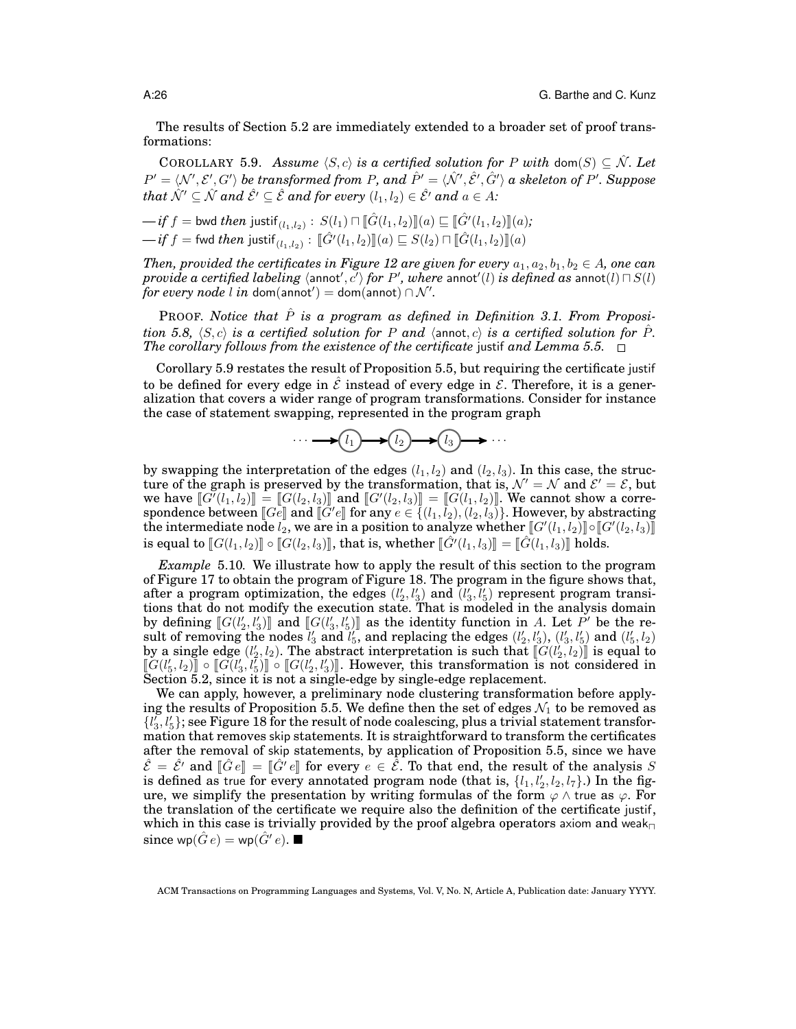The results of Section 5.2 are immediately extended to a broader set of proof transformations:

COROLLARY 5.9. *Assume*  $\langle S, c \rangle$  *is a certified solution for* P *with* dom(S)  $\subseteq N$ . Let  $P'=\langle \mathcal{N}',\mathcal{E}',G'\rangle$  be transformed from P, and  $\hat{P}'=\langle \hat{\mathcal{N}}',\hat{\mathcal{E}}',\hat{G}'\rangle$  a skeleton of P'. Suppose *that*  $\hat{\mathcal{N}}' \subseteq \hat{\mathcal{N}}$  *and*  $\hat{\mathcal{E}}' \subseteq \hat{\mathcal{E}}$  *and for every*  $(l_1, l_2) \in \hat{\mathcal{E}}'$  *and*  $a \in A$ *:* 

$$
-if f = \text{bwd} then justif_{(l_1, l_2)} : S(l_1) \sqcap [\![\hat{G}(l_1, l_2)]\!](a) \sqsubseteq [\![\hat{G}'(l_1, l_2)]\!](a);
$$
  

$$
-if f = \text{fwd} then justif_{(l_1, l_2)} : [\![\hat{G}'(l_1, l_2)]\!](a) \sqsubseteq S(l_2) \sqcap [\![\hat{G}(l_1, l_2)]\!](a)
$$

*Then, provided the certificates in Figure 12 are given for every*  $a_1, a_2, b_1, b_2 \in A$ , one can  $previde$   $a$   $certified$   $labeling$   $\langle$  annot $',$   $c'\rangle$   $for$   $P',$   $where$   $\text{annot}$   $'\!(l)$   $is$   $defined$   $as$   $\text{annot}(l)$   $\sqcap$   $S(l)$  $\hat{f}$ or every node  $l$  in dom(annot') = dom(annot) ∩  $\mathcal{N}'$ .

**PROOF.** Notice that  $\hat{P}$  is a program as defined in Definition 3.1. From Proposi*tion 5.8,*  $\langle S, c \rangle$  *is a certified solution for* P *and*  $\langle$  annot, c) *is a certified solution for*  $\hat{P}$ *. The corollary follows from the existence of the certificate* justif *and Lemma 5.5.*  $\Box$ 

Corollary 5.9 restates the result of Proposition 5.5, but requiring the certificate justif to be defined for every edge in  $\hat{\mathcal{E}}$  instead of every edge in  $\mathcal{E}$ . Therefore, it is a generalization that covers a wider range of program transformations. Consider for instance the case of statement swapping, represented in the program graph

 $\cdots \longrightarrow (l_1) \longrightarrow (l_2) \longrightarrow (l_3) \longrightarrow \cdots$ 

by swapping the interpretation of the edges  $(l_1, l_2)$  and  $(l_2, l_3)$ . In this case, the structure of the graph is preserved by the transformation, that is,  $\mathcal{N}' = \mathcal{N}$  and  $\mathcal{E}' = \mathcal{E}$ , but we have  $\llbracket G'(l_1, l_2) \rrbracket = \llbracket G(l_2, l_3) \rrbracket$  and  $\llbracket G'(l_2, l_3) \rrbracket = \llbracket G(l_1, l_2) \rrbracket$ . We cannot show a corre-<br>spondence between  $\llbracket Ge \rrbracket$  and  $\llbracket G'(e) \rrbracket$  for any  $e \in \llbracket (l_1, l_2) \rrbracket$ . However by abstracting spondence between  $[[G_e]]$  and  $[[G'e]]$  for any  $e \in \{(l_1, l_2), (l_2, l_3)\}$ . However, by abstracting the intermediate node  $l_2$  we are in a position to analyze whether  $[[G(l_1, l_2)]] \circ [[G(l_2, l_3)]]$ the intermediate node  $l_2$ , we are in a position to analyze whether  $[[G'(l_1, l_2)] \circ [[G'(l_2, l_3)]]$ is equal to  $\mathbb{E}[G(l_1, l_2)] \circ \mathbb{E}[G(l_2, l_3)]$ , that is, whether  $\mathbb{E}[G'(l_1, l_3)] = \mathbb{E}[G(l_1, l_3)]$  holds.

*Example* 5.10*.* We illustrate how to apply the result of this section to the program of Figure 17 to obtain the program of Figure 18. The program in the figure shows that, after a program optimization, the edges  $(l'_2, l'_3)$  and  $(l'_3, l'_5)$  represent program transitions that do not modify the execution state. That is modeled in the analysis domain by defining  $[\![G(l'_2, l'_3)]\!]$  and  $[\![G(l'_3, l'_5)]\!]$  as the identity function in A. Let P' be the re-<br>sult of removing the nodes  $l'_3$  and  $l'_5$ , and replacing the edges  $(l'_2, l'_3)$ ,  $(l'_3, l'_5)$  and  $(l'_5, l_2)$  $([a_1, b'_2, b'_3]$  and  $[[G(l'_3, l'_5)]]$  as the identity function in A. Let P' be the reby a single edge  $(l'_2, l_2)$ . The abstract interpretation is such that  $\left[\hat{G}(l'_2, l_2)\right]$  is equal to  $\left[\hat{G}(l'_1, l'_2)\right]$  of  $\left[\hat{G}(l'_1, l'_2)\right]$  However, this transformation is not considered in  $\llbracket G(l'_5, l_2) \rrbracket \circ \llbracket G(l'_3, l'_5) \rrbracket \circ \llbracket G(l'_2, l'_3) \rrbracket$ . However, this transformation is not considered in Section 5.2, since it is not a single-edge by single-edge replacement Section 5.2, since it is not a single-edge by single-edge replacement.

We can apply, however, a preliminary node clustering transformation before applying the results of Proposition 5.5. We define then the set of edges  $\mathcal{N}_1$  to be removed as  $\{l_3^r, l_5^r\}$ ; see Figure 18 for the result of node coalescing, plus a trivial statement transformation that removes skip statements. It is straightforward to transform the certificates after the removal of skip statements, by application of Proposition 5.5, since we have  $\hat{\mathcal{E}} = \hat{\mathcal{E}}'$  and  $[\hat{G}e] = [\hat{G}'e]$  for every  $e \in \hat{\mathcal{E}}$ . To that end, the result of the analysis S<br>is defined as true for every annotated program node (that is  $\{h, h\}$ ,  $h, h$ ). In the figis defined as true for every annotated program node (that is,  $\{l_1, l_2', l_2, l_7\}$ .) In the figure, we simplify the presentation by writing formulas of the form  $\varphi \wedge$  true as  $\varphi$ . For the translation of the certificate we require also the definition of the certificate justif, which in this case is trivially provided by the proof algebra operators axiom and weak since wp $(\hat{G}e) =$  wp $(\hat{G}'e)$ .

ACM Transactions on Programming Languages and Systems, Vol. V, No. N, Article A, Publication date: January YYYY.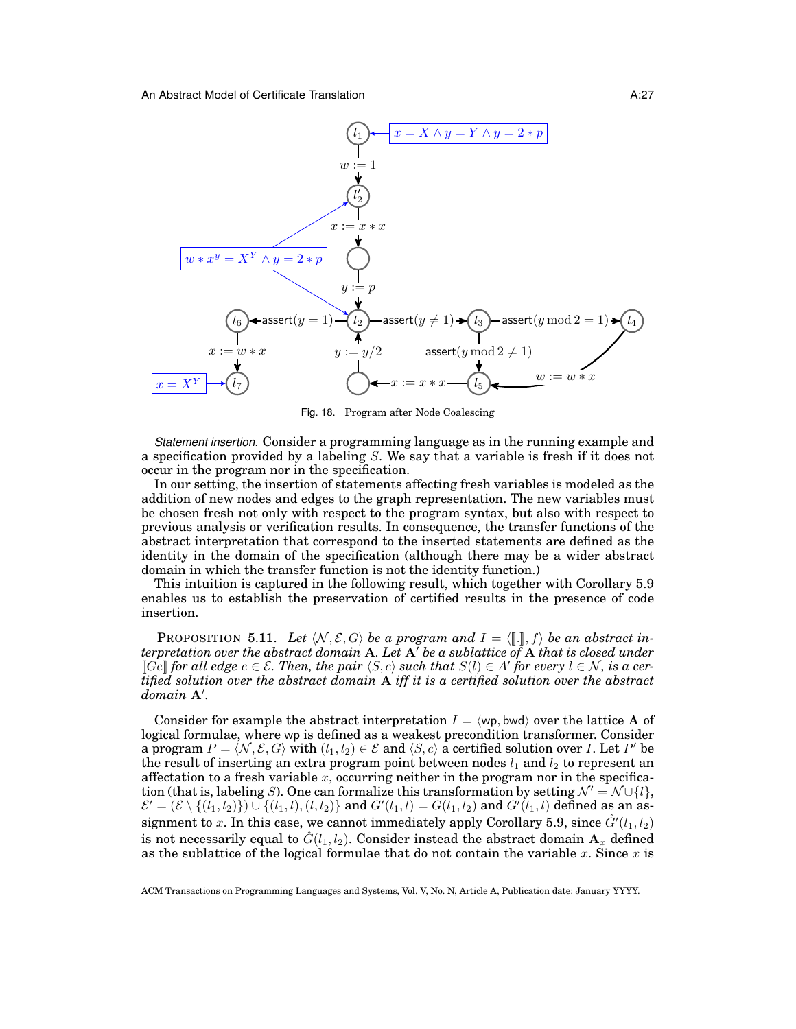

Fig. 18. Program after Node Coalescing

*Statement insertion.* Consider a programming language as in the running example and a specification provided by a labeling  $S$ . We say that a variable is fresh if it does not occur in the program nor in the specification.

In our setting, the insertion of statements affecting fresh variables is modeled as the addition of new nodes and edges to the graph representation. The new variables must be chosen fresh not only with respect to the program syntax, but also with respect to previous analysis or verification results. In consequence, the transfer functions of the abstract interpretation that correspond to the inserted statements are defined as the identity in the domain of the specification (although there may be a wider abstract domain in which the transfer function is not the identity function.)

This intuition is captured in the following result, which together with Corollary 5.9 enables us to establish the preservation of certified results in the presence of code insertion.

PROPOSITION 5.11. Let  $\langle N, \mathcal{E}, G \rangle$  be a program and  $I = \langle [\![ . ]\!]$ , f) be an abstract in*terpretation over the abstract domain* A. Let  $A'$  *be a sublattice of* A *that is closed under*  $\llbracket \vec{Ge} \rrbracket$  for all edge  $e \in \mathcal{E}$ . Then, the pair  $\langle S, c \rangle$  such that  $S(l) \in A'$  for every  $l \in \mathcal{N}$ , is a certified solution over the abstract *tified solution over the abstract domain* A *iff it is a certified solution over the abstract*  $domain$   $A'$ .

Consider for example the abstract interpretation  $I = \langle \text{wp}, \text{bwd} \rangle$  over the lattice A of logical formulae, where wp is defined as a weakest precondition transformer. Consider a program  $P = \langle \mathcal{N}, \mathcal{E}, G\rangle$  with  $(l_1, l_2) \in \mathcal{E}$  and  $\langle S, c\rangle$  a certified solution over  $I.$  Let  $P'$  be the result of inserting an extra program point between nodes  $l_1$  and  $l_2$  to represent an affectation to a fresh variable  $x$ , occurring neither in the program nor in the specification (that is, labeling S). One can formalize this transformation by setting  $\mathcal{N}' = \mathcal{N} \cup \{l\},$  $\mathcal{E}' = (\mathcal{E} \setminus \{(l_1, l_2)\}) \cup \{(l_1, l), (l, l_2)\}$  and  $G'(l_1, l) = G(l_1, l_2)$  and  $G'(l_1, l)$  defined as an assignment to x. In this case, we cannot immediately apply Corollary 5.9, since  $\hat{G}'(l_1, l_2)$ is not necessarily equal to  $\hat{G}(l_1, l_2)$ . Consider instead the abstract domain  $A_x$  defined as the sublattice of the logical formulae that do not contain the variable x. Since x is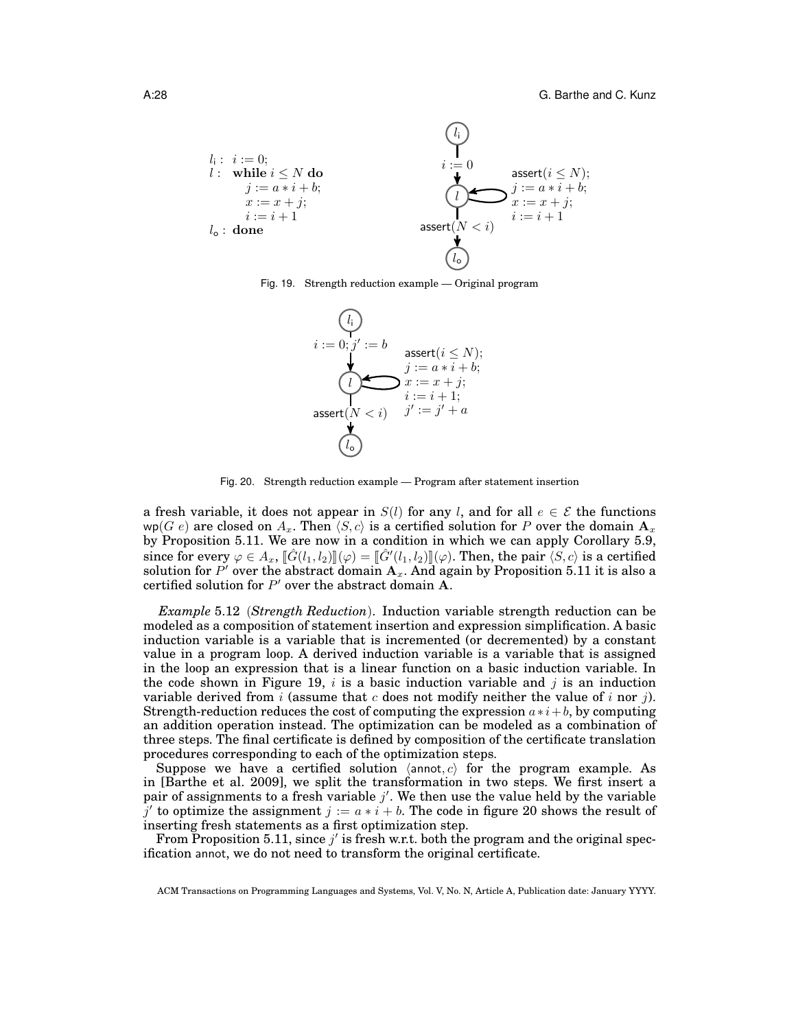| $l_i : i := 0;$   | $\begin{cases} l_i \\ l_i = 0 \\ l_i = 0 \end{cases}$      | $i := 0$                                                  | $\text{assert}(i \leq N);$ |
|-------------------|------------------------------------------------------------|-----------------------------------------------------------|----------------------------|
| $j := a * i + b;$ | $j := a * i + b;$                                          | $\begin{cases} l_i > 0 \\ l_i = 0 \\ l_i = 0 \end{cases}$ | $\text{assert}(i \leq N);$ |
| $i := i + 1$      | $i := i + 1$                                               |                                                           |                            |
| $l_o :$ done      | $\begin{cases} l_i > i > i \\ l_i > i > i + 1 \end{cases}$ |                                                           |                            |





Fig. 20. Strength reduction example — Program after statement insertion

a fresh variable, it does not appear in  $S(l)$  for any l, and for all  $e \in \mathcal{E}$  the functions wp(G e) are closed on  $A_x$ . Then  $\langle S, c \rangle$  is a certified solution for P over the domain  $\mathbf{A}_x$ . by Proposition 5.11. We are now in a condition in which we can apply Corollary 5.9, since for every  $\varphi \in A_x$ ,  $\llbracket \hat{G}(l_1, l_2) \rrbracket(\varphi) = \llbracket \hat{G}'(l_1, l_2) \rrbracket(\varphi)$ . Then, the pair  $\langle S, c \rangle$  is a certified solution for P' over the abstract domain  $\mathbf{A}_x$ . And again by Proposition 5.11 it is also a certified solution for  $P'$  over the abstract domain A.

*Example* 5.12 (*Strength Reduction*). Induction variable strength reduction can be modeled as a composition of statement insertion and expression simplification. A basic induction variable is a variable that is incremented (or decremented) by a constant value in a program loop. A derived induction variable is a variable that is assigned in the loop an expression that is a linear function on a basic induction variable. In the code shown in Figure 19, i is a basic induction variable and j is an induction variable derived from i (assume that c does not modify neither the value of i nor j). Strength-reduction reduces the cost of computing the expression  $a * i + b$ , by computing an addition operation instead. The optimization can be modeled as a combination of three steps. The final certificate is defined by composition of the certificate translation procedures corresponding to each of the optimization steps.

Suppose we have a certified solution  $\langle$ annot, c $\rangle$  for the program example. As in [Barthe et al. 2009], we split the transformation in two steps. We first insert a pair of assignments to a fresh variable  $j'$ . We then use the value held by the variable  $\bar{j}'$  to optimize the assignment  $j := a * i + b$ . The code in figure 20 shows the result of inserting fresh statements as a first optimization step.

From Proposition 5.11, since  $j'$  is fresh w.r.t. both the program and the original specification annot, we do not need to transform the original certificate.

ACM Transactions on Programming Languages and Systems, Vol. V, No. N, Article A, Publication date: January YYYY.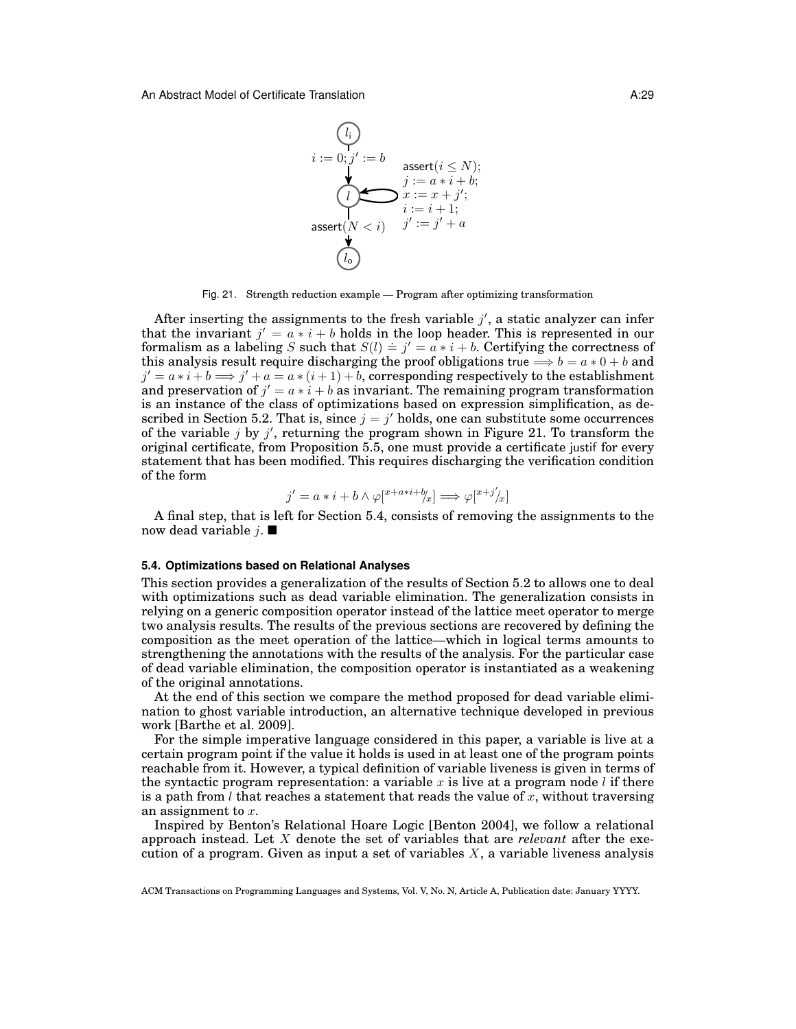

Fig. 21. Strength reduction example — Program after optimizing transformation

After inserting the assignments to the fresh variable  $j'$ , a static analyzer can infer that the invariant  $j' = a * i + b$  holds in the loop header. This is represented in our formalism as a labeling S such that  $S(l) \doteq j' = a * i + b$ . Certifying the correctness of this analysis result require discharging the proof obligations true  $\Longrightarrow b = a * 0 + b$  and  $j' = a * i + b \Longrightarrow j' + a = a * (i + 1) + b$ , corresponding respectively to the establishment and preservation of  $j' = a * i + b$  as invariant. The remaining program transformation is an instance of the class of optimizations based on expression simplification, as described in Section 5.2. That is, since  $j = j'$  holds, one can substitute some occurrences of the variable  $j$  by  $j'$ , returning the program shown in Figure 21. To transform the original certificate, from Proposition 5.5, one must provide a certificate justif for every statement that has been modified. This requires discharging the verification condition of the form

$$
j'=a*i+b\wedge\varphi[^{x+a*i+\mathit{h}}_x]\Longrightarrow\varphi[^{x+j'}\!\!/_x]
$$

A final step, that is left for Section 5.4, consists of removing the assignments to the now dead variable  $j. \blacksquare$ 

#### **5.4. Optimizations based on Relational Analyses**

This section provides a generalization of the results of Section 5.2 to allows one to deal with optimizations such as dead variable elimination. The generalization consists in relying on a generic composition operator instead of the lattice meet operator to merge two analysis results. The results of the previous sections are recovered by defining the composition as the meet operation of the lattice—which in logical terms amounts to strengthening the annotations with the results of the analysis. For the particular case of dead variable elimination, the composition operator is instantiated as a weakening of the original annotations.

At the end of this section we compare the method proposed for dead variable elimination to ghost variable introduction, an alternative technique developed in previous work [Barthe et al. 2009].

For the simple imperative language considered in this paper, a variable is live at a certain program point if the value it holds is used in at least one of the program points reachable from it. However, a typical definition of variable liveness is given in terms of the syntactic program representation: a variable x is live at a program node  $l$  if there is a path from  $l$  that reaches a statement that reads the value of x, without traversing an assignment to x.

Inspired by Benton's Relational Hoare Logic [Benton 2004], we follow a relational approach instead. Let X denote the set of variables that are *relevant* after the execution of a program. Given as input a set of variables  $X$ , a variable liveness analysis

ACM Transactions on Programming Languages and Systems, Vol. V, No. N, Article A, Publication date: January YYYY.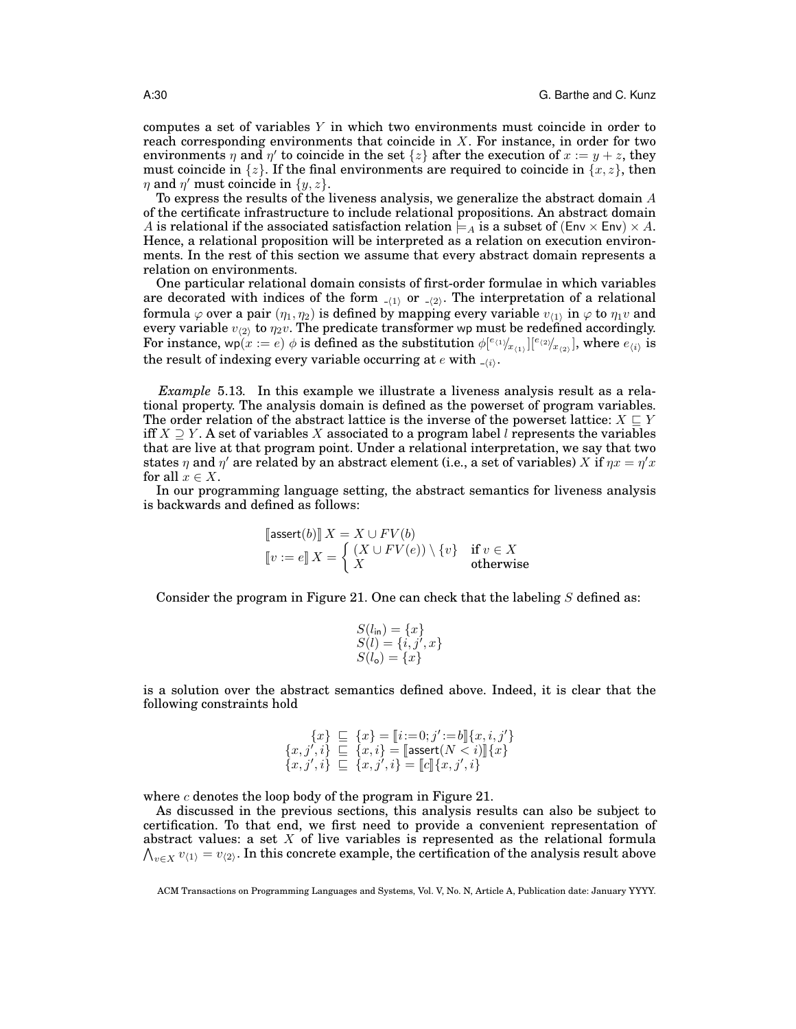computes a set of variables  $Y$  in which two environments must coincide in order to reach corresponding environments that coincide in  $X$ . For instance, in order for two environments  $\eta$  and  $\eta'$  to coincide in the set  $\{z\}$  after the execution of  $x := y + z$ , they must coincide in  $\{z\}$ . If the final environments are required to coincide in  $\{x, z\}$ , then  $\eta$  and  $\eta'$  must coincide in  $\{y, z\}$ .

To express the results of the liveness analysis, we generalize the abstract domain A of the certificate infrastructure to include relational propositions. An abstract domain A is relational if the associated satisfaction relation  $\models A$  is a subset of  $(Env \times Env) \times A$ . Hence, a relational proposition will be interpreted as a relation on execution environments. In the rest of this section we assume that every abstract domain represents a relation on environments.

One particular relational domain consists of first-order formulae in which variables are decorated with indices of the form  $\overline{a(1)}$  or  $\overline{a(2)}$ . The interpretation of a relational formula  $\varphi$  over a pair  $(\eta_1,\eta_2)$  is defined by mapping every variable  $v_{\langle 1 \rangle}$  in  $\varphi$  to  $\eta_1 v$  and every variable  $v_{\langle 2 \rangle}$  to  $\eta_2 v.$  The predicate transformer wp must be redefined accordingly. For instance, wp $(x := e)$   $\phi$  is defined as the substitution  $\phi[^{e_{(1)}}\!/_{x_{(1)}}][^{e_{(2)}}\!/_{x_{(2)}}]$ , where  $e_{(i)}$  is the result of indexing every variable occurring at  $e$  with  $\Box_{(i)}$ .

*Example* 5.13*.* In this example we illustrate a liveness analysis result as a relational property. The analysis domain is defined as the powerset of program variables. The order relation of the abstract lattice is the inverse of the powerset lattice:  $X \subseteq Y$ iff  $X \supseteq Y$ . A set of variables X associated to a program label l represents the variables that are live at that program point. Under a relational interpretation, we say that two states  $\eta$  and  $\eta'$  are related by an abstract element (i.e., a set of variables) X if  $\eta x = \eta' x$ for all  $x \in X$ .

In our programming language setting, the abstract semantics for liveness analysis is backwards and defined as follows:

$$
\begin{aligned}\n\llbracket \text{assert}(b) \rrbracket X &= X \cup FV(b) \\
\llbracket v := e \rrbracket X &= \left\{ \begin{array}{ll} (X \cup FV(e)) \setminus \{v\} & \text{if } v \in X \\
X & \text{otherwise} \end{array} \right.\n\end{aligned}
$$

Consider the program in Figure 21. One can check that the labeling  $S$  defined as:

$$
S(l_{\text{in}}) = \{x\}S(l) = \{i, j', x\}S(l_{\text{o}}) = \{x\}
$$

is a solution over the abstract semantics defined above. Indeed, it is clear that the following constraints hold

$$
\begin{array}{c} \{x\} \sqsubseteq \{x\} = \llbracket i := 0; j' := b \rrbracket \{x, i, j'\} \\ \{x, j', i\} \sqsubseteq \{x, i\} = \llbracket \mathsf{assert}(N < i) \rrbracket \{x\} \\ \{x, j', i\} \sqsubseteq \{x, j', i\} = \llbracket c \rrbracket \{x, j', i\} \end{array}
$$

where  $c$  denotes the loop body of the program in Figure 21.

As discussed in the previous sections, this analysis results can also be subject to certification. To that end, we first need to provide a convenient representation of abstract values: a set X of live variables is represented as the relational formula  $\bigwedge_{v\in X}v_{\langle 1\rangle}=v_{\langle 2\rangle}.$  In this concrete example, the certification of the analysis result above

ACM Transactions on Programming Languages and Systems, Vol. V, No. N, Article A, Publication date: January YYYY.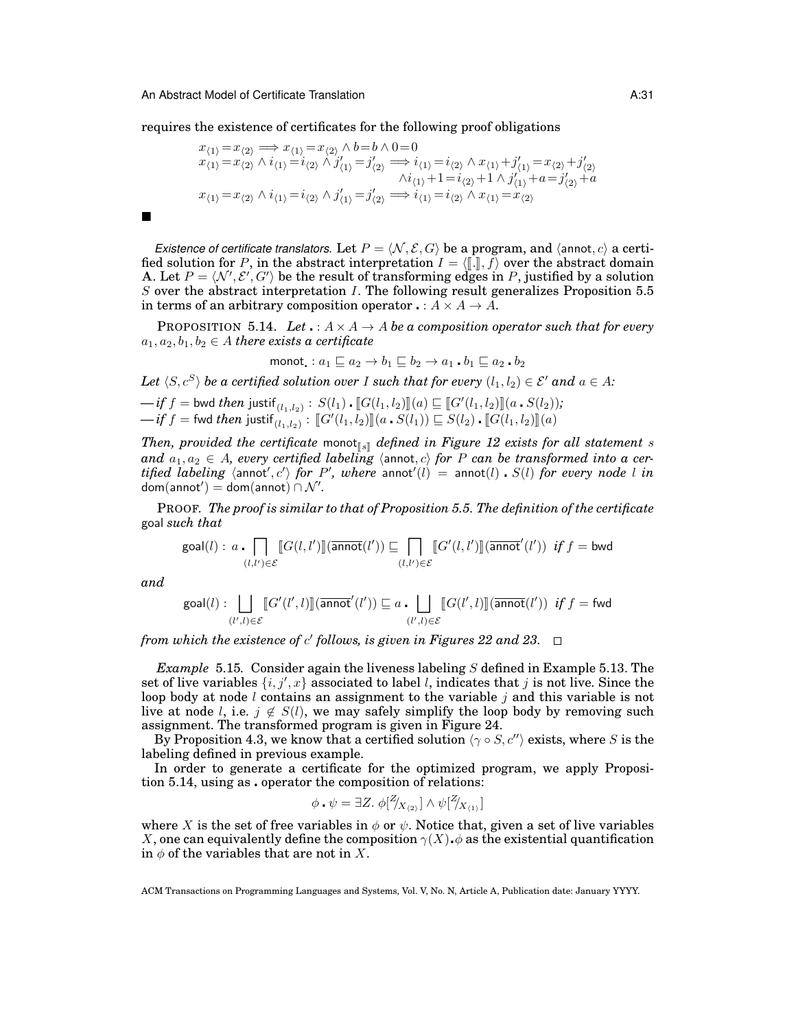requires the existence of certificates for the following proof obligations

$$
x_{(1)} = x_{(2)} \implies x_{(1)} = x_{(2)} \land b = b \land 0 = 0
$$
  
\n
$$
x_{(1)} = x_{(2)} \land i_{(1)} = i_{(2)} \land j'_{(1)} = j'_{(2)} \implies i_{(1)} = i_{(2)} \land x_{(1)} + j'_{(1)} = x_{(2)} + j'_{(2)}
$$
  
\n
$$
\land i_{(1)} + 1 = i_{(2)} + 1 \land j'_{(1)} + a = j'_{(2)} + a
$$
  
\n
$$
x_{(1)} = x_{(2)} \land i_{(1)} = i_{(2)} \land j'_{(1)} = j'_{(2)} \implies i_{(1)} = i_{(2)} \land x_{(1)} = x_{(2)}
$$

*Existence of certificate translators.* Let  $P = \langle N, \mathcal{E}, G \rangle$  be a program, and  $\langle \text{annot}, c \rangle$  a certified solution for P, in the abstract interpretation  $I = \langle \cdot, \cdot \rangle$  over the abstract domain A. Let  $P = \langle N', \mathcal{E}', G' \rangle$  be the result of transforming edges in P, justified by a solution  $S$  over the abstract interpretation  $I$ . The following result generalizes Proposition 5.5 in terms of an arbitrary composition operator  $\cdot : A \times A \rightarrow A$ .

**PROPOSITION 5.14.** *Let*  $\cdot : A \times A \rightarrow A$  *be a composition operator such that for every*  $a_1, a_2, b_1, b_2 \in A$  *there exists a certificate* 

$$
\text{monot.}: a_1 \sqsubseteq a_2 \to b_1 \sqsubseteq b_2 \to a_1 \cdot b_1 \sqsubseteq a_2 \cdot b_2
$$

*Let*  $\langle S, c^S \rangle$  *be a certified solution over I such that for every*  $(l_1, l_2) \in \mathcal{E}'$  *and*  $a \in A$ *:* 

 $-\textit{if } f = \text{bwd } \textit{then } \text{justif}_{(l_1, l_2)} : S(l_1) \cdot [G(l_1, l_2)]](a) \sqsubseteq [G'(l_1, l_2)]](a \cdot S(l_2));$ <br> *if* f function institution  $\text{Ext}(l_1, l_2) \sqcup \text{Ext}(l_1, l_2) \sqcap \text{Ext}(l_2, l_1) \sqcap \text{Ext}(l_2)$  $\vec{f} = \text{fwd } then \text{ justif}(\overline{l_1, l_2}) : [[G'(l_1, l_2)]](a \cdot S(l_1)) \sqsubseteq S(l_2) \cdot [[G(l_1, l_2)]](a)$ 

*Then, provided the certificate* monot<sub> $\mathbb{I}_s$  *defined in Figure 12 exists for all statement* s</sub> and  $a_1, a_2 \in A$ , every certified labeling  $\langle \text{annot}, c \rangle$  for P can be transformed into a cer $t$ *ified labeling*  $\langle$  annot', c') *for P'*, where annot' $(l)$  = annot $(l)$  .  $S(l)$  *for every node* l *in*  $\mathsf{dom}(\mathsf{annot}') = \mathsf{dom}(\mathsf{annot}) \cap \mathcal{N}'.$ 

PROOF. *The proof is similar to that of Proposition 5.5. The definition of the certificate* goal *such that*

$$
\textnormal{goal}(l): \ a \centerdot \bigcap_{(l,l') \in \mathcal{E}} \llbracket G(l,l') \rrbracket(\overline{\mathsf{annot}}(l')) \sqsubseteq \bigcap_{(l,l') \in \mathcal{E}} \llbracket G'(l,l') \rrbracket(\overline{\mathsf{annot}}'(l')) \ \ \textit{if $f= \mathsf{bwd}$}
$$

*and*

$$
\textnormal{goal}(l): \bigsqcup_{(l',l) \in \mathcal{E}} \llbracket G'(l',l) \rrbracket(\overline{\mathsf{annot}}'(l')) \sqsubseteq a \centerdot \bigsqcup_{(l',l) \in \mathcal{E}} \llbracket G(l',l) \rrbracket(\overline{\mathsf{annot}}(l')) \textnormal{ if } f = \textnormal{fwd}
$$

*from which the existence of* c 0 *follows, is given in Figures 22 and 23.*

*Example* 5.15*.* Consider again the liveness labeling S defined in Example 5.13. The set of live variables  $\{i, j', x\}$  associated to label l, indicates that j is not live. Since the loop body at node  $l$  contains an assignment to the variable  $j$  and this variable is not live at node l, i.e.  $j \notin S(l)$ , we may safely simplify the loop body by removing such assignment. The transformed program is given in Figure 24.

By Proposition 4.3, we know that a certified solution  $\langle \gamma \circ S, c'' \rangle$  exists, where S is the labeling defined in previous example.

In order to generate a certificate for the optimized program, we apply Proposition 5.14, using as operator the composition of relations:

$$
\phi \cdot \psi = \exists Z. \; \phi \left[ \frac{Z}{X_{(2)}} \right] \wedge \psi \left[ \frac{Z}{X_{(1)}} \right]
$$

where X is the set of free variables in  $\phi$  or  $\psi$ . Notice that, given a set of live variables X, one can equivalently define the composition  $\gamma(X) \phi$  as the existential quantification in  $\phi$  of the variables that are not in X.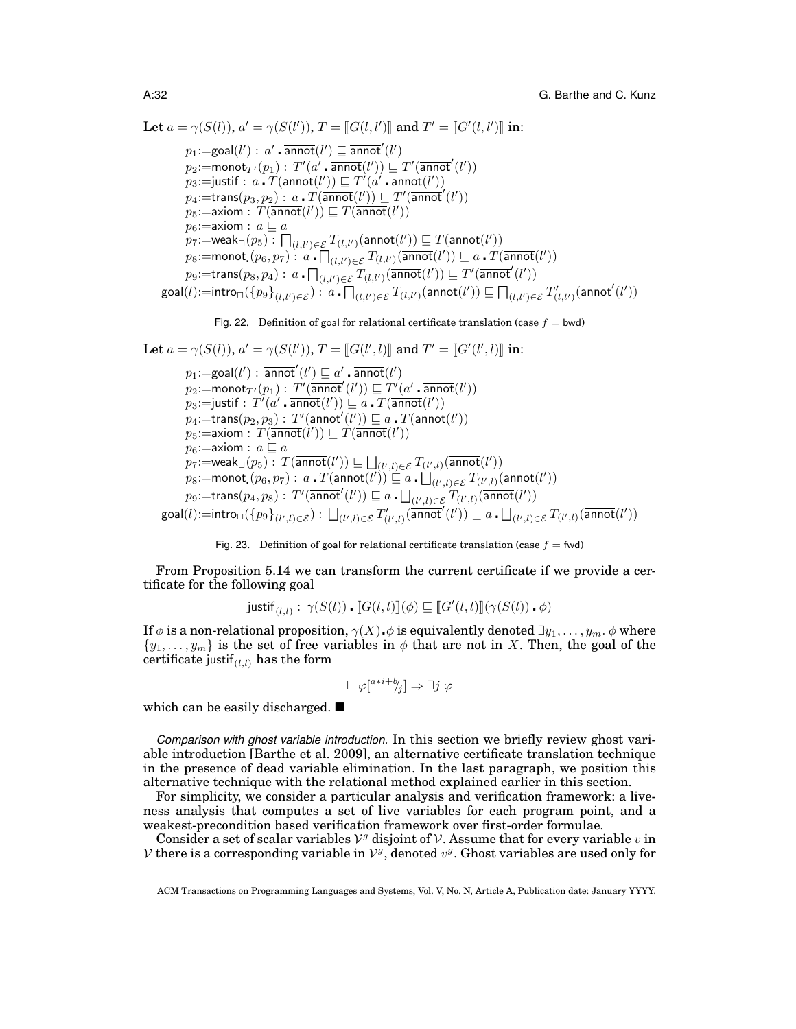Let 
$$
a = \gamma(S(l)), a' = \gamma(S(l')), T = [[G(l, l')]]
$$
 and  $T' = [[G'(l, l')]]$  in:\n $p_1 := \text{goal}(l') : a' \cdot \overline{\text{annot}}(l') \sqsubseteq \overline{\text{annot}}(l')$ \n $p_2 := \text{monot}_{T'}(p_1) : T'(a' \cdot \overline{\text{annot}}(l')) \sqsubseteq T'(\overline{\text{annot}}(l'))$ \n $p_3 := \text{justif} : a \cdot T(\overline{\text{annot}}(l')) \sqsubseteq T'(a' \cdot \overline{\text{annot}}(l'))$ \n $p_4 := \text{trans}(p_3, p_2) : a \cdot T(\overline{\text{annot}}(l')) \sqsubseteq T'(\overline{\text{annot}}(l'))$ \n $p_5 := \text{axiom} : T(\overline{\text{annot}}(l')) \sqsubseteq T(\overline{\text{annot}}(l'))$ \n $p_6 := \text{axiom} : a \sqsubseteq a$ \n $p_7 := \text{weak}_{\square}(p_5) : \square_{(l,l') \in \mathcal{E}} T_{(l,l')}(\overline{\text{annot}}(l')) \sqsubseteq T(\overline{\text{annot}}(l'))$ \n $p_8 := \text{monot}(p_6, p_7) : a \cdot \square_{(l,l') \in \mathcal{E}} T_{(l,l')}(\overline{\text{annot}}(l')) \sqsubseteq a \cdot T(\overline{\text{annot}}(l'))$ \n $p_9 := \text{trans}(p_8, p_4) : a \cdot \square_{(l,l') \in \mathcal{E}} T_{(l,l')}(\overline{\text{annot}}(l')) \sqsubseteq T'(\overline{\text{annot}}(l'))$ \n $\text{goal}(l) := \text{intro}_{\square}(\{p_9\}_{(l,l') \in \mathcal{E}}) : a \cdot \square_{(l,l') \in \mathcal{E}} T_{(l,l')}(\overline{\text{annot}}(l')) \sqsubseteq \square_{(l,l') \in \mathcal{E}} T'_{(l,l')}(\overline{\text{annot}}(l'))$ 

Fig. 22. Definition of goal for relational certificate translation (case 
$$
f = bwd
$$
)

Let 
$$
a = \gamma(S(l)), a' = \gamma(S(l')), T = [[G(l', l)]]
$$
 and  $T' = [[G'(l', l)]]$  in:  
\n $p_1 := \text{goal}(l') : \overline{a} \text{mod}'(l') \sqsubseteq a' \cdot \overline{a} \text{mod}(l')$   
\n $p_2 := \text{monot}_{T'}(p_1) : T'(\overline{a} \text{mod}'(l')) \sqsubseteq T'(a' \cdot \overline{a} \text{mod}(l'))$   
\n $p_3 := \text{justif} : T'(a' \cdot \overline{a} \text{mod}(l')) \sqsubseteq a \cdot T(\overline{a} \text{mod}(l'))$   
\n $p_4 := \text{trans}(p_2, p_3) : T'(\overline{a} \text{mod}'(l')) \sqsubseteq a \cdot T(\overline{a} \text{mod}(l'))$   
\n $p_5 := \text{axiom} : T(\overline{a} \text{mod}(l')) \sqsubseteq T(\overline{a} \text{mod}(l'))$   
\n $p_6 := \text{axiom} : a \sqsubseteq a$   
\n $p_7 := \text{weak}_{\sqcup}(p_5) : T(\overline{a} \text{mod}(l')) \sqsubseteq \sqcup_{(l',l) \in \mathcal{E}} T_{(l',l)}(\overline{a} \text{mod}(l'))$   
\n $p_8 := \text{monot}(p_6, p_7) : a \cdot T(\overline{a} \text{mod}(l')) \sqsubseteq a \cdot \sqcup_{(l',l) \in \mathcal{E}} T_{(l',l)}(\overline{a} \text{mod}(l'))$   
\n $p_9 := \text{trans}(p_4, p_8) : T'(\overline{a} \text{mod}'(l')) \sqsubseteq a \cdot \sqcup_{(l',l) \in \mathcal{E}} T_{(l',l)}(\overline{a} \text{mod}(l'))$   
\n $\text{goal}(l) := \text{intro}_{\sqcup} (\{p_9\}_{(l',l) \in \mathcal{E}}) : \sqcup_{(l',l) \in \mathcal{E}} T'_{(l',l)}(\overline{a} \text{mod}'(l')) \sqsubseteq a \cdot \sqcup_{(l',l) \in \mathcal{E}} T_{(l',l)}(\overline{a} \text{mod}(l'))$ 

#### Fig. 23. Definition of goal for relational certificate translation (case  $f = fwd$ )

From Proposition 5.14 we can transform the current certificate if we provide a certificate for the following goal

$$
\mathsf{justif}_{(l,l)}: \, \gamma(S(l)) \centerdot \llbracket G(l,l) \rrbracket (\phi) \sqsubseteq \llbracket G'(l,l) \rrbracket (\gamma(S(l)) \centerdot \phi)
$$

If  $\phi$  is a non-relational proposition,  $\gamma(X)$   $\phi$  is equivalently denoted  $\exists y_1, \ldots, y_m$ .  $\phi$  where  $\{y_1, \ldots, y_m\}$  is the set of free variables in  $\phi$  that are not in X. Then, the goal of the certificate justif $_{(l,l)}$  has the form

$$
\vdash \varphi[^{a*i+b}j] \Rightarrow \exists j \; \varphi
$$

which can be easily discharged.

*Comparison with ghost variable introduction.* In this section we briefly review ghost variable introduction [Barthe et al. 2009], an alternative certificate translation technique in the presence of dead variable elimination. In the last paragraph, we position this alternative technique with the relational method explained earlier in this section.

For simplicity, we consider a particular analysis and verification framework: a liveness analysis that computes a set of live variables for each program point, and a weakest-precondition based verification framework over first-order formulae.

Consider a set of scalar variables  $V<sup>g</sup>$  disjoint of  $V$ . Assume that for every variable v in V there is a corresponding variable in  $\mathcal{V}^g$ , denoted  $v^g$ . Ghost variables are used only for

ACM Transactions on Programming Languages and Systems, Vol. V, No. N, Article A, Publication date: January YYYY.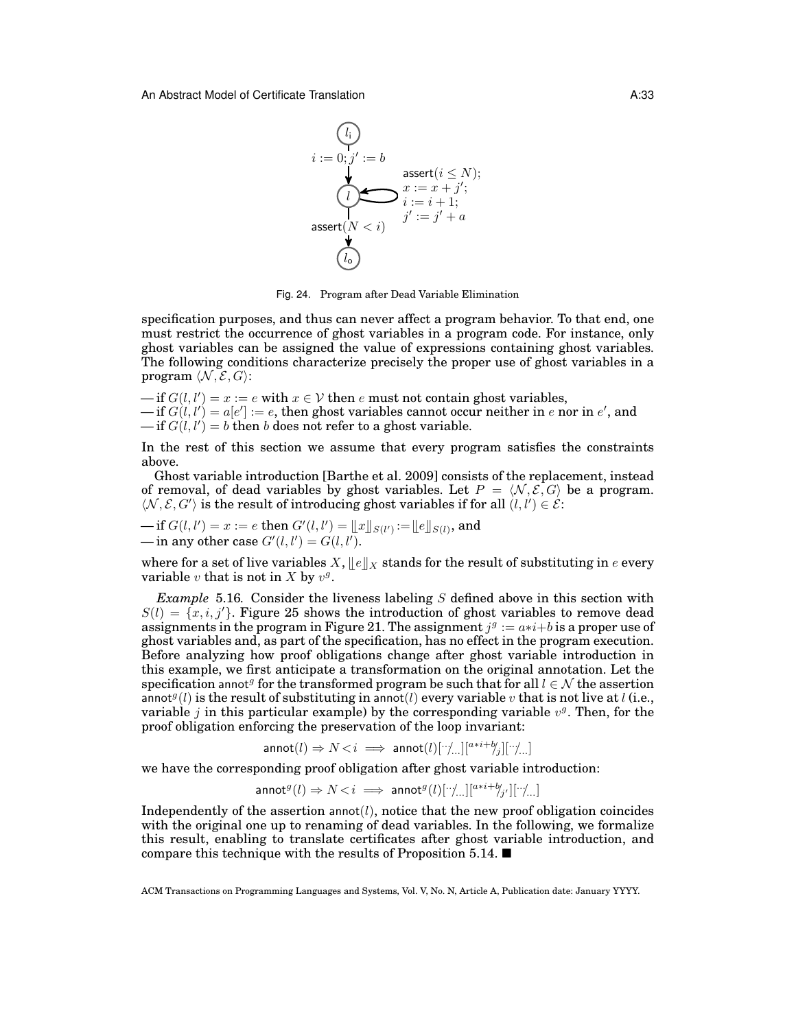$$
(l_i)
$$
\n
$$
i := 0; j' := b
$$
\n
$$
x := x + j';
$$
\n
$$
(l)
$$
\n
$$
i := i + 1;
$$
\n
$$
d
$$
\n
$$
(l_0)
$$
\n
$$
i := j' + a
$$

Fig. 24. Program after Dead Variable Elimination

specification purposes, and thus can never affect a program behavior. To that end, one must restrict the occurrence of ghost variables in a program code. For instance, only ghost variables can be assigned the value of expressions containing ghost variables. The following conditions characterize precisely the proper use of ghost variables in a program  $\langle \mathcal{N}, \mathcal{E}, G \rangle$ :

 $-\text{if } G(l, l') = x := e \text{ with } x \in V \text{ then } e \text{ must not contain ghost variables,}$  $\text{--- if } G(l,l') = a[e'] := e, \text{ then ghost variables cannot occur neither in } e \text{ nor in } e', \text{ and}$  $\text{if } G(l, l') = b \text{ then } b \text{ does not refer to a ghost variable.}$ 

In the rest of this section we assume that every program satisfies the constraints above.

Ghost variable introduction [Barthe et al. 2009] consists of the replacement, instead of removal, of dead variables by ghost variables. Let  $P = \langle N, \mathcal{E}, G \rangle$  be a program.  $\langle \mathcal{N}, \mathcal{E}, G' \rangle$  is the result of introducing ghost variables if for all  $(l, l') \in \mathcal{E}$ :

— if 
$$
G(l, l') = x := e
$$
 then  $G'(l, l') = ||x||_{S(l')} := ||e||_{S(l)}$ , and  
— in any other case  $G'(l, l') = G(l, l')$ .

where for a set of live variables X,  $||e||_X$  stands for the result of substituting in e every variable v that is not in X by  $v^g$ .

*Example* 5.16*.* Consider the liveness labeling S defined above in this section with  $S(l) = \{x, i, j'\}.$  Figure 25 shows the introduction of ghost variables to remove dead assignments in the program in Figure 21. The assignment  $j^g := a * i + b$  is a proper use of ghost variables and, as part of the specification, has no effect in the program execution. Before analyzing how proof obligations change after ghost variable introduction in this example, we first anticipate a transformation on the original annotation. Let the specification annot<sup>g</sup> for the transformed program be such that for all  $l \in \mathcal{N}$  the assertion annot  $g(l)$  is the result of substituting in annot (*l*) every variable v that is not live at *l* (i.e., variable j in this particular example) by the corresponding variable  $v<sup>g</sup>$ . Then, for the proof obligation enforcing the preservation of the loop invariant:

 $\text{annot}(l) \Rightarrow N \leq i \implies \text{annot}(l)[\because \text{ln}[\text{max} + b_{j}][\because \text{ln}[\text{max} + b_{j}]]$ 

we have the corresponding proof obligation after ghost variable introduction:

 $\mathsf{annot}^g (l) \Rightarrow N \! < \! i \implies \mathsf{annot}^g (l)[\because \! \! \! \! \! \! \! \! \! \! \cdot ] [^{a*i +b}\! \! \! \! \! \! \! \! \! \! \! \! \! \cdot ] [\cdot \! \! \! \! \! \! \! \! \! \cdot ] ... ]$ 

Independently of the assertion  $\text{anot}(l)$ , notice that the new proof obligation coincides with the original one up to renaming of dead variables. In the following, we formalize this result, enabling to translate certificates after ghost variable introduction, and compare this technique with the results of Proposition 5.14.  $\blacksquare$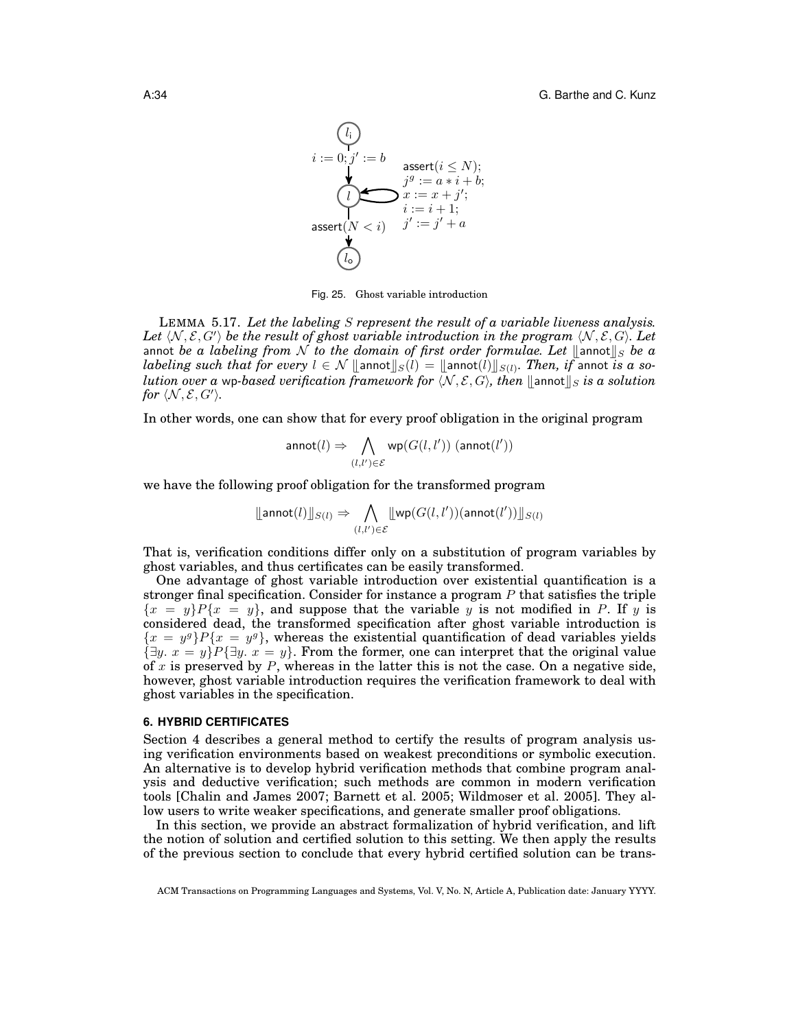$$
i := 0; j' := b
$$
  
\n
$$
\downarrow \qquad \qquad \text{assert}(i \leq N);
$$
  
\n
$$
j^g := a * i + b;
$$
  
\n
$$
x := x + j';
$$
  
\n
$$
i := i + 1;
$$
  
\n
$$
l_o
$$
  
\n
$$
j' := j' + a
$$

Fig. 25. Ghost variable introduction

LEMMA 5.17. *Let the labeling* S *represent the result of a variable liveness analysis.* Let  $\langle N, \mathcal{E}, G' \rangle$  be the result of ghost variable introduction in the program  $\langle N, \mathcal{E}, G \rangle$ . Let annot *be a labeling from* N to the domain of first order formulae. Let  $\|\text{annot}\|_{S}$  be a  $labeleding such that for every  $l \in \mathcal{N} \parallel$  annot $||s(l)| = ||$  annot $(l) ||s(l)|$ . Then, if annot *is a so-*<br>*lution over* a we based verification framework for  $(N, S, C)$ , then  $||$  annot  $||$ , is a solution$ *lution over a* wp-based verification framework for  $\langle N, \mathcal{E}, G \rangle$ , then  $\|\text{annotis} \|$  *s* is a solution for  $\langle \mathcal{N}, \mathcal{E}, G' \rangle$ *.* 

In other words, one can show that for every proof obligation in the original program

$$
\mathsf{annot}(l) \Rightarrow \bigwedge_{(l,l') \in \mathcal{E}} \mathsf{wp}(G(l,l')) \ (\mathsf{annot}(l'))
$$

we have the following proof obligation for the transformed program

$$
\lfloor\textsf{annot}(l)\rfloor\rfloor_{S(l)} \Rightarrow \bigwedge_{(l,l')\in\mathcal{E}}\lfloor\textsf{wp}(G(l,l'))(\textsf{annot}(l'))\rfloor\rfloor_{S(l)}
$$

That is, verification conditions differ only on a substitution of program variables by ghost variables, and thus certificates can be easily transformed.

One advantage of ghost variable introduction over existential quantification is a stronger final specification. Consider for instance a program  $P$  that satisfies the triple  ${x = y}P{x = y}$ , and suppose that the variable y is not modified in P. If y is considered dead, the transformed specification after ghost variable introduction is  ${x = y^g}P{x = y^g}$ , whereas the existential quantification of dead variables yields  $\{\exists y. \ x = y\}P{\exists y. \ x = y\}$ . From the former, one can interpret that the original value of x is preserved by  $P$ , whereas in the latter this is not the case. On a negative side, however, ghost variable introduction requires the verification framework to deal with ghost variables in the specification.

## **6. HYBRID CERTIFICATES**

Section 4 describes a general method to certify the results of program analysis using verification environments based on weakest preconditions or symbolic execution. An alternative is to develop hybrid verification methods that combine program analysis and deductive verification; such methods are common in modern verification tools [Chalin and James 2007; Barnett et al. 2005; Wildmoser et al. 2005]. They allow users to write weaker specifications, and generate smaller proof obligations.

In this section, we provide an abstract formalization of hybrid verification, and lift the notion of solution and certified solution to this setting. We then apply the results of the previous section to conclude that every hybrid certified solution can be trans-

ACM Transactions on Programming Languages and Systems, Vol. V, No. N, Article A, Publication date: January YYYY.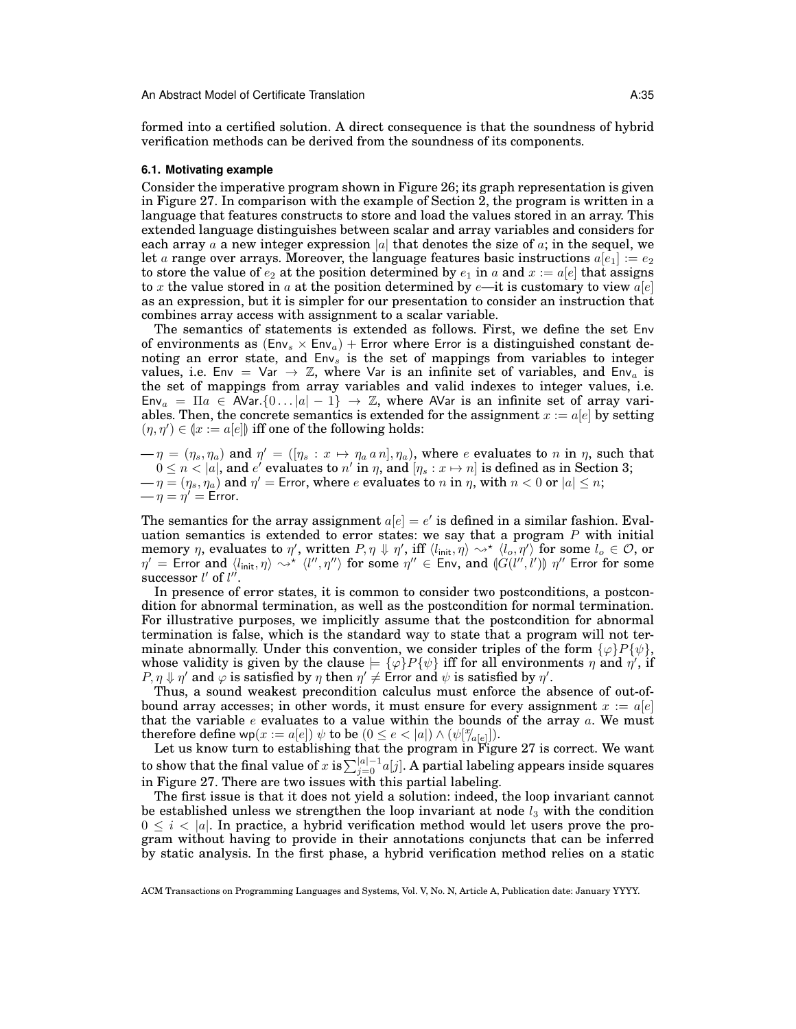formed into a certified solution. A direct consequence is that the soundness of hybrid verification methods can be derived from the soundness of its components.

#### **6.1. Motivating example**

Consider the imperative program shown in Figure 26; its graph representation is given in Figure 27. In comparison with the example of Section 2, the program is written in a language that features constructs to store and load the values stored in an array. This extended language distinguishes between scalar and array variables and considers for each array a a new integer expression |a| that denotes the size of  $a$ ; in the sequel, we let a range over arrays. Moreover, the language features basic instructions  $a[e_1] := e_2$ to store the value of  $e_2$  at the position determined by  $e_1$  in a and  $x := a[e]$  that assigns to x the value stored in a at the position determined by  $e$ —it is customary to view  $a[e]$ as an expression, but it is simpler for our presentation to consider an instruction that combines array access with assignment to a scalar variable.

The semantics of statements is extended as follows. First, we define the set Env of environments as  $(Env<sub>s</sub> × Env<sub>a</sub>)$  + Error where Error is a distinguished constant denoting an error state, and  $Env<sub>s</sub>$  is the set of mappings from variables to integer values, i.e. Env = Var  $\rightarrow \mathbb{Z}$ , where Var is an infinite set of variables, and Env<sub>a</sub> is the set of mappings from array variables and valid indexes to integer values, i.e.  $Env_a = \Pi a \in \text{AVar}\{0...\vert a\vert -1\} \rightarrow \mathbb{Z}$ , where AVar is an infinite set of array variables. Then, the concrete semantics is extended for the assignment  $x := a[e]$  by setting  $(\eta, \eta') \in (x := a[e])$  iff one of the following holds:

 $-\eta = (\eta_s, \eta_a)$  and  $\eta' = ([\eta_s : x \mapsto \eta_a a n], \eta_a)$ , where e evaluates to n in  $\eta$ , such that  $0\leq n< |a|,$  and  $e'$  evaluates to  $n'$  in  $\eta,$  and  $[\eta_s:x\mapsto n]$  is defined as in Section 3;  $-\eta=(\eta_s,\eta_a)$  and  $\eta' =$  Error, where  $e$  evaluates to  $n$  in  $\eta,$  with  $n < 0$  or  $|a| \leq n;$  $-\eta = \eta' = E$ rror.

The semantics for the array assignment  $a[e] = e'$  is defined in a similar fashion. Evaluation semantics is extended to error states: we say that a program  $P$  with initial memory  $\eta$ , evaluates to  $\eta'$ , written  $P, \eta \Downarrow \eta'$ , iff  $\langle l_{\mathsf{init}}, \eta \rangle \leadsto^\star \langle l_o, \eta' \rangle$  for some  $l_o \in \mathcal{O}$ , or  $\eta' =$  Error and  $\langle l_{\text{init}}, \eta \rangle \leadsto^* \langle l'', \eta'' \rangle$  for some  $\eta'' \in$  Env, and  $\langle G(l'',l') \rangle \eta''$  Error for some successor  $l'$  of  $l''$ successor  $l'$  of  $l''$ .

In presence of error states, it is common to consider two postconditions, a postcondition for abnormal termination, as well as the postcondition for normal termination. For illustrative purposes, we implicitly assume that the postcondition for abnormal termination is false, which is the standard way to state that a program will not terminate abnormally. Under this convention, we consider triples of the form  $\{\varphi\}P\{\psi\}$ , whose validity is given by the clause  $\models {\{\varphi\}} P{\{\psi\}}$  iff for all environments  $\eta$  and  $\eta'$ , if  $P, \eta \Downarrow \eta'$  and  $\varphi$  is satisfied by  $\eta$  then  $\eta' \neq \text{E}$ rror and  $\psi$  is satisfied by  $\eta'$ .

Thus, a sound weakest precondition calculus must enforce the absence of out-ofbound array accesses; in other words, it must ensure for every assignment  $x := a[e]$ that the variable  $e$  evaluates to a value within the bounds of the array  $a$ . We must therefore define  $wp(x := a[e]) \psi$  to be  $(0 \le e < |a|) \wedge (\psi[\gamma_{a[e]}]).$ 

Let us know turn to establishing that the program in Figure 27 is correct. We want to show that the final value of  $x$  is  $\sum_{j=0}^{|a|-1}a[j].$  A partial labeling appears inside squares in Figure 27. There are two issues with this partial labeling.

The first issue is that it does not yield a solution: indeed, the loop invariant cannot be established unless we strengthen the loop invariant at node  $l_3$  with the condition  $0 \leq i \leq |a|$ . In practice, a hybrid verification method would let users prove the program without having to provide in their annotations conjuncts that can be inferred by static analysis. In the first phase, a hybrid verification method relies on a static

ACM Transactions on Programming Languages and Systems, Vol. V, No. N, Article A, Publication date: January YYYY.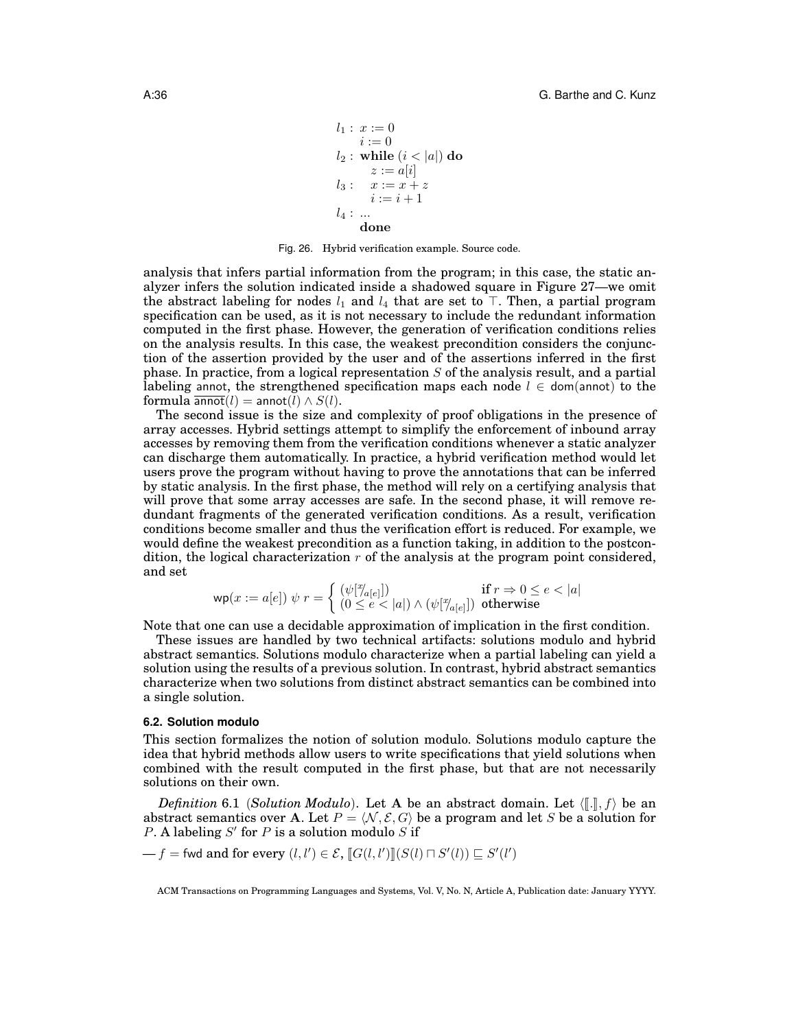$$
l_1: x := 0\n i := 0\n l_2: while (i < |a|) do\n z := a[i]\n l_3: x := x + z\n i := i + 1\n l_4: ...\n done
$$

Fig. 26. Hybrid verification example. Source code.

analysis that infers partial information from the program; in this case, the static analyzer infers the solution indicated inside a shadowed square in Figure 27—we omit the abstract labeling for nodes  $l_1$  and  $l_4$  that are set to  $\top$ . Then, a partial program specification can be used, as it is not necessary to include the redundant information computed in the first phase. However, the generation of verification conditions relies on the analysis results. In this case, the weakest precondition considers the conjunction of the assertion provided by the user and of the assertions inferred in the first phase. In practice, from a logical representation  $S$  of the analysis result, and a partial labeling annot, the strengthened specification maps each node  $l \in$  dom(annot) to the formula  $\overline{\text{annot}}(l) = \text{annot}(l) \wedge S(l)$ .

The second issue is the size and complexity of proof obligations in the presence of array accesses. Hybrid settings attempt to simplify the enforcement of inbound array accesses by removing them from the verification conditions whenever a static analyzer can discharge them automatically. In practice, a hybrid verification method would let users prove the program without having to prove the annotations that can be inferred by static analysis. In the first phase, the method will rely on a certifying analysis that will prove that some array accesses are safe. In the second phase, it will remove redundant fragments of the generated verification conditions. As a result, verification conditions become smaller and thus the verification effort is reduced. For example, we would define the weakest precondition as a function taking, in addition to the postcondition, the logical characterization  $r$  of the analysis at the program point considered, and set

$$
\mathsf{wp}(x := a[e]) \; \psi \; r = \left\{ \begin{array}{ll} (\psi[\mathbb{Y}_{a[e]}]) & \text{if} \; r \Rightarrow 0 \le e < |a| \\ (0 \le e < |a|) \land (\psi[\mathbb{Y}_{a[e]}]) & \text{otherwise} \end{array} \right.
$$

Note that one can use a decidable approximation of implication in the first condition.

These issues are handled by two technical artifacts: solutions modulo and hybrid abstract semantics. Solutions modulo characterize when a partial labeling can yield a solution using the results of a previous solution. In contrast, hybrid abstract semantics characterize when two solutions from distinct abstract semantics can be combined into a single solution.

#### **6.2. Solution modulo**

This section formalizes the notion of solution modulo. Solutions modulo capture the idea that hybrid methods allow users to write specifications that yield solutions when combined with the result computed in the first phase, but that are not necessarily solutions on their own.

*Definition* 6.1 (*Solution Modulo*). Let A be an abstract domain. Let  $\langle \lbrack \cdot \rbrack \rbrack$ , f) be an abstract semantics over A. Let  $P = \langle N, \mathcal{E}, G \rangle$  be a program and let S be a solution for P. A labeling  $S'$  for P is a solution modulo  $S$  if

 $-f$  = fwd and for every  $(l, l') \in \mathcal{E}$ ,  $[[G(l, l')]](S(l) \sqcap S'(l)) \sqsubseteq S'(l')$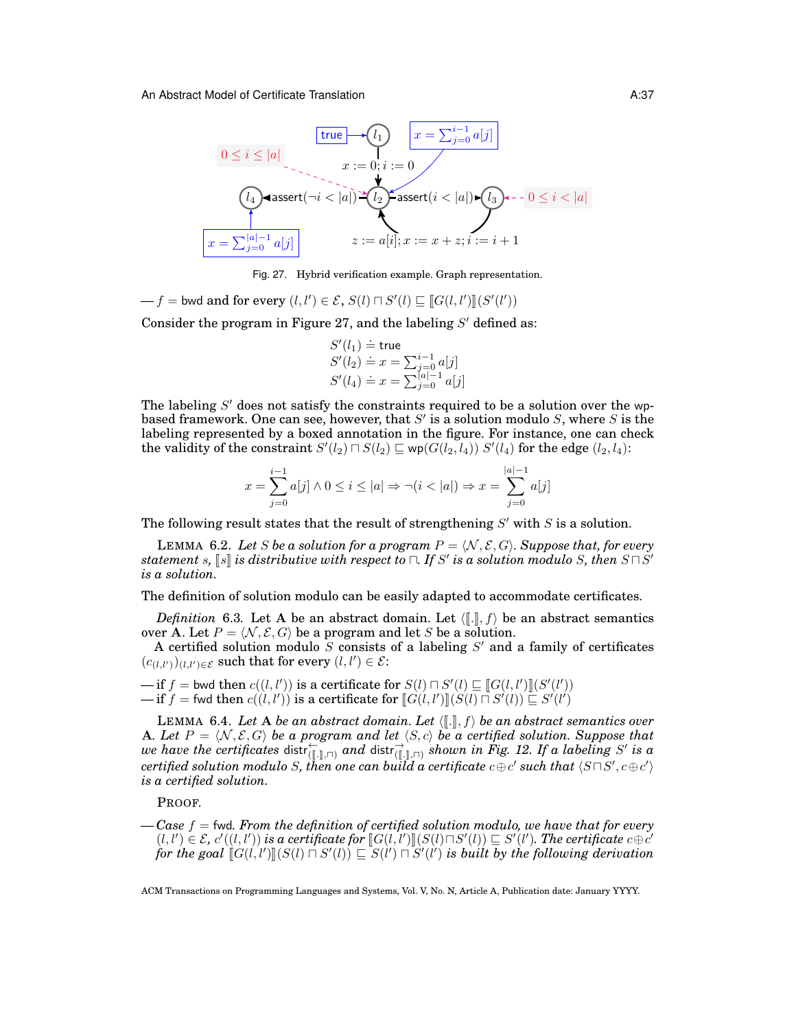

Fig. 27. Hybrid verification example. Graph representation.

 $-f =$  bwd and for every  $(l, l') \in \mathcal{E}$ ,  $S(l) \sqcap S'(l) \sqsubseteq [G(l, l')](S'(l'))$ 

Consider the program in Figure 27, and the labeling  $S'$  defined as:

$$
S'(l_1) \doteq \text{true}
$$
  
\n
$$
S'(l_2) \doteq x = \sum_{j=0}^{i-1} a[j]
$$
  
\n
$$
S'(l_4) \doteq x = \sum_{j=0}^{a-1} a[j]
$$

The labeling  $S'$  does not satisfy the constraints required to be a solution over the wpbased framework. One can see, however, that  $S'$  is a solution modulo S, where S is the labeling represented by a boxed annotation in the figure. For instance, one can check the validity of the constraint  $S'(l_2) \sqcap S(l_2) \sqsubseteq \mathsf{wp}(G(l_2, l_4))$   $S'(l_4)$  for the edge  $(l_2, l_4)$ :

$$
x = \sum_{j=0}^{i-1} a[j] \land 0 \le i \le |a| \Rightarrow \neg(i < |a|) \Rightarrow x = \sum_{j=0}^{|a|-1} a[j]
$$

The following result states that the result of strengthening  $S'$  with  $S$  is a solution.

LEMMA 6.2. Let S be a solution for a program  $P = \langle N, \mathcal{E}, G \rangle$ . Suppose that, for every statement  $s$ ,  $\llbracket s \rrbracket$  is distributive with respect to  $\sqcap$ . If S' is a solution modulo S, then  $S \sqcap S'$ <br>is a solution *is a solution.*

The definition of solution modulo can be easily adapted to accommodate certificates.

*Definition* 6.3. Let A be an abstract domain. Let  $\langle \cdot, \cdot \rangle$  be an abstract semantics over A. Let  $P = \langle N, \mathcal{E}, G \rangle$  be a program and let S be a solution.

A certified solution modulo  $S$  consists of a labeling  $S'$  and a family of certificates  $(c_{(l,l')})_{(l,l')\in\mathcal{E}}$  such that for every  $(l,l')\in\mathcal{E}$ :

 $\text{if } f = \text{bwd} \text{ then } c((l, l')) \text{ is a certificate for } S(l) \sqcap S'(l) \sqsubseteq [G(l, l')] \{S'(l')\}$ <br>  $\text{if } f = \text{fwd} \text{ then } c((l, l')) \text{ is a certificate for } [(G(l, l')'] \sqcup (S(l) \sqcap S'(l))] \sqsubseteq S'(l')$  $\text{if } f = \text{fwd} \text{ then } c((l, l')) \text{ is a certificate for } [[G(l, l')]](S(l) \sqcap S'(l)) \subseteq S'(l')$ 

LEMMA 6.4. Let A be an abstract domain. Let  $\langle [\![ . ]\!]$ ,  $f \rangle$  be an abstract semantics over A. Let  $P = \langle N, \mathcal{E}, G \rangle$  be a program and let  $\langle S, c \rangle$  be a certified solution. Suppose that we have the certificates distr $\overleftarrow{L}$ ,  $\overrightarrow{L}$ , and distr $\overrightarrow{L}$ ,  $\overrightarrow{L}$ , shown in Fig. 12. If a labeling S' is a  $\emph{certified solution modulo S, then one can build a certificate c $\oplus c'$  such that  $\langle S\sqcap S', c\oplus c'\rangle$$ *is a certified solution.*

PROOF.

*— Case* f = fwd*. From the definition of certified solution modulo, we have that for every*  $(l, l') \in \mathcal{E}$ ,  $c'((l, l'))$  is a certificate for  $[[G(l, l')][[G(l) \sqcap S'(l))] \subseteq S'(l')$ . The certificate  $c \oplus c'$ <br>for the soal  $[[G(l, l')][[S(l) \sqcap S'(l')] \sqsubset S'(l')]$  is built by the following derivation for the goal  $[\![\tilde{G}(l, l')]\!](S(l) \sqcap S'(l)) \sqsubseteq S(l') \sqcap S'(l')$  is built by the following derivation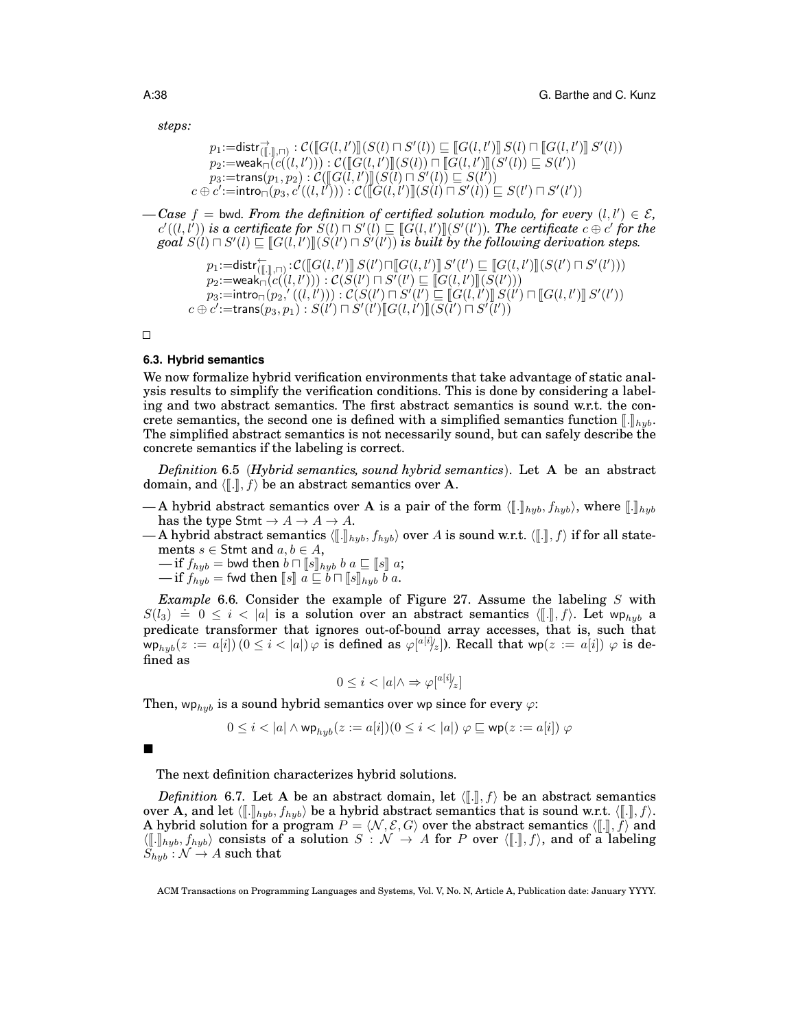*steps:*

```
p_1 := \text{dist}(\mathcal{F}_{(1,1),\sqcap)}^{\to} : \mathcal{C}(\llbracket G(l,l') \rrbracket(S(l) \sqcap S'(l)) \sqsubseteq \llbracket G(l,l') \rrbracket S(l) \sqcap \llbracket G(l,l') \rrbracket S'(l))<br>\text{supp}(G(l,l')) \sqsubseteq \text{supp}(G(l,l') \sqcup \text{supp}(S'(l)) \sqsubset \text{supp}(S'(l')) \sqsubseteq S(l'))p_2:=weak\overline{G}(c((l, l'))): C(\overline{G}(l, l')\overline{G}(l)) \sqcap \overline{G}(l, l')\overline{G}(S'(l)) \sqsubseteq S(l'))<br>p_2:=trans(p_1, p_2): C(\overline{G}(l, l')\overline{G}(l) \sqcap S'(l)) \sqsubset S(l'))p_3:=trans(p_1, p_2): C([G(\tilde{l}, l')](\tilde{S}(l) \cap \tilde{S}'(l)) \subseteq S(l')')<br>
c':=intro(p_3, c'((l, l'))): C([G(l, l')](S(l) \cap S'(l)))c \oplus \overline{c'} := \mathsf{intro}_{\square}(p_3, \overline{c'}((l, l''))) : \overline{\mathcal{C}}(\overline{[\hspace{-.10em}[\dot{G}(l, l'')]\hspace{-.05em}]}(S(l) \cap S'(l)) \subseteq S(l') \sqcap S'(l'))
```
 $\ell$  *— Case*  $f$  = bwd. From the definition of certified solution modulo, for every  $(l, l') \in \mathcal{E}$ ,  $c'(l, l'')$  is a certificate for  $S(l) \sqcap S'(l) \sqsubseteq [G(l, l')] (S'(l'))$ . The certificate  $c \oplus c'$  for the goal  $S(l) \sqcap S'(l) \sqsubset [G(l, l')] (S(l'))$  is huilt by the following derivation steps  $goal(S(l) \sqcap S'(l) \sqsubseteq [G(l, l')] (S(l') \sqcap S'(l'))$  *is built by the following derivation steps.* 

$$
\begin{array}{c} p_1\!:=\!\!\mathsf{distr}^\leftarrow_{(\llbracket.\rrbracket,\sqcap)}\!:\!\mathcal{C}(\llbracket G(l,l') \rrbracket\, S(l')\sqcap \llbracket G(l,l') \rrbracket\, S'(l') \sqsubseteq \llbracket G(l,l') \rrbracket\, (S(l')\sqcap S'(l'))\\ p_2\!:=\!\mathsf{weak}_\sqcap(c((l,l'))):\mathcal{C}(S(l')\sqcap S'(l')\sqsubseteq \llbracket G(l,l') \rrbracket\, (S(l')))\\ p_3\!:=\!\mathsf{intro}_\sqcap(p_2,'((l,l'))):\mathcal{C}(S(l')\sqcap S'(l')\sqsubseteq \llbracket G(l,l') \rrbracket\, S(l')\sqcap \llbracket G(l,l') \rrbracket\, S'(l')\\ c\oplus c'\!:=\!\mathsf{trans}(p_3,p_1):S(l')\sqcap S'(l')\llbracket G(l,l') \rrbracket\, (S(l')\sqcap S'(l')) \end{array}
$$

 $\Box$ 

#### **6.3. Hybrid semantics**

We now formalize hybrid verification environments that take advantage of static analysis results to simplify the verification conditions. This is done by considering a labeling and two abstract semantics. The first abstract semantics is sound w.r.t. the concrete semantics, the second one is defined with a simplified semantics function  $\llbracket . \rrbracket_{hub}$ . The simplified abstract semantics is not necessarily sound, but can safely describe the concrete semantics if the labeling is correct.

*Definition* 6.5 (*Hybrid semantics, sound hybrid semantics*). Let A be an abstract domain, and  $\langle \llbracket . \rrbracket, f \rangle$  be an abstract semantics over A.

- A hybrid abstract semantics over A is a pair of the form  $\langle [\![ . ] ]\!]_{hub}, f_{hub} \rangle$ , where  $[\![ . ]\!]_{hub}$ has the type Stmt  $\rightarrow A \rightarrow A \rightarrow A$ .
- A hybrid abstract semantics  $\langle [\![ .]\!]_{hyb}, f_{hyb} \rangle$  over A is sound w.r.t.  $\langle [\![ .]\!], f \rangle$  if for all statements  $s \in$  Stmt and  $a, b \in A$ ,

 $-\text{if } f_{hyp} = \text{bwd} \text{ then } b \sqcap [s]_{hyp} b a \sqsubseteq [s] a;$ <br> $-\text{if } f_{i,j} = \text{fwd} \text{ then } [s]_{i,j} \sqcap b \sqcap [s]_{i,j} b a$ 

$$
-\text{ if } f_{hyb} = \text{fwd then } [s] \ a \sqsubseteq b \sqcap [s]_{hyb} \ b \ a.
$$

*Example* 6.6*.* Consider the example of Figure 27. Assume the labeling S with Example 6.0. Consider the example of Figure 21. Assume the fabeling B with<br> $S(l_3) \doteq 0 \le i < |a|$  is a solution over an abstract semantics  $\langle [\cdot], f \rangle$ . Let  $wp_{hyb}$  a predicate transformer that ignores out-of-bound array accesses, that is, such that  $\textsf{wp}_{hyb}(z := a[i])$   $(0 \leq i < |a|)$   $\varphi$  is defined as  $\varphi[^{a[i]}\!\!/_{z}$ ). Recall that  $\textsf{wp}(z := a[i])$   $\varphi$  is defined as

$$
0 \leq i < |a| \land \Rightarrow \varphi[^{a[i]} \nmid_z]
$$

Then, wp<sub>hyb</sub> is a sound hybrid semantics over wp since for every  $\varphi$ :

$$
0\leq i < |a|\wedge \mathsf{wp}_{hyb}(z:=a[i])(0\leq i < |a|)\ \varphi \sqsubseteq \mathsf{wp}(z:=a[i])\ \varphi
$$

 $\blacksquare$ 

The next definition characterizes hybrid solutions.

*Definition* 6.7. Let A be an abstract domain, let  $(\lbrack \cdot \rbrack, f)$  be an abstract semantics over A, and let  $\langle [\![ . ] ]\!]_{hyb}, f_{hyb}$  be a hybrid abstract semantics that is sound w.r.t.  $\langle [\![ . ]\!]$ , f). A hybrid solution for a program  $P = \langle N, \mathcal{E}, G \rangle$  over the abstract semantics  $\langle [\![ . ]\!]$ ,  $f \rangle$  and  $\langle [\![.]\!]_{hyb}, f_{hyb}\rangle$  consists of a solution  $S : \mathcal{N} \to A$  for P over  $\langle [\![.]\!], f\rangle$ , and of a labeling  $S_{hub}: \mathcal{N} \rightarrow A$  such that

ACM Transactions on Programming Languages and Systems, Vol. V, No. N, Article A, Publication date: January YYYY.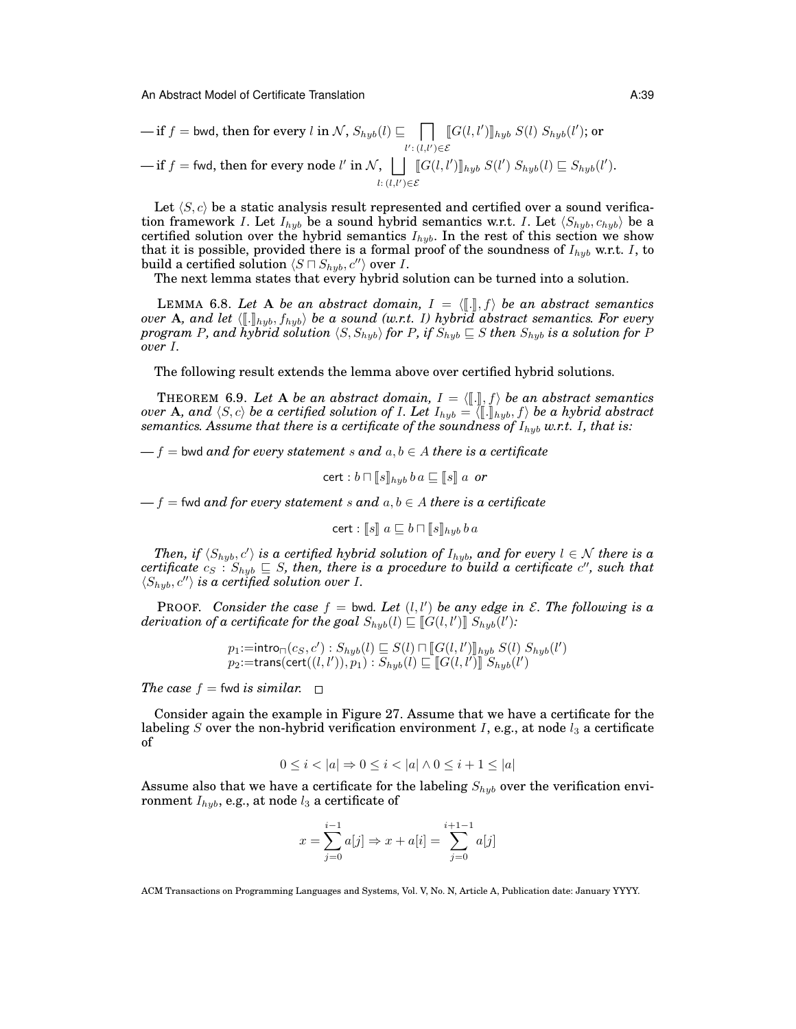$$
-\text{ if } f = \text{bwd, then for every } l \text{ in } \mathcal{N}, S_{hyb}(l) \sqsubseteq \prod_{l': (l,l') \in \mathcal{E}} [\![G(l,l')]\!]_{hyb} S(l) S_{hyb}(l'); \text{ or}
$$
\n
$$
-\text{ if } f = \text{fwd, then for every node } l' \text{ in } \mathcal{N}, \bigsqcup_{l:(l,l') \in \mathcal{E}} [\![G(l,l')]\!]_{hyb} S(l') S_{hyb}(l) \sqsubseteq S_{hyb}(l').
$$

Let  $\langle S, c \rangle$  be a static analysis result represented and certified over a sound verification framework I. Let  $I_{hub}$  be a sound hybrid semantics w.r.t. I. Let  $\langle S_{hub}, c_{hub} \rangle$  be a certified solution over the hybrid semantics  $I_{hyb}$ . In the rest of this section we show that it is possible, provided there is a formal proof of the soundness of  $I_{hyb}$  w.r.t. I, to build a certified solution  $\langle S \cap S_{hyb}, c'' \rangle$  over I.

The next lemma states that every hybrid solution can be turned into a solution.

LEMMA 6.8. Let A be an abstract domain,  $I = \langle \lbrack \cdot \rbrack, f \rangle$  be an abstract semantics *over* **A**, and let  $\langle [\cdot]_{hyp}, f_{hyb} \rangle$  *be a sound (w.r.t.* I) hybrid abstract semantics. For every *program* P, and hybrid solution  $\langle S, S_{hyb} \rangle$  *for* P, if  $S_{hyb} \subseteq S$  then  $S_{hyb}$  is a solution for P *over* I*.*

The following result extends the lemma above over certified hybrid solutions.

THEOREM 6.9. Let A be an abstract domain,  $I = \langle [\![ . ]\!]$ ,  $f \rangle$  be an abstract semantics<br>or A and  $\langle S \rangle$  be a certified solution of L Let  $I_{i+1} = \langle [\![ . \!] \!]$ ,  $I_{i+1}$  be a hybrid abstract *over* **A**, and  $\langle S, c \rangle$  *be a certified solution of I. Let*  $I_{hyb} = \langle [\![ . ] ] \!]_{hyb}, f \rangle$  *be a hybrid abstract* segmentics. Assume that there is a certificate of the soundness of  $I_{x,y}$  w.r.t. I, that is: *semantics. Assume that there is a certificate of the soundness of*  $I_{hyb}$  *w.r.t.* I, that is:

 $f = -f$  = bwd *and for every statement* s and  $a, b \in A$  *there is a certificate* 

$$
\mathsf{cert} : b \sqcap [s]_{hyb} \, b \, a \sqsubseteq [s] \, a \, \text{ or } \\
$$

 $f = f$  = fwd *and for every statement* s and  $a, b \in A$  *there is a certificate* 

$$
\mathsf{cert} : \llbracket s \rrbracket \ a \sqsubseteq b \sqcap \llbracket s \rrbracket_{hyb} \ b \ a
$$

*Then, if*  $\langle S_{hyb}, c' \rangle$  *is a certified hybrid solution of*  $I_{hyb}$ *, and for every*  $l \in \mathcal{N}$  *there is a*  $\textit{certificance}\ c_{S}: S_{hyb} \sqsubseteq S,$  then, there is a procedure to build a certificate  $c'$ , such that  $\langle S_{hyb}, c'' \rangle$  *is a certified solution over I.* 

**PROOF.** Consider the case  $f = bwd$ . Let  $(l, l')$  be any edge in  $\mathcal{E}$ . The following is a  $derivation$  of a certificate for the goal  $S_{hyb}(l) \sqsubseteq \llbracket G(l, l') \rrbracket S_{hyb}(l')$ :

$$
p_1:=\text{intro}_{\sqcap}(c_S, c'): S_{hyb}(l) \sqsubseteq S(l) \sqcap [G(l, l')]_{hyb} S(l) S_{hyb}(l')
$$
  

$$
p_2:=\text{trans}(\text{cert}((l, l')), p_1): S_{hyb}(l) \sqsubseteq [G(l, l')] S_{hyb}(l')
$$

*The case*  $f =$  fwd *is similar.*  $\Box$ 

Consider again the example in Figure 27. Assume that we have a certificate for the labeling S over the non-hybrid verification environment I, e.g., at node  $l_3$  a certificate of

$$
0 \le i < |a| \Rightarrow 0 \le i < |a| \land 0 \le i + 1 \le |a|
$$

Assume also that we have a certificate for the labeling  $S_{h\nu b}$  over the verification environment  $I_{hyb}$ , e.g., at node  $l_3$  a certificate of

$$
x = \sum_{j=0}^{i-1} a[j] \Rightarrow x + a[i] = \sum_{j=0}^{i+1-1} a[j]
$$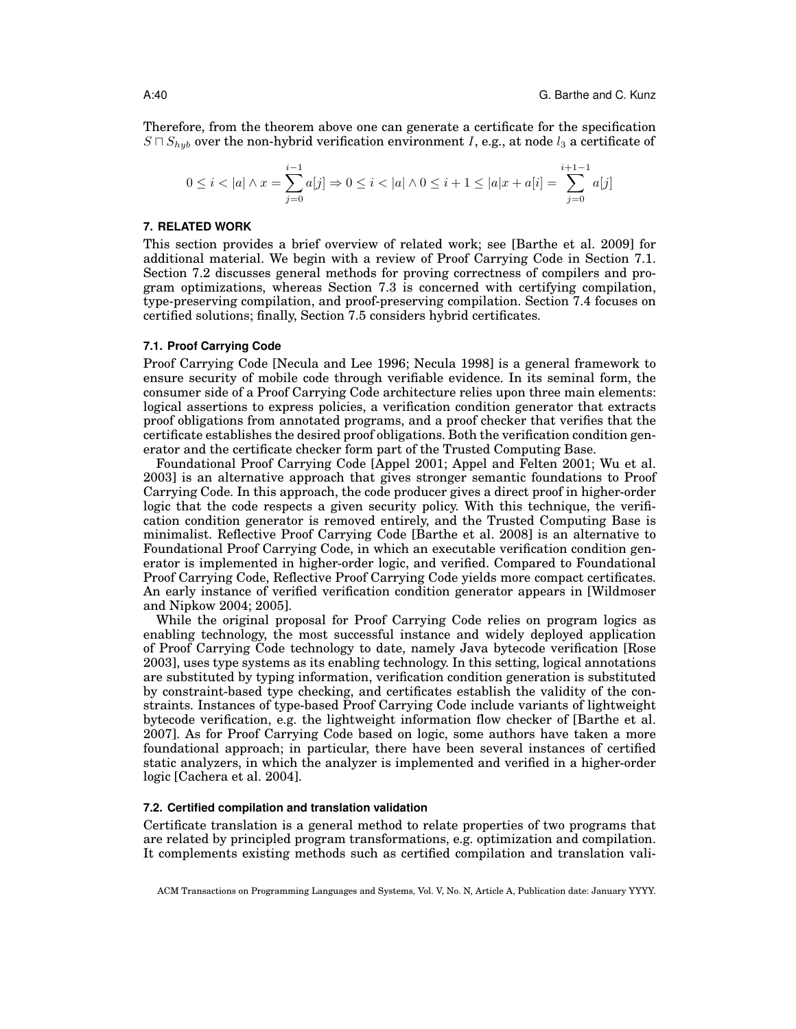Therefore, from the theorem above one can generate a certificate for the specification  $S \cap S_{hyb}$  over the non-hybrid verification environment I, e.g., at node  $l_3$  a certificate of

$$
0 \leq i < |a| \land x = \sum_{j=0}^{i-1} a[j] \Rightarrow 0 \leq i < |a| \land 0 \leq i+1 \leq |a|x+a[i] = \sum_{j=0}^{i+1-1} a[j]
$$

#### **7. RELATED WORK**

This section provides a brief overview of related work; see [Barthe et al. 2009] for additional material. We begin with a review of Proof Carrying Code in Section 7.1. Section 7.2 discusses general methods for proving correctness of compilers and program optimizations, whereas Section 7.3 is concerned with certifying compilation, type-preserving compilation, and proof-preserving compilation. Section 7.4 focuses on certified solutions; finally, Section 7.5 considers hybrid certificates.

## **7.1. Proof Carrying Code**

Proof Carrying Code [Necula and Lee 1996; Necula 1998] is a general framework to ensure security of mobile code through verifiable evidence. In its seminal form, the consumer side of a Proof Carrying Code architecture relies upon three main elements: logical assertions to express policies, a verification condition generator that extracts proof obligations from annotated programs, and a proof checker that verifies that the certificate establishes the desired proof obligations. Both the verification condition generator and the certificate checker form part of the Trusted Computing Base.

Foundational Proof Carrying Code [Appel 2001; Appel and Felten 2001; Wu et al. 2003] is an alternative approach that gives stronger semantic foundations to Proof Carrying Code. In this approach, the code producer gives a direct proof in higher-order logic that the code respects a given security policy. With this technique, the verification condition generator is removed entirely, and the Trusted Computing Base is minimalist. Reflective Proof Carrying Code [Barthe et al. 2008] is an alternative to Foundational Proof Carrying Code, in which an executable verification condition generator is implemented in higher-order logic, and verified. Compared to Foundational Proof Carrying Code, Reflective Proof Carrying Code yields more compact certificates. An early instance of verified verification condition generator appears in [Wildmoser and Nipkow 2004; 2005].

While the original proposal for Proof Carrying Code relies on program logics as enabling technology, the most successful instance and widely deployed application of Proof Carrying Code technology to date, namely Java bytecode verification [Rose 2003], uses type systems as its enabling technology. In this setting, logical annotations are substituted by typing information, verification condition generation is substituted by constraint-based type checking, and certificates establish the validity of the constraints. Instances of type-based Proof Carrying Code include variants of lightweight bytecode verification, e.g. the lightweight information flow checker of [Barthe et al. 2007]. As for Proof Carrying Code based on logic, some authors have taken a more foundational approach; in particular, there have been several instances of certified static analyzers, in which the analyzer is implemented and verified in a higher-order logic [Cachera et al. 2004].

## **7.2. Certified compilation and translation validation**

Certificate translation is a general method to relate properties of two programs that are related by principled program transformations, e.g. optimization and compilation. It complements existing methods such as certified compilation and translation vali-

ACM Transactions on Programming Languages and Systems, Vol. V, No. N, Article A, Publication date: January YYYY.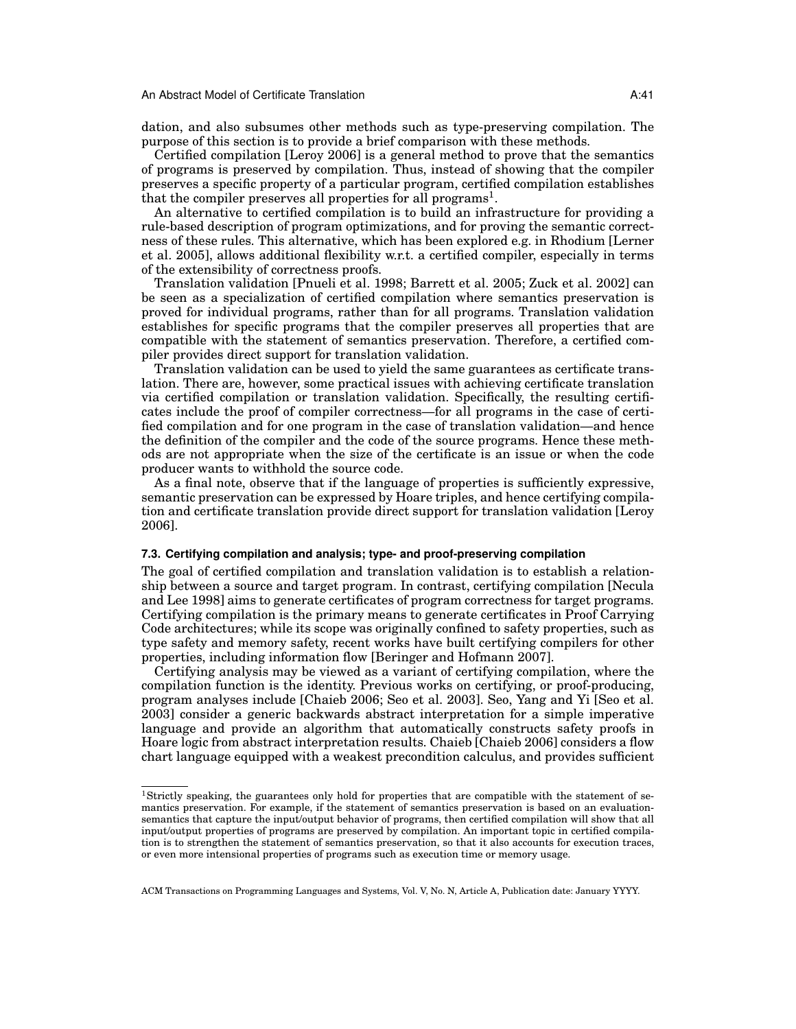dation, and also subsumes other methods such as type-preserving compilation. The purpose of this section is to provide a brief comparison with these methods.

Certified compilation [Leroy 2006] is a general method to prove that the semantics of programs is preserved by compilation. Thus, instead of showing that the compiler preserves a specific property of a particular program, certified compilation establishes that the compiler preserves all properties for all programs<sup>1</sup>.

An alternative to certified compilation is to build an infrastructure for providing a rule-based description of program optimizations, and for proving the semantic correctness of these rules. This alternative, which has been explored e.g. in Rhodium [Lerner et al. 2005], allows additional flexibility w.r.t. a certified compiler, especially in terms of the extensibility of correctness proofs.

Translation validation [Pnueli et al. 1998; Barrett et al. 2005; Zuck et al. 2002] can be seen as a specialization of certified compilation where semantics preservation is proved for individual programs, rather than for all programs. Translation validation establishes for specific programs that the compiler preserves all properties that are compatible with the statement of semantics preservation. Therefore, a certified compiler provides direct support for translation validation.

Translation validation can be used to yield the same guarantees as certificate translation. There are, however, some practical issues with achieving certificate translation via certified compilation or translation validation. Specifically, the resulting certificates include the proof of compiler correctness—for all programs in the case of certified compilation and for one program in the case of translation validation—and hence the definition of the compiler and the code of the source programs. Hence these methods are not appropriate when the size of the certificate is an issue or when the code producer wants to withhold the source code.

As a final note, observe that if the language of properties is sufficiently expressive, semantic preservation can be expressed by Hoare triples, and hence certifying compilation and certificate translation provide direct support for translation validation [Leroy 2006].

#### **7.3. Certifying compilation and analysis; type- and proof-preserving compilation**

The goal of certified compilation and translation validation is to establish a relationship between a source and target program. In contrast, certifying compilation [Necula and Lee 1998] aims to generate certificates of program correctness for target programs. Certifying compilation is the primary means to generate certificates in Proof Carrying Code architectures; while its scope was originally confined to safety properties, such as type safety and memory safety, recent works have built certifying compilers for other properties, including information flow [Beringer and Hofmann 2007].

Certifying analysis may be viewed as a variant of certifying compilation, where the compilation function is the identity. Previous works on certifying, or proof-producing, program analyses include [Chaieb 2006; Seo et al. 2003]. Seo, Yang and Yi [Seo et al. 2003] consider a generic backwards abstract interpretation for a simple imperative language and provide an algorithm that automatically constructs safety proofs in Hoare logic from abstract interpretation results. Chaieb [Chaieb 2006] considers a flow chart language equipped with a weakest precondition calculus, and provides sufficient

<sup>1</sup>Strictly speaking, the guarantees only hold for properties that are compatible with the statement of semantics preservation. For example, if the statement of semantics preservation is based on an evaluationsemantics that capture the input/output behavior of programs, then certified compilation will show that all input/output properties of programs are preserved by compilation. An important topic in certified compilation is to strengthen the statement of semantics preservation, so that it also accounts for execution traces, or even more intensional properties of programs such as execution time or memory usage.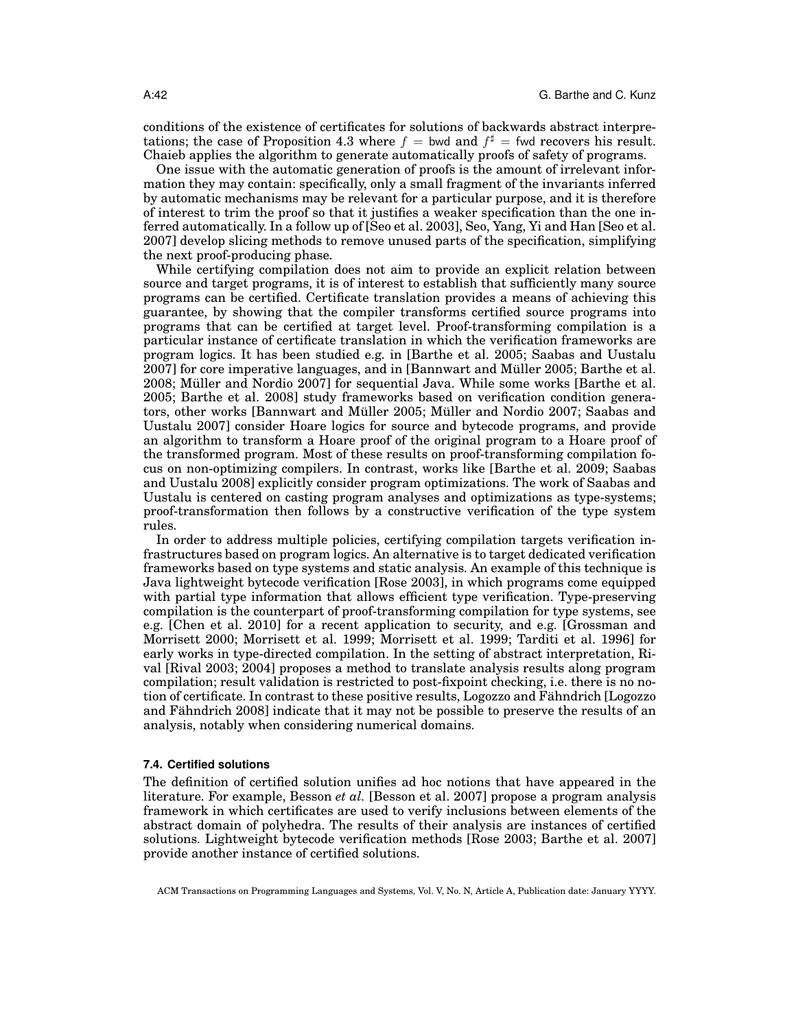conditions of the existence of certificates for solutions of backwards abstract interpretations; the case of Proposition 4.3 where  $f =$  bwd and  $f^{\sharp} =$  fwd recovers his result. Chaieb applies the algorithm to generate automatically proofs of safety of programs.

One issue with the automatic generation of proofs is the amount of irrelevant information they may contain: specifically, only a small fragment of the invariants inferred by automatic mechanisms may be relevant for a particular purpose, and it is therefore of interest to trim the proof so that it justifies a weaker specification than the one inferred automatically. In a follow up of [Seo et al. 2003], Seo, Yang, Yi and Han [Seo et al. 2007] develop slicing methods to remove unused parts of the specification, simplifying the next proof-producing phase.

While certifying compilation does not aim to provide an explicit relation between source and target programs, it is of interest to establish that sufficiently many source programs can be certified. Certificate translation provides a means of achieving this guarantee, by showing that the compiler transforms certified source programs into programs that can be certified at target level. Proof-transforming compilation is a particular instance of certificate translation in which the verification frameworks are program logics. It has been studied e.g. in [Barthe et al. 2005; Saabas and Uustalu 2007] for core imperative languages, and in [Bannwart and Muller 2005; Barthe et al. ¨ 2008; Müller and Nordio 2007] for sequential Java. While some works [Barthe et al. 2005; Barthe et al. 2008] study frameworks based on verification condition generators, other works [Bannwart and Müller 2005; Müller and Nordio 2007; Saabas and Uustalu 2007] consider Hoare logics for source and bytecode programs, and provide an algorithm to transform a Hoare proof of the original program to a Hoare proof of the transformed program. Most of these results on proof-transforming compilation focus on non-optimizing compilers. In contrast, works like [Barthe et al. 2009; Saabas and Uustalu 2008] explicitly consider program optimizations. The work of Saabas and Uustalu is centered on casting program analyses and optimizations as type-systems; proof-transformation then follows by a constructive verification of the type system rules.

In order to address multiple policies, certifying compilation targets verification infrastructures based on program logics. An alternative is to target dedicated verification frameworks based on type systems and static analysis. An example of this technique is Java lightweight bytecode verification [Rose 2003], in which programs come equipped with partial type information that allows efficient type verification. Type-preserving compilation is the counterpart of proof-transforming compilation for type systems, see e.g. [Chen et al. 2010] for a recent application to security, and e.g. [Grossman and Morrisett 2000; Morrisett et al. 1999; Morrisett et al. 1999; Tarditi et al. 1996] for early works in type-directed compilation. In the setting of abstract interpretation, Rival [Rival 2003; 2004] proposes a method to translate analysis results along program compilation; result validation is restricted to post-fixpoint checking, i.e. there is no notion of certificate. In contrast to these positive results, Logozzo and Fähndrich [Logozzo] and Fähndrich 2008] indicate that it may not be possible to preserve the results of an analysis, notably when considering numerical domains.

#### **7.4. Certified solutions**

The definition of certified solution unifies ad hoc notions that have appeared in the literature. For example, Besson *et al.* [Besson et al. 2007] propose a program analysis framework in which certificates are used to verify inclusions between elements of the abstract domain of polyhedra. The results of their analysis are instances of certified solutions. Lightweight bytecode verification methods [Rose 2003; Barthe et al. 2007] provide another instance of certified solutions.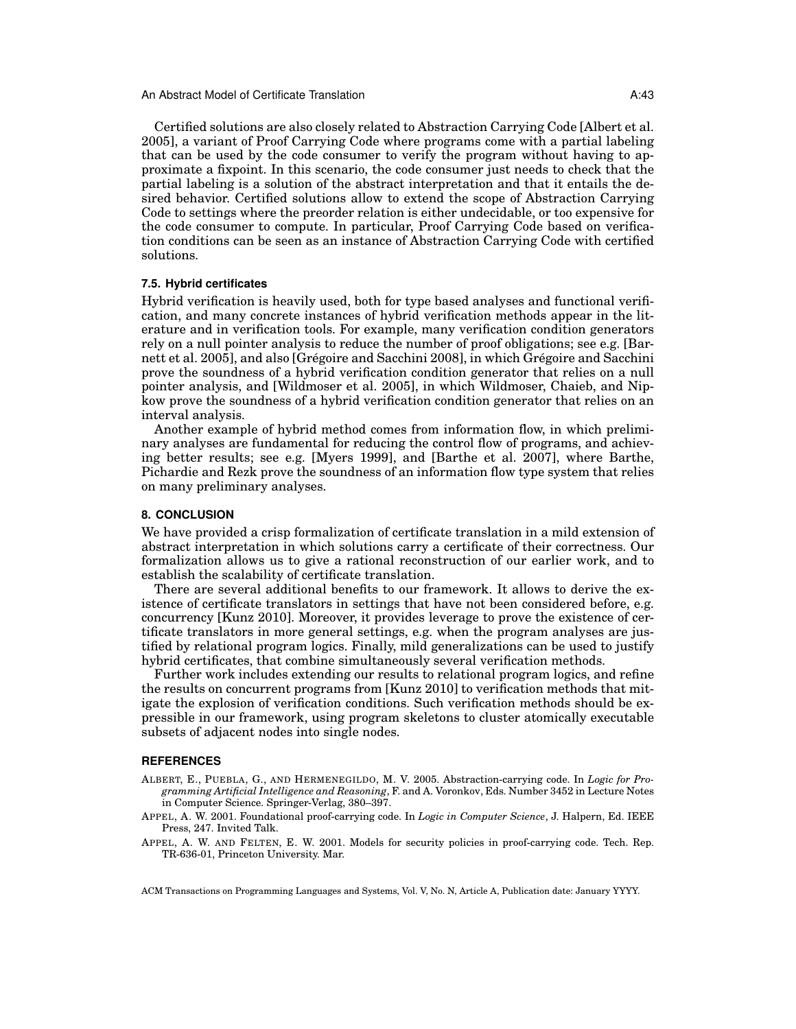Certified solutions are also closely related to Abstraction Carrying Code [Albert et al. 2005], a variant of Proof Carrying Code where programs come with a partial labeling that can be used by the code consumer to verify the program without having to approximate a fixpoint. In this scenario, the code consumer just needs to check that the partial labeling is a solution of the abstract interpretation and that it entails the desired behavior. Certified solutions allow to extend the scope of Abstraction Carrying Code to settings where the preorder relation is either undecidable, or too expensive for the code consumer to compute. In particular, Proof Carrying Code based on verification conditions can be seen as an instance of Abstraction Carrying Code with certified solutions.

## **7.5. Hybrid certificates**

Hybrid verification is heavily used, both for type based analyses and functional verification, and many concrete instances of hybrid verification methods appear in the literature and in verification tools. For example, many verification condition generators rely on a null pointer analysis to reduce the number of proof obligations; see e.g. [Barnett et al. 2005], and also [Grégoire and Sacchini 2008], in which Grégoire and Sacchini prove the soundness of a hybrid verification condition generator that relies on a null pointer analysis, and [Wildmoser et al. 2005], in which Wildmoser, Chaieb, and Nipkow prove the soundness of a hybrid verification condition generator that relies on an interval analysis.

Another example of hybrid method comes from information flow, in which preliminary analyses are fundamental for reducing the control flow of programs, and achieving better results; see e.g. [Myers 1999], and [Barthe et al. 2007], where Barthe, Pichardie and Rezk prove the soundness of an information flow type system that relies on many preliminary analyses.

## **8. CONCLUSION**

We have provided a crisp formalization of certificate translation in a mild extension of abstract interpretation in which solutions carry a certificate of their correctness. Our formalization allows us to give a rational reconstruction of our earlier work, and to establish the scalability of certificate translation.

There are several additional benefits to our framework. It allows to derive the existence of certificate translators in settings that have not been considered before, e.g. concurrency [Kunz 2010]. Moreover, it provides leverage to prove the existence of certificate translators in more general settings, e.g. when the program analyses are justified by relational program logics. Finally, mild generalizations can be used to justify hybrid certificates, that combine simultaneously several verification methods.

Further work includes extending our results to relational program logics, and refine the results on concurrent programs from [Kunz 2010] to verification methods that mitigate the explosion of verification conditions. Such verification methods should be expressible in our framework, using program skeletons to cluster atomically executable subsets of adjacent nodes into single nodes.

#### **REFERENCES**

- ALBERT, E., PUEBLA, G., AND HERMENEGILDO, M. V. 2005. Abstraction-carrying code. In *Logic for Programming Artificial Intelligence and Reasoning*, F. and A. Voronkov, Eds. Number 3452 in Lecture Notes in Computer Science. Springer-Verlag, 380–397.
- APPEL, A. W. 2001. Foundational proof-carrying code. In *Logic in Computer Science*, J. Halpern, Ed. IEEE Press, 247. Invited Talk.
- APPEL, A. W. AND FELTEN, E. W. 2001. Models for security policies in proof-carrying code. Tech. Rep. TR-636-01, Princeton University. Mar.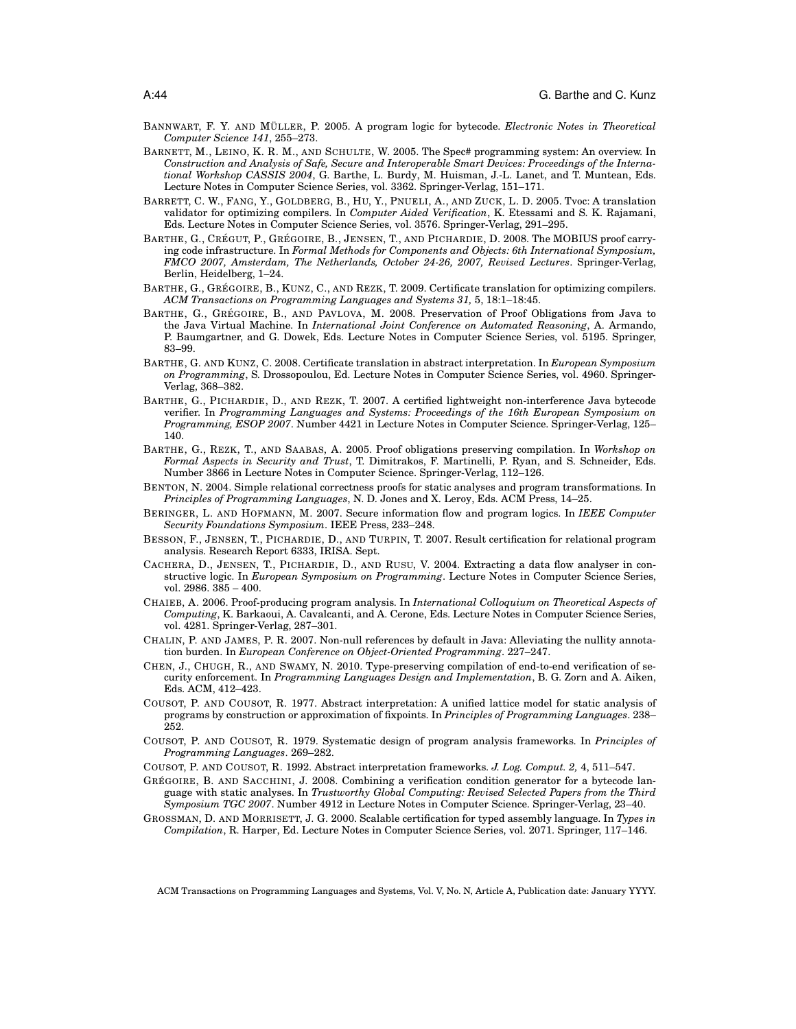- BANNWART, F. Y. AND MÜLLER, P. 2005. A program logic for bytecode. *Electronic Notes in Theoretical Computer Science 141*, 255–273.
- BARNETT, M., LEINO, K. R. M., AND SCHULTE, W. 2005. The Spec# programming system: An overview. In *Construction and Analysis of Safe, Secure and Interoperable Smart Devices: Proceedings of the International Workshop CASSIS 2004*, G. Barthe, L. Burdy, M. Huisman, J.-L. Lanet, and T. Muntean, Eds. Lecture Notes in Computer Science Series, vol. 3362. Springer-Verlag, 151–171.
- BARRETT, C. W., FANG, Y., GOLDBERG, B., HU, Y., PNUELI, A., AND ZUCK, L. D. 2005. Tvoc: A translation validator for optimizing compilers. In *Computer Aided Verification*, K. Etessami and S. K. Rajamani, Eds. Lecture Notes in Computer Science Series, vol. 3576. Springer-Verlag, 291–295.
- BARTHE, G., CRÉGUT, P., GRÉGOIRE, B., JENSEN, T., AND PICHARDIE, D. 2008. The MOBIUS proof carrying code infrastructure. In *Formal Methods for Components and Objects: 6th International Symposium, FMCO 2007, Amsterdam, The Netherlands, October 24-26, 2007, Revised Lectures*. Springer-Verlag, Berlin, Heidelberg, 1–24.
- BARTHE, G., GRÉGOIRE, B., KUNZ, C., AND REZK, T. 2009. Certificate translation for optimizing compilers. *ACM Transactions on Programming Languages and Systems 31,* 5, 18:1–18:45.
- BARTHE, G., GRÉGOIRE, B., AND PAVLOVA, M. 2008. Preservation of Proof Obligations from Java to the Java Virtual Machine. In *International Joint Conference on Automated Reasoning*, A. Armando, P. Baumgartner, and G. Dowek, Eds. Lecture Notes in Computer Science Series, vol. 5195. Springer, 83–99.
- BARTHE, G. AND KUNZ, C. 2008. Certificate translation in abstract interpretation. In *European Symposium on Programming*, S. Drossopoulou, Ed. Lecture Notes in Computer Science Series, vol. 4960. Springer-Verlag, 368–382.
- BARTHE, G., PICHARDIE, D., AND REZK, T. 2007. A certified lightweight non-interference Java bytecode verifier. In *Programming Languages and Systems: Proceedings of the 16th European Symposium on Programming, ESOP 2007*. Number 4421 in Lecture Notes in Computer Science. Springer-Verlag, 125– 140.
- BARTHE, G., REZK, T., AND SAABAS, A. 2005. Proof obligations preserving compilation. In *Workshop on Formal Aspects in Security and Trust*, T. Dimitrakos, F. Martinelli, P. Ryan, and S. Schneider, Eds. Number 3866 in Lecture Notes in Computer Science. Springer-Verlag, 112–126.
- BENTON, N. 2004. Simple relational correctness proofs for static analyses and program transformations. In *Principles of Programming Languages*, N. D. Jones and X. Leroy, Eds. ACM Press, 14–25.
- BERINGER, L. AND HOFMANN, M. 2007. Secure information flow and program logics. In *IEEE Computer Security Foundations Symposium*. IEEE Press, 233–248.
- BESSON, F., JENSEN, T., PICHARDIE, D., AND TURPIN, T. 2007. Result certification for relational program analysis. Research Report 6333, IRISA. Sept.
- CACHERA, D., JENSEN, T., PICHARDIE, D., AND RUSU, V. 2004. Extracting a data flow analyser in constructive logic. In *European Symposium on Programming*. Lecture Notes in Computer Science Series, vol. 2986. 385 – 400.
- CHAIEB, A. 2006. Proof-producing program analysis. In *International Colloquium on Theoretical Aspects of Computing*, K. Barkaoui, A. Cavalcanti, and A. Cerone, Eds. Lecture Notes in Computer Science Series, vol. 4281. Springer-Verlag, 287–301.
- CHALIN, P. AND JAMES, P. R. 2007. Non-null references by default in Java: Alleviating the nullity annotation burden. In *European Conference on Object-Oriented Programming*. 227–247.
- CHEN, J., CHUGH, R., AND SWAMY, N. 2010. Type-preserving compilation of end-to-end verification of security enforcement. In *Programming Languages Design and Implementation*, B. G. Zorn and A. Aiken, Eds. ACM, 412–423.
- COUSOT, P. AND COUSOT, R. 1977. Abstract interpretation: A unified lattice model for static analysis of programs by construction or approximation of fixpoints. In *Principles of Programming Languages*. 238– 252.
- COUSOT, P. AND COUSOT, R. 1979. Systematic design of program analysis frameworks. In *Principles of Programming Languages*. 269–282.
- COUSOT, P. AND COUSOT, R. 1992. Abstract interpretation frameworks. *J. Log. Comput. 2,* 4, 511–547.
- GRÉGOIRE, B. AND SACCHINI, J. 2008. Combining a verification condition generator for a bytecode language with static analyses. In *Trustworthy Global Computing: Revised Selected Papers from the Third Symposium TGC 2007*. Number 4912 in Lecture Notes in Computer Science. Springer-Verlag, 23–40.

GROSSMAN, D. AND MORRISETT, J. G. 2000. Scalable certification for typed assembly language. In *Types in Compilation*, R. Harper, Ed. Lecture Notes in Computer Science Series, vol. 2071. Springer, 117–146.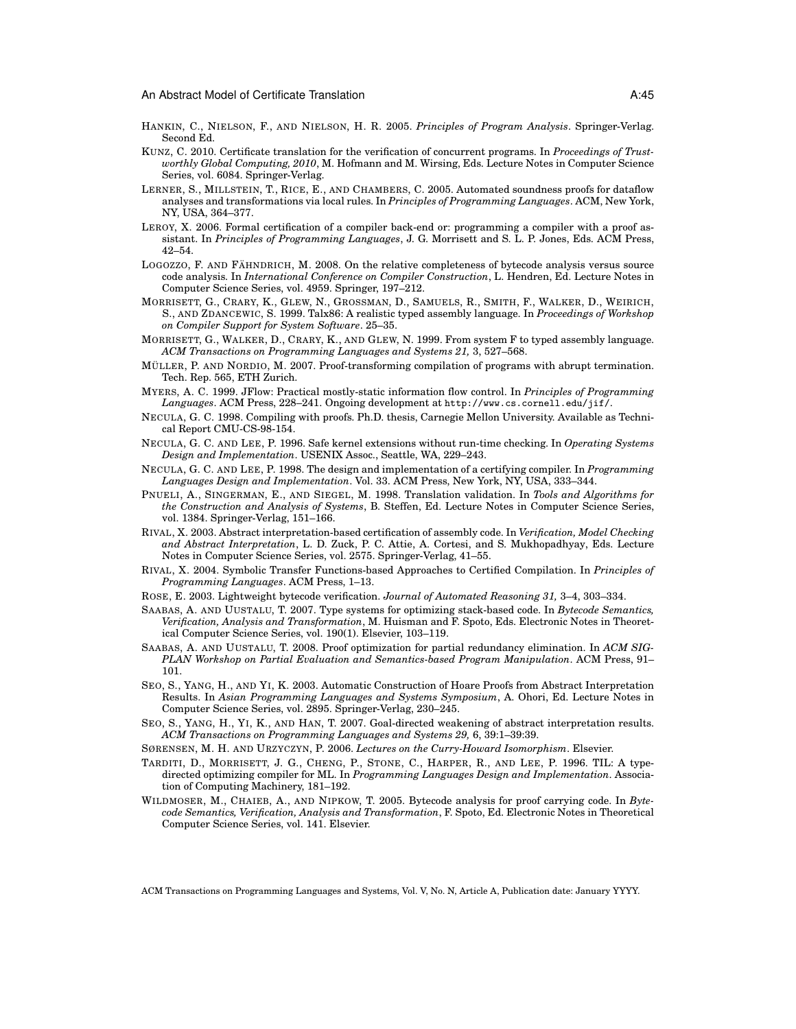- HANKIN, C., NIELSON, F., AND NIELSON, H. R. 2005. *Principles of Program Analysis*. Springer-Verlag. Second Ed.
- KUNZ, C. 2010. Certificate translation for the verification of concurrent programs. In *Proceedings of Trustworthly Global Computing, 2010*, M. Hofmann and M. Wirsing, Eds. Lecture Notes in Computer Science Series, vol. 6084. Springer-Verlag.
- LERNER, S., MILLSTEIN, T., RICE, E., AND CHAMBERS, C. 2005. Automated soundness proofs for dataflow analyses and transformations via local rules. In *Principles of Programming Languages*. ACM, New York, NY, USA, 364–377.
- LEROY, X. 2006. Formal certification of a compiler back-end or: programming a compiler with a proof assistant. In *Principles of Programming Languages*, J. G. Morrisett and S. L. P. Jones, Eds. ACM Press, 42–54.
- LOGOZZO, F. AND FÄHNDRICH, M. 2008. On the relative completeness of bytecode analysis versus source code analysis. In *International Conference on Compiler Construction*, L. Hendren, Ed. Lecture Notes in Computer Science Series, vol. 4959. Springer, 197–212.
- MORRISETT, G., CRARY, K., GLEW, N., GROSSMAN, D., SAMUELS, R., SMITH, F., WALKER, D., WEIRICH, S., AND ZDANCEWIC, S. 1999. Talx86: A realistic typed assembly language. In *Proceedings of Workshop on Compiler Support for System Software*. 25–35.
- MORRISETT, G., WALKER, D., CRARY, K., AND GLEW, N. 1999. From system F to typed assembly language. *ACM Transactions on Programming Languages and Systems 21,* 3, 527–568.
- MÜLLER, P. AND NORDIO, M. 2007. Proof-transforming compilation of programs with abrupt termination. Tech. Rep. 565, ETH Zurich.
- MYERS, A. C. 1999. JFlow: Practical mostly-static information flow control. In *Principles of Programming Languages*. ACM Press, 228–241. Ongoing development at http://www.cs.cornell.edu/jif/.
- NECULA, G. C. 1998. Compiling with proofs. Ph.D. thesis, Carnegie Mellon University. Available as Technical Report CMU-CS-98-154.
- NECULA, G. C. AND LEE, P. 1996. Safe kernel extensions without run-time checking. In *Operating Systems Design and Implementation*. USENIX Assoc., Seattle, WA, 229–243.
- NECULA, G. C. AND LEE, P. 1998. The design and implementation of a certifying compiler. In *Programming Languages Design and Implementation*. Vol. 33. ACM Press, New York, NY, USA, 333–344.
- PNUELI, A., SINGERMAN, E., AND SIEGEL, M. 1998. Translation validation. In *Tools and Algorithms for the Construction and Analysis of Systems*, B. Steffen, Ed. Lecture Notes in Computer Science Series, vol. 1384. Springer-Verlag, 151–166.
- RIVAL, X. 2003. Abstract interpretation-based certification of assembly code. In *Verification, Model Checking and Abstract Interpretation*, L. D. Zuck, P. C. Attie, A. Cortesi, and S. Mukhopadhyay, Eds. Lecture Notes in Computer Science Series, vol. 2575. Springer-Verlag, 41–55.
- RIVAL, X. 2004. Symbolic Transfer Functions-based Approaches to Certified Compilation. In *Principles of Programming Languages*. ACM Press, 1–13.
- ROSE, E. 2003. Lightweight bytecode verification. *Journal of Automated Reasoning 31,* 3–4, 303–334.
- SAABAS, A. AND UUSTALU, T. 2007. Type systems for optimizing stack-based code. In *Bytecode Semantics, Verification, Analysis and Transformation*, M. Huisman and F. Spoto, Eds. Electronic Notes in Theoretical Computer Science Series, vol. 190(1). Elsevier, 103–119.
- SAABAS, A. AND UUSTALU, T. 2008. Proof optimization for partial redundancy elimination. In *ACM SIG-PLAN Workshop on Partial Evaluation and Semantics-based Program Manipulation*. ACM Press, 91– 101.
- SEO, S., YANG, H., AND YI, K. 2003. Automatic Construction of Hoare Proofs from Abstract Interpretation Results. In *Asian Programming Languages and Systems Symposium*, A. Ohori, Ed. Lecture Notes in Computer Science Series, vol. 2895. Springer-Verlag, 230–245.
- SEO, S., YANG, H., YI, K., AND HAN, T. 2007. Goal-directed weakening of abstract interpretation results. *ACM Transactions on Programming Languages and Systems 29,* 6, 39:1–39:39.
- SØRENSEN, M. H. AND URZYCZYN, P. 2006. *Lectures on the Curry-Howard Isomorphism*. Elsevier.
- TARDITI, D., MORRISETT, J. G., CHENG, P., STONE, C., HARPER, R., AND LEE, P. 1996. TIL: A typedirected optimizing compiler for ML. In *Programming Languages Design and Implementation*. Association of Computing Machinery, 181–192.
- WILDMOSER, M., CHAIEB, A., AND NIPKOW, T. 2005. Bytecode analysis for proof carrying code. In *Bytecode Semantics, Verification, Analysis and Transformation*, F. Spoto, Ed. Electronic Notes in Theoretical Computer Science Series, vol. 141. Elsevier.